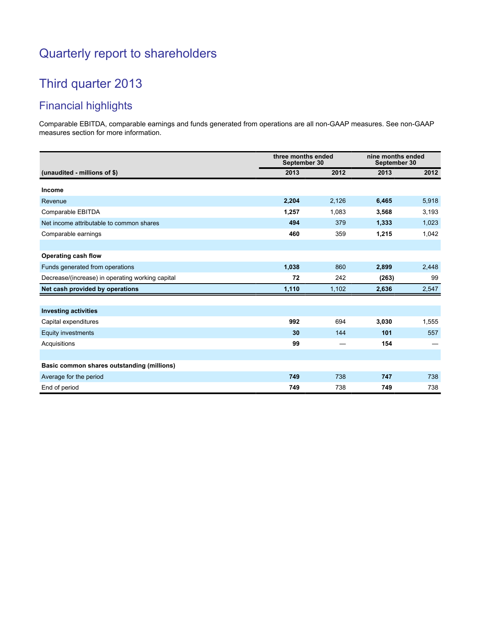# Quarterly report to shareholders

# Third quarter 2013

# Financial highlights

Comparable EBITDA, comparable earnings and funds generated from operations are all non-GAAP measures. See non-GAAP measures section for more information.

|                                                  | three months ended<br>September 30 |       | nine months ended<br>September 30 |       |
|--------------------------------------------------|------------------------------------|-------|-----------------------------------|-------|
| (unaudited - millions of \$)                     | 2013                               | 2012  | 2013                              | 2012  |
| <b>Income</b>                                    |                                    |       |                                   |       |
| Revenue                                          | 2,204                              | 2,126 | 6,465                             | 5,918 |
| Comparable EBITDA                                | 1,257                              | 1,083 | 3,568                             | 3,193 |
| Net income attributable to common shares         | 494                                | 379   | 1,333                             | 1,023 |
| Comparable earnings                              | 460                                | 359   | 1,215                             | 1,042 |
|                                                  |                                    |       |                                   |       |
| Operating cash flow                              |                                    |       |                                   |       |
| Funds generated from operations                  | 1,038                              | 860   | 2,899                             | 2,448 |
| Decrease/(increase) in operating working capital | 72                                 | 242   | (263)                             | 99    |
| Net cash provided by operations                  | 1,110                              | 1,102 | 2,636                             | 2,547 |
|                                                  |                                    |       |                                   |       |
| <b>Investing activities</b>                      |                                    |       |                                   |       |
| Capital expenditures                             | 992                                | 694   | 3,030                             | 1,555 |
| Equity investments                               | 30                                 | 144   | 101                               | 557   |
| Acquisitions                                     | 99                                 |       | 154                               |       |
|                                                  |                                    |       |                                   |       |
| Basic common shares outstanding (millions)       |                                    |       |                                   |       |
| Average for the period                           | 749                                | 738   | 747                               | 738   |
| End of period                                    | 749                                | 738   | 749                               | 738   |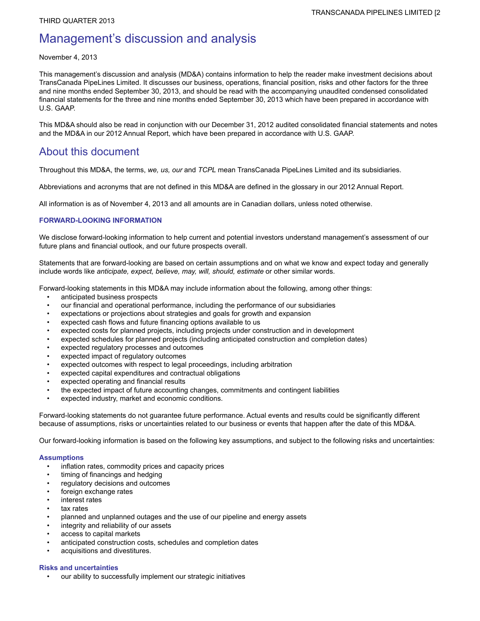# Management's discussion and analysis

November 4, 2013

This management's discussion and analysis (MD&A) contains information to help the reader make investment decisions about TransCanada PipeLines Limited. It discusses our business, operations, financial position, risks and other factors for the three and nine months ended September 30, 2013, and should be read with the accompanying unaudited condensed consolidated financial statements for the three and nine months ended September 30, 2013 which have been prepared in accordance with U.S. GAAP.

This MD&A should also be read in conjunction with our December 31, 2012 audited consolidated financial statements and notes and the MD&A in our 2012 Annual Report, which have been prepared in accordance with U.S. GAAP.

# About this document

Throughout this MD&A, the terms, *we, us, our* and *TCPL* mean TransCanada PipeLines Limited and its subsidiaries.

Abbreviations and acronyms that are not defined in this MD&A are defined in the glossary in our 2012 Annual Report.

All information is as of November 4, 2013 and all amounts are in Canadian dollars, unless noted otherwise.

# **FORWARD-LOOKING INFORMATION**

We disclose forward-looking information to help current and potential investors understand management's assessment of our future plans and financial outlook, and our future prospects overall.

Statements that are forward-looking are based on certain assumptions and on what we know and expect today and generally include words like *anticipate, expect, believe, may, will, should, estimate* or other similar words.

Forward-looking statements in this MD&A may include information about the following, among other things:

- anticipated business prospects
- our financial and operational performance, including the performance of our subsidiaries
- expectations or projections about strategies and goals for growth and expansion
- expected cash flows and future financing options available to us
- expected costs for planned projects, including projects under construction and in development
- expected schedules for planned projects (including anticipated construction and completion dates)
- expected regulatory processes and outcomes
- expected impact of regulatory outcomes
- expected outcomes with respect to legal proceedings, including arbitration
- expected capital expenditures and contractual obligations
- expected operating and financial results
- the expected impact of future accounting changes, commitments and contingent liabilities
- expected industry, market and economic conditions.

Forward-looking statements do not guarantee future performance. Actual events and results could be significantly different because of assumptions, risks or uncertainties related to our business or events that happen after the date of this MD&A.

Our forward-looking information is based on the following key assumptions, and subject to the following risks and uncertainties:

#### **Assumptions**

- inflation rates, commodity prices and capacity prices
- timing of financings and hedging
- regulatory decisions and outcomes
- foreign exchange rates
- interest rates
- tax rates
- planned and unplanned outages and the use of our pipeline and energy assets
- integrity and reliability of our assets
- access to capital markets
- anticipated construction costs, schedules and completion dates
- acquisitions and divestitures.

#### **Risks and uncertainties**

our ability to successfully implement our strategic initiatives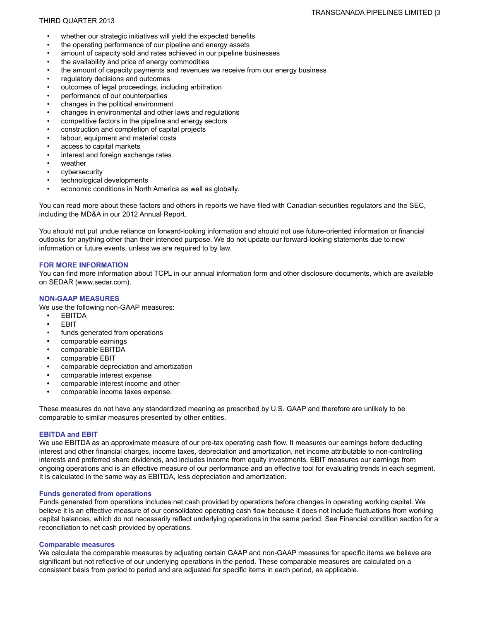- whether our strategic initiatives will yield the expected benefits
- the operating performance of our pipeline and energy assets
- amount of capacity sold and rates achieved in our pipeline businesses
- the availability and price of energy commodities
- the amount of capacity payments and revenues we receive from our energy business
- regulatory decisions and outcomes
- outcomes of legal proceedings, including arbitration
- performance of our counterparties
- changes in the political environment
- changes in environmental and other laws and regulations
- competitive factors in the pipeline and energy sectors
- construction and completion of capital projects
- labour, equipment and material costs
- access to capital markets
- interest and foreign exchange rates
- weather
- cybersecurity
- technological developments
- economic conditions in North America as well as globally.

You can read more about these factors and others in reports we have filed with Canadian securities regulators and the SEC, including the MD&A in our 2012 Annual Report.

You should not put undue reliance on forward-looking information and should not use future-oriented information or financial outlooks for anything other than their intended purpose. We do not update our forward-looking statements due to new information or future events, unless we are required to by law.

### **FOR MORE INFORMATION**

You can find more information about TCPL in our annual information form and other disclosure documents, which are available on SEDAR (www.sedar.com).

#### **NON-GAAP MEASURES**

We use the following non-GAAP measures:

- EBITDA
- EBIT
- funds generated from operations
- comparable earnings
- comparable EBITDA
- comparable EBIT
- comparable depreciation and amortization
- comparable interest expense
- comparable interest income and other
- comparable income taxes expense.

These measures do not have any standardized meaning as prescribed by U.S. GAAP and therefore are unlikely to be comparable to similar measures presented by other entities.

#### **EBITDA and EBIT**

We use EBITDA as an approximate measure of our pre-tax operating cash flow. It measures our earnings before deducting interest and other financial charges, income taxes, depreciation and amortization, net income attributable to non-controlling interests and preferred share dividends, and includes income from equity investments. EBIT measures our earnings from ongoing operations and is an effective measure of our performance and an effective tool for evaluating trends in each segment. It is calculated in the same way as EBITDA, less depreciation and amortization.

#### **Funds generated from operations**

Funds generated from operations includes net cash provided by operations before changes in operating working capital. We believe it is an effective measure of our consolidated operating cash flow because it does not include fluctuations from working capital balances, which do not necessarily reflect underlying operations in the same period. See Financial condition section for a reconciliation to net cash provided by operations.

#### **Comparable measures**

We calculate the comparable measures by adjusting certain GAAP and non-GAAP measures for specific items we believe are significant but not reflective of our underlying operations in the period. These comparable measures are calculated on a consistent basis from period to period and are adjusted for specific items in each period, as applicable.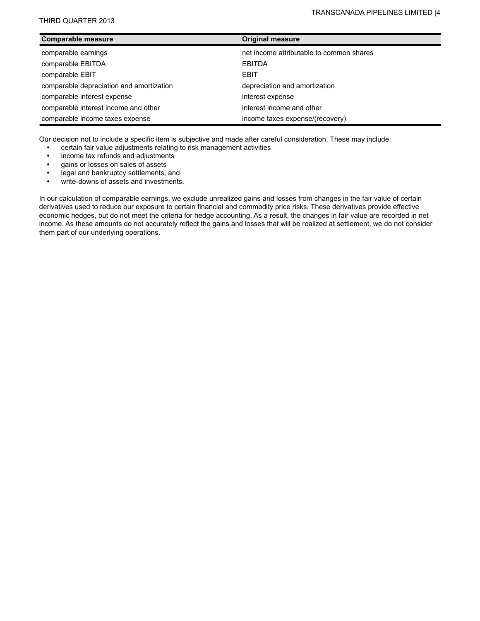| <b>Comparable measure</b>                | <b>Original measure</b>                  |
|------------------------------------------|------------------------------------------|
| comparable earnings                      | net income attributable to common shares |
| comparable EBITDA                        | <b>EBITDA</b>                            |
| comparable EBIT                          | <b>EBIT</b>                              |
| comparable depreciation and amortization | depreciation and amortization            |
| comparable interest expense              | interest expense                         |
| comparable interest income and other     | interest income and other                |
| comparable income taxes expense          | income taxes expense/(recovery)          |

Our decision not to include a specific item is subjective and made after careful consideration. These may include:

- certain fair value adjustments relating to risk management activities
- income tax refunds and adjustments
- gains or losses on sales of assets
- legal and bankruptcy settlements, and
- write-downs of assets and investments.

In our calculation of comparable earnings, we exclude unrealized gains and losses from changes in the fair value of certain derivatives used to reduce our exposure to certain financial and commodity price risks. These derivatives provide effective economic hedges, but do not meet the criteria for hedge accounting. As a result, the changes in fair value are recorded in net income. As these amounts do not accurately reflect the gains and losses that will be realized at settlement, we do not consider them part of our underlying operations.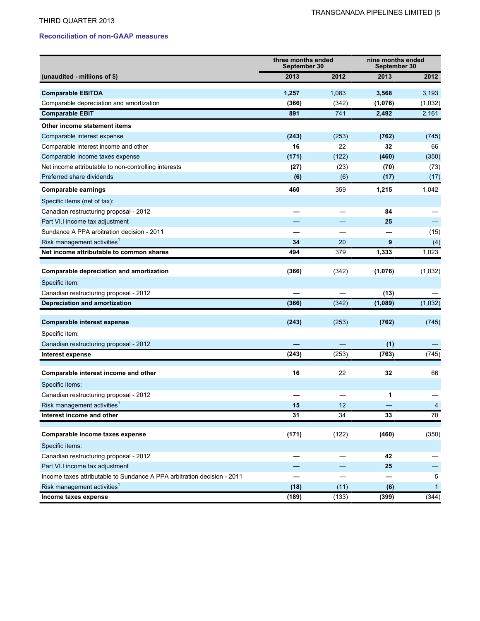# **Reconciliation of non-GAAP measures**

|                                                                         | three months ended<br>September 30 |       | nine months ended<br>September 30 |                 |
|-------------------------------------------------------------------------|------------------------------------|-------|-----------------------------------|-----------------|
| (unaudited - millions of \$)                                            | 2013                               | 2012  | 2013                              | 2012            |
| <b>Comparable EBITDA</b>                                                | 1,257                              | 1,083 | 3,568                             | 3,193           |
| Comparable depreciation and amortization                                | (366)                              | (342) | (1,076)                           | (1,032)         |
| <b>Comparable EBIT</b>                                                  | 891                                | 741   | 2,492                             | 2,161           |
| Other income statement items                                            |                                    |       |                                   |                 |
| Comparable interest expense                                             | (243)                              | (253) | (762)                             | (745)           |
| Comparable interest income and other                                    | 16                                 | 22    | 32                                | 66              |
| Comparable income taxes expense                                         | (171)                              | (122) | (460)                             | (350)           |
| Net income attributable to non-controlling interests                    | (27)                               | (23)  | (70)                              | (73)            |
| Preferred share dividends                                               | (6)                                | (6)   | (17)                              | (17)            |
| <b>Comparable earnings</b>                                              | 460                                | 359   | 1,215                             | 1,042           |
| Specific items (net of tax):                                            |                                    |       |                                   |                 |
| Canadian restructuring proposal - 2012                                  |                                    |       | 84                                |                 |
| Part VI.I income tax adjustment                                         |                                    |       | 25                                |                 |
| Sundance A PPA arbitration decision - 2011                              |                                    |       |                                   | (15)            |
| Risk management activities <sup>1</sup>                                 | 34                                 | 20    | 9                                 | (4)             |
| Net income attributable to common shares                                | 494                                | 379   | 1,333                             | 1,023           |
|                                                                         |                                    |       |                                   |                 |
| Comparable depreciation and amortization                                | (366)                              | (342) | (1,076)                           | (1,032)         |
| Specific item:                                                          |                                    |       |                                   |                 |
| Canadian restructuring proposal - 2012                                  |                                    |       | (13)                              |                 |
| <b>Depreciation and amortization</b>                                    | (366)                              | (342) | (1,089)                           | (1,032)         |
| <b>Comparable interest expense</b>                                      | (243)                              | (253) | (762)                             | (745)           |
| Specific item:                                                          |                                    |       |                                   |                 |
| Canadian restructuring proposal - 2012                                  |                                    |       | (1)                               |                 |
| Interest expense                                                        | (243)                              | (253) | (763)                             | (745)           |
|                                                                         |                                    |       |                                   |                 |
| Comparable interest income and other                                    | 16                                 | 22    | 32                                | 66              |
| Specific items:                                                         |                                    |       |                                   |                 |
| Canadian restructuring proposal - 2012                                  |                                    |       | 1                                 |                 |
| Risk management activities <sup>1</sup>                                 | 15                                 | 12    |                                   | 4               |
| Interest income and other                                               | 31                                 | 34    | 33                                | $\overline{70}$ |
| Comparable income taxes expense                                         | (171)                              | (122) | (460)                             | (350)           |
|                                                                         |                                    |       |                                   |                 |
| Specific items:                                                         |                                    |       |                                   |                 |
| Canadian restructuring proposal - 2012                                  |                                    |       | 42                                |                 |
| Part VI.I income tax adjustment                                         |                                    |       | 25                                |                 |
| Income taxes attributable to Sundance A PPA arbitration decision - 2011 |                                    |       |                                   | $\mathbf 5$     |
| Risk management activities <sup>1</sup>                                 | (18)                               | (11)  | (6)                               | $\mathbf{1}$    |
| Income taxes expense                                                    | (189)                              | (133) | (399)                             | (344)           |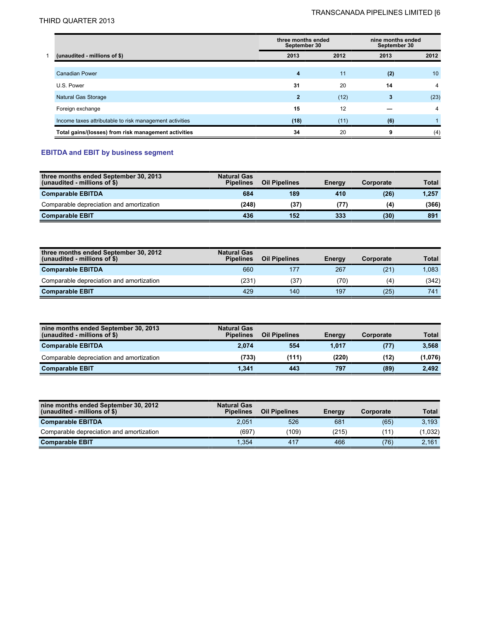|                                                         | three months ended<br>September 30 |      | nine months ended<br>September 30 |      |
|---------------------------------------------------------|------------------------------------|------|-----------------------------------|------|
| (unaudited - millions of \$)                            | 2013                               | 2012 | 2013                              | 2012 |
| <b>Canadian Power</b>                                   | 4                                  | 11   | (2)                               | 10   |
| U.S. Power                                              | 31                                 | 20   | 14                                | 4    |
| <b>Natural Gas Storage</b>                              | $\overline{2}$                     | (12) | 3                                 | (23) |
| Foreign exchange                                        | 15                                 | 12   |                                   | 4    |
| Income taxes attributable to risk management activities | (18)                               | (11) | (6)                               |      |
| Total gains/(losses) from risk management activities    | 34                                 | 20   | 9                                 | (4)  |

# **EBITDA and EBIT by business segment**

| three months ended September 30, 2013<br>(unaudited - millions of \$) | <b>Natural Gas</b><br><b>Pipelines</b> | <b>Oil Pipelines</b> | Enerav | Corporate | Total |
|-----------------------------------------------------------------------|----------------------------------------|----------------------|--------|-----------|-------|
| <b>Comparable EBITDA</b>                                              | 684                                    | 189                  | 410    | (26)      | 1,257 |
| Comparable depreciation and amortization                              | (248)                                  | (37)                 | (77)   | (4)       | (366) |
| <b>Comparable EBIT</b>                                                | 436                                    | 152                  | 333    | (30)      | 891   |

| three months ended September 30, 2012<br>(unaudited - millions of \$) | <b>Natural Gas</b><br><b>Pipelines</b> | <b>Oil Pipelines</b> | Energy | Corporate | Total |
|-----------------------------------------------------------------------|----------------------------------------|----------------------|--------|-----------|-------|
| <b>Comparable EBITDA</b>                                              | 660                                    | 177                  | 267    | (21)      | 1,083 |
| Comparable depreciation and amortization                              | (231)                                  | (37)                 | 70'    | (4)       | (342) |
| <b>Comparable EBIT</b>                                                | 429                                    | 140                  | 197    | (25)      | 741   |

| nine months ended September 30, 2013<br>(unaudited - millions of \$) | <b>Natural Gas</b><br><b>Pipelines</b> | <b>Oil Pipelines</b> | Energy | Corporate | Total   |
|----------------------------------------------------------------------|----------------------------------------|----------------------|--------|-----------|---------|
| <b>Comparable EBITDA</b>                                             | 2.074                                  | 554                  | 1.017  | (77)      | 3,568   |
| Comparable depreciation and amortization                             | (733)                                  | (111)                | (220)  | (12)      | (1,076) |
| <b>Comparable EBIT</b>                                               | 1.341                                  | 443                  | 797    | (89)      | 2,492   |

| nine months ended September 30, 2012<br>(unaudited - millions of \$) | <b>Natural Gas</b><br><b>Pipelines</b> | <b>Oil Pipelines</b> | Energy | Corporate | Total   |
|----------------------------------------------------------------------|----------------------------------------|----------------------|--------|-----------|---------|
| <b>Comparable EBITDA</b>                                             | 2.051                                  | 526                  | 681    | (65)      | 3.193   |
| Comparable depreciation and amortization                             | (697)                                  | (109)                | (215)  | (11)      | (1,032) |
| <b>Comparable EBIT</b>                                               | .354                                   | 417                  | 466    | (76)      | 2,161   |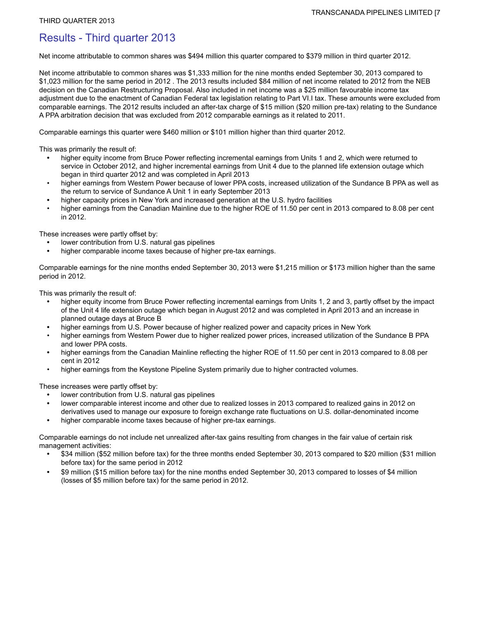# Results - Third quarter 2013

Net income attributable to common shares was \$494 million this quarter compared to \$379 million in third quarter 2012.

Net income attributable to common shares was \$1,333 million for the nine months ended September 30, 2013 compared to \$1,023 million for the same period in 2012 . The 2013 results included \$84 million of net income related to 2012 from the NEB decision on the Canadian Restructuring Proposal. Also included in net income was a \$25 million favourable income tax adjustment due to the enactment of Canadian Federal tax legislation relating to Part VI.I tax. These amounts were excluded from comparable earnings. The 2012 results included an after-tax charge of \$15 million (\$20 million pre-tax) relating to the Sundance A PPA arbitration decision that was excluded from 2012 comparable earnings as it related to 2011.

Comparable earnings this quarter were \$460 million or \$101 million higher than third quarter 2012.

This was primarily the result of:

- higher equity income from Bruce Power reflecting incremental earnings from Units 1 and 2, which were returned to service in October 2012, and higher incremental earnings from Unit 4 due to the planned life extension outage which began in third quarter 2012 and was completed in April 2013
- higher earnings from Western Power because of lower PPA costs, increased utilization of the Sundance B PPA as well as the return to service of Sundance A Unit 1 in early September 2013
- higher capacity prices in New York and increased generation at the U.S. hydro facilities
- higher earnings from the Canadian Mainline due to the higher ROE of 11.50 per cent in 2013 compared to 8.08 per cent in 2012.

These increases were partly offset by:

- lower contribution from U.S. natural gas pipelines
- higher comparable income taxes because of higher pre-tax earnings.

Comparable earnings for the nine months ended September 30, 2013 were \$1,215 million or \$173 million higher than the same period in 2012.

This was primarily the result of:

- higher equity income from Bruce Power reflecting incremental earnings from Units 1, 2 and 3, partly offset by the impact of the Unit 4 life extension outage which began in August 2012 and was completed in April 2013 and an increase in planned outage days at Bruce B
- higher earnings from U.S. Power because of higher realized power and capacity prices in New York
- higher earnings from Western Power due to higher realized power prices, increased utilization of the Sundance B PPA and lower PPA costs.
- higher earnings from the Canadian Mainline reflecting the higher ROE of 11.50 per cent in 2013 compared to 8.08 per cent in 2012
- higher earnings from the Keystone Pipeline System primarily due to higher contracted volumes.

These increases were partly offset by:

- lower contribution from U.S. natural gas pipelines
- lower comparable interest income and other due to realized losses in 2013 compared to realized gains in 2012 on derivatives used to manage our exposure to foreign exchange rate fluctuations on U.S. dollar-denominated income
- higher comparable income taxes because of higher pre-tax earnings.

Comparable earnings do not include net unrealized after-tax gains resulting from changes in the fair value of certain risk management activities:

- \$34 million (\$52 million before tax) for the three months ended September 30, 2013 compared to \$20 million (\$31 million before tax) for the same period in 2012
- \$9 million (\$15 million before tax) for the nine months ended September 30, 2013 compared to losses of \$4 million (losses of \$5 million before tax) for the same period in 2012.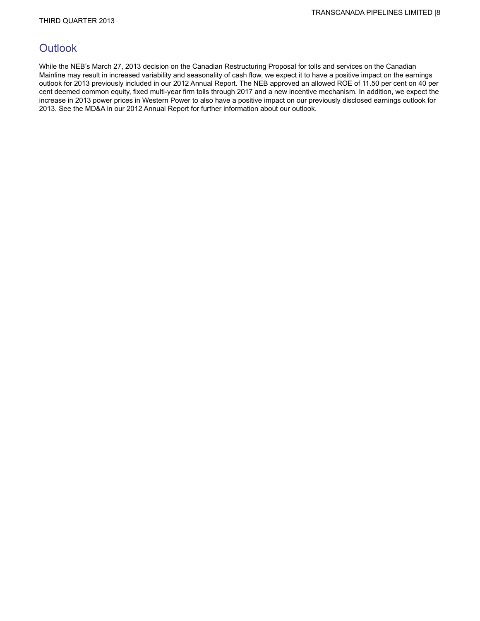# **Outlook**

While the NEB's March 27, 2013 decision on the Canadian Restructuring Proposal for tolls and services on the Canadian Mainline may result in increased variability and seasonality of cash flow, we expect it to have a positive impact on the earnings outlook for 2013 previously included in our 2012 Annual Report. The NEB approved an allowed ROE of 11.50 per cent on 40 per cent deemed common equity, fixed multi-year firm tolls through 2017 and a new incentive mechanism. In addition, we expect the increase in 2013 power prices in Western Power to also have a positive impact on our previously disclosed earnings outlook for 2013. See the MD&A in our 2012 Annual Report for further information about our outlook.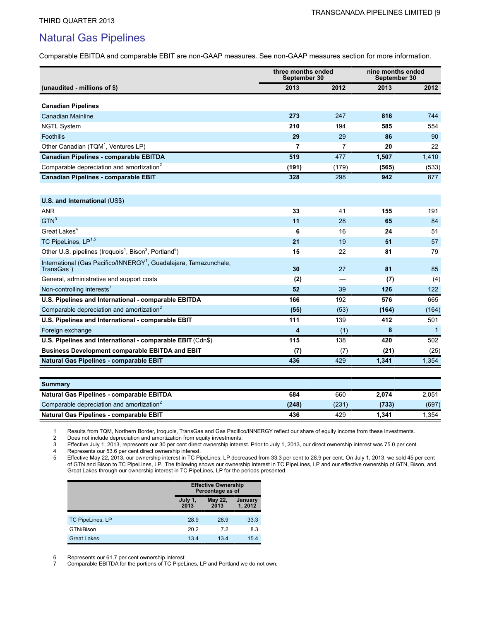# Natural Gas Pipelines

Comparable EBITDA and comparable EBIT are non-GAAP measures. See non-GAAP measures section for more information.

|                                                                                                          | three months ended<br>September 30 |              | nine months ended<br>September 30 |                |
|----------------------------------------------------------------------------------------------------------|------------------------------------|--------------|-----------------------------------|----------------|
| (unaudited - millions of \$)                                                                             | 2013                               | 2012         | 2013                              | 2012           |
| <b>Canadian Pipelines</b>                                                                                |                                    |              |                                   |                |
| <b>Canadian Mainline</b>                                                                                 | 273                                | 247          | 816                               | 744            |
| <b>NGTL System</b>                                                                                       | 210                                | 194          | 585                               | 554            |
| <b>Foothills</b>                                                                                         | 29                                 | 29           | 86                                | 90             |
| Other Canadian (TQM <sup>1</sup> , Ventures LP)                                                          | 7                                  | 7            | 20                                | 22             |
| Canadian Pipelines - comparable EBITDA                                                                   | 519                                | 477          | 1,507                             | 1,410          |
| Comparable depreciation and amortization <sup>2</sup>                                                    | (191)                              | (179)        | (565)                             | (533)          |
| Canadian Pipelines - comparable EBIT                                                                     | 328                                | 298          | 942                               | 877            |
|                                                                                                          |                                    |              |                                   |                |
| U.S. and International (US\$)                                                                            |                                    |              |                                   |                |
| <b>ANR</b>                                                                                               | 33                                 | 41           | 155                               | 191            |
| GTN <sup>3</sup>                                                                                         | 11                                 | 28           | 65                                | 84             |
| Great Lakes <sup>4</sup>                                                                                 | 6                                  | 16           | 24                                | 51             |
| TC PipeLines, LP <sup>1,5</sup>                                                                          | 21                                 | 19           | 51                                | 57             |
| Other U.S. pipelines (Iroquois <sup>1</sup> , Bison <sup>3</sup> , Portland <sup>6</sup> )               | 15                                 | 22           | 81                                | 79             |
| International (Gas Pacifico/INNERGY <sup>1</sup> , Guadalajara, Tamazunchale,<br>TransGas <sup>1</sup> ) | 30                                 | 27           | 81                                | 85             |
| General, administrative and support costs                                                                | (2)                                |              | (7)                               | (4)            |
| Non-controlling interests <sup>7</sup>                                                                   | 52                                 | 39           | 126                               | 122            |
| U.S. Pipelines and International - comparable EBITDA                                                     | 166                                | 192          | 576                               | 665            |
| Comparable depreciation and amortization <sup>2</sup>                                                    | (55)                               | (53)         | (164)                             | (164)          |
| U.S. Pipelines and International - comparable EBIT                                                       | 111                                | 139          | 412                               | 501            |
| Foreign exchange                                                                                         | 4                                  | (1)          | 8                                 | $\mathbf{1}$   |
| U.S. Pipelines and International - comparable EBIT (Cdn\$)                                               | 115                                | 138          | 420                               | 502            |
| <b>Business Development comparable EBITDA and EBIT</b>                                                   | (7)                                | (7)          | (21)                              | (25)           |
| Natural Gas Pipelines - comparable EBIT                                                                  | 436                                | 429          | 1,341                             | 1,354          |
|                                                                                                          |                                    |              |                                   |                |
| <b>Summary</b>                                                                                           |                                    |              |                                   |                |
| Natural Gas Pipelines - comparable EBITDA<br>Comparable depreciation and amortization <sup>2</sup>       | 684                                | 660          | 2,074                             | 2,051          |
| <b>Natural Gas Pipelines - comparable EBIT</b>                                                           | (248)<br>436                       | (231)<br>429 | (733)<br>1.341                    | (697)<br>1.354 |

1 Results from TQM, Northern Border, Iroquois, TransGas and Gas Pacifico/INNERGY reflect our share of equity income from these investments.

2 Does not include depreciation and amortization from equity investments.

3 Effective July 1, 2013, represents our 30 per cent direct ownership interest. Prior to July 1, 2013, our direct ownership interest was 75.0 per cent.

4 Represents our 53.6 per cent direct ownership interest.<br>5 Effective May 22, 2013, our ownership interest in TC Pi 5 Effective May 22, 2013, our ownership interest in TC PipeLines, LP decreased from 33.3 per cent to 28.9 per cent. On July 1, 2013, we sold 45 per cent of GTN and Bison to TC PipeLines, LP. The following shows our ownership interest in TC PipeLines, LP and our effective ownership of GTN, Bison, and Great Lakes through our ownership interest in TC PipeLines, LP for the periods presented.

|                    |                 | <b>Effective Ownership</b><br>Percentage as of |                    |  |  |  |
|--------------------|-----------------|------------------------------------------------|--------------------|--|--|--|
|                    | July 1,<br>2013 | <b>May 22,</b><br>2013                         | January<br>1, 2012 |  |  |  |
| TC PipeLines, LP   | 28.9            | 28.9                                           | 33.3               |  |  |  |
| GTN/Bison          | 20.2            | 72                                             | 8.3                |  |  |  |
| <b>Great Lakes</b> | 13.4            | 13.4                                           | 15.4               |  |  |  |

6 Represents our 61.7 per cent ownership interest.

7 Comparable EBITDA for the portions of TC PipeLines, LP and Portland we do not own.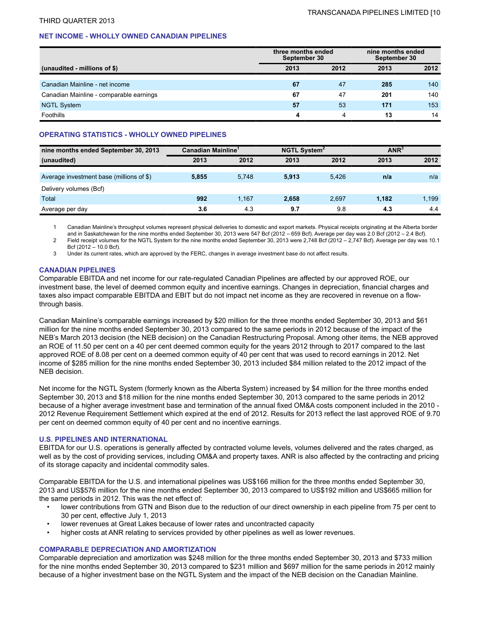### **NET INCOME - WHOLLY OWNED CANADIAN PIPELINES**

|                                         | three months ended<br>September 30 |      | nine months ended<br>September 30 |      |
|-----------------------------------------|------------------------------------|------|-----------------------------------|------|
| (unaudited - millions of \$)            | 2013                               | 2012 | 2013                              | 2012 |
| Canadian Mainline - net income          | 67                                 | 47   | 285                               | 140  |
| Canadian Mainline - comparable earnings | 67                                 | 47   | 201                               | 140  |
| <b>NGTL System</b>                      | 57                                 | 53   | 171                               | 153  |
| Foothills                               | 4                                  | 4    | 13                                | 14   |

# **OPERATING STATISTICS - WHOLLY OWNED PIPELINES**

| nine months ended September 30, 2013     | Canadian Mainline <sup>1</sup> |       | <b>NGTL System<sup>2</sup></b> |       | ANR <sup>3</sup> |       |
|------------------------------------------|--------------------------------|-------|--------------------------------|-------|------------------|-------|
| (unaudited)                              | 2013                           | 2012  | 2013                           | 2012  | 2013             | 2012  |
|                                          |                                |       |                                |       |                  |       |
| Average investment base (millions of \$) | 5.855                          | 5.748 | 5.913                          | 5.426 | n/a              | n/a   |
| Delivery volumes (Bcf)                   |                                |       |                                |       |                  |       |
| Total                                    | 992                            | 1.167 | 2,658                          | 2.697 | 1.182            | 1,199 |
| Average per day                          | 3.6                            | 4.3   | 9.7                            | 9.8   | 4.3              | 4.4   |

1 Canadian Mainline's throughput volumes represent physical deliveries to domestic and export markets. Physical receipts originating at the Alberta border and in Saskatchewan for the nine months ended September 30, 2013 were 547 Bcf (2012 – 659 Bcf). Average per day was 2.0 Bcf (2012 – 2.4 Bcf).

2 Field receipt volumes for the NGTL System for the nine months ended September 30, 2013 were 2,748 Bcf (2012 – 2,747 Bcf). Average per day was 10.1 Bcf (2012 – 10.0 Bcf).

3 Under its current rates, which are approved by the FERC, changes in average investment base do not affect results.

### **CANADIAN PIPELINES**

Comparable EBITDA and net income for our rate-regulated Canadian Pipelines are affected by our approved ROE, our investment base, the level of deemed common equity and incentive earnings. Changes in depreciation, financial charges and taxes also impact comparable EBITDA and EBIT but do not impact net income as they are recovered in revenue on a flowthrough basis.

Canadian Mainline's comparable earnings increased by \$20 million for the three months ended September 30, 2013 and \$61 million for the nine months ended September 30, 2013 compared to the same periods in 2012 because of the impact of the NEB's March 2013 decision (the NEB decision) on the Canadian Restructuring Proposal. Among other items, the NEB approved an ROE of 11.50 per cent on a 40 per cent deemed common equity for the years 2012 through to 2017 compared to the last approved ROE of 8.08 per cent on a deemed common equity of 40 per cent that was used to record earnings in 2012. Net income of \$285 million for the nine months ended September 30, 2013 included \$84 million related to the 2012 impact of the NEB decision.

Net income for the NGTL System (formerly known as the Alberta System) increased by \$4 million for the three months ended September 30, 2013 and \$18 million for the nine months ended September 30, 2013 compared to the same periods in 2012 because of a higher average investment base and termination of the annual fixed OM&A costs component included in the 2010 - 2012 Revenue Requirement Settlement which expired at the end of 2012. Results for 2013 reflect the last approved ROE of 9.70 per cent on deemed common equity of 40 per cent and no incentive earnings.

### **U.S. PIPELINES AND INTERNATIONAL**

EBITDA for our U.S. operations is generally affected by contracted volume levels, volumes delivered and the rates charged, as well as by the cost of providing services, including OM&A and property taxes. ANR is also affected by the contracting and pricing of its storage capacity and incidental commodity sales.

Comparable EBITDA for the U.S. and international pipelines was US\$166 million for the three months ended September 30, 2013 and US\$576 million for the nine months ended September 30, 2013 compared to US\$192 million and US\$665 million for the same periods in 2012. This was the net effect of:

- lower contributions from GTN and Bison due to the reduction of our direct ownership in each pipeline from 75 per cent to 30 per cent, effective July 1, 2013
- lower revenues at Great Lakes because of lower rates and uncontracted capacity
- higher costs at ANR relating to services provided by other pipelines as well as lower revenues.

### **COMPARABLE DEPRECIATION AND AMORTIZATION**

Comparable depreciation and amortization was \$248 million for the three months ended September 30, 2013 and \$733 million for the nine months ended September 30, 2013 compared to \$231 million and \$697 million for the same periods in 2012 mainly because of a higher investment base on the NGTL System and the impact of the NEB decision on the Canadian Mainline.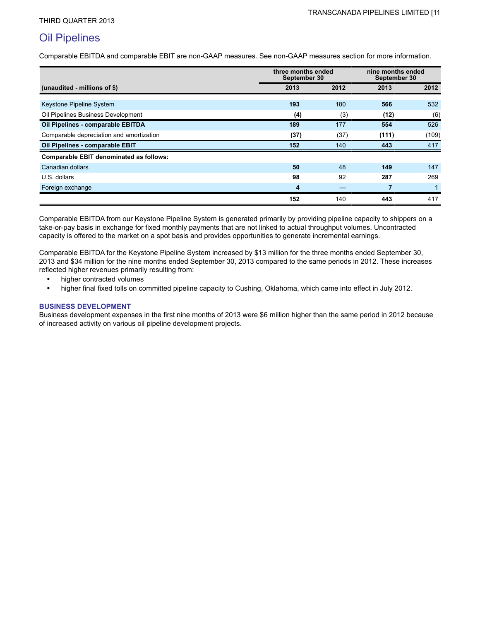# Oil Pipelines

Comparable EBITDA and comparable EBIT are non-GAAP measures. See non-GAAP measures section for more information.

|                                                | three months ended<br>September 30 |      | nine months ended<br>September 30 |       |
|------------------------------------------------|------------------------------------|------|-----------------------------------|-------|
| (unaudited - millions of \$)                   | 2013                               | 2012 | 2013                              | 2012  |
| Keystone Pipeline System                       | 193                                | 180  | 566                               | 532   |
| Oil Pipelines Business Development             | (4)                                | (3)  | (12)                              | (6)   |
| Oil Pipelines - comparable EBITDA              | 189                                | 177  | 554                               | 526   |
| Comparable depreciation and amortization       | (37)                               | (37) | (111)                             | (109) |
| Oil Pipelines - comparable EBIT                | 152                                | 140  | 443                               | 417   |
| <b>Comparable EBIT denominated as follows:</b> |                                    |      |                                   |       |
| Canadian dollars                               | 50                                 | 48   | 149                               | 147   |
| U.S. dollars                                   | 98                                 | 92   | 287                               | 269   |
| Foreign exchange                               | 4                                  |      |                                   |       |
|                                                | 152                                | 140  | 443                               | 417   |

Comparable EBITDA from our Keystone Pipeline System is generated primarily by providing pipeline capacity to shippers on a take-or-pay basis in exchange for fixed monthly payments that are not linked to actual throughput volumes. Uncontracted capacity is offered to the market on a spot basis and provides opportunities to generate incremental earnings.

Comparable EBITDA for the Keystone Pipeline System increased by \$13 million for the three months ended September 30, 2013 and \$34 million for the nine months ended September 30, 2013 compared to the same periods in 2012. These increases reflected higher revenues primarily resulting from:

- higher contracted volumes
- higher final fixed tolls on committed pipeline capacity to Cushing, Oklahoma, which came into effect in July 2012.

# **BUSINESS DEVELOPMENT**

Business development expenses in the first nine months of 2013 were \$6 million higher than the same period in 2012 because of increased activity on various oil pipeline development projects.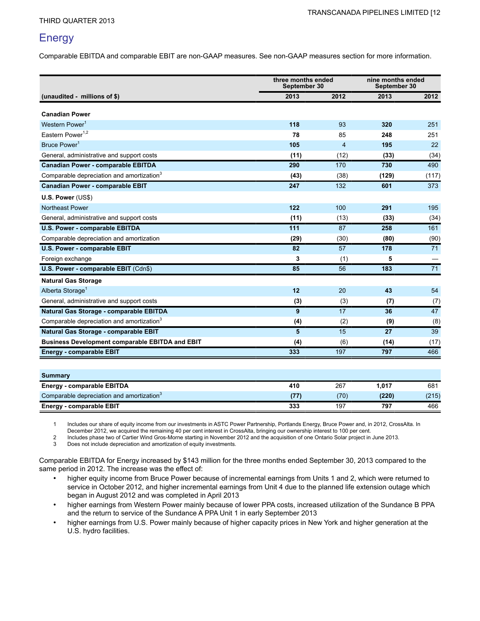# Energy

Comparable EBITDA and comparable EBIT are non-GAAP measures. See non-GAAP measures section for more information.

|                                                        | three months ended<br>September 30 |                | nine months ended<br>September 30 |       |
|--------------------------------------------------------|------------------------------------|----------------|-----------------------------------|-------|
| (unaudited - millions of \$)                           | 2013                               | 2012           | 2013                              | 2012  |
| <b>Canadian Power</b>                                  |                                    |                |                                   |       |
| Western Power <sup>1</sup>                             | 118                                | 93             | 320                               | 251   |
| Eastern Power <sup>1,2</sup>                           | 78                                 | 85             | 248                               | 251   |
| Bruce Power <sup>1</sup>                               | 105                                | $\overline{4}$ | 195                               | 22    |
| General, administrative and support costs              | (11)                               | (12)           | (33)                              | (34)  |
| <b>Canadian Power - comparable EBITDA</b>              | 290                                | 170            | 730                               | 490   |
| Comparable depreciation and amortization <sup>3</sup>  | (43)                               | (38)           | (129)                             | (117) |
| <b>Canadian Power - comparable EBIT</b>                | 247                                | 132            | 601                               | 373   |
| U.S. Power (US\$)                                      |                                    |                |                                   |       |
| Northeast Power                                        | 122                                | 100            | 291                               | 195   |
| General, administrative and support costs              | (11)                               | (13)           | (33)                              | (34)  |
| U.S. Power - comparable EBITDA                         | 111                                | 87             | 258                               | 161   |
| Comparable depreciation and amortization               | (29)                               | (30)           | (80)                              | (90)  |
| U.S. Power - comparable EBIT                           | 82                                 | 57             | 178                               | 71    |
| Foreign exchange                                       | 3                                  | (1)            | 5                                 |       |
| U.S. Power - comparable EBIT (Cdn\$)                   | 85                                 | 56             | 183                               | 71    |
| <b>Natural Gas Storage</b>                             |                                    |                |                                   |       |
| Alberta Storage <sup>1</sup>                           | 12                                 | 20             | 43                                | 54    |
| General, administrative and support costs              | (3)                                | (3)            | (7)                               | (7)   |
| Natural Gas Storage - comparable EBITDA                | 9                                  | 17             | 36                                | 47    |
| Comparable depreciation and amortization <sup>3</sup>  | (4)                                | (2)            | (9)                               | (8)   |
| Natural Gas Storage - comparable EBIT                  | 5                                  | 15             | 27                                | 39    |
| <b>Business Development comparable EBITDA and EBIT</b> | (4)                                | (6)            | (14)                              | (17)  |
| Energy - comparable EBIT                               | 333                                | 197            | 797                               | 466   |
|                                                        |                                    |                |                                   |       |
| <b>Summary</b>                                         |                                    |                |                                   |       |
| Energy - comparable EBITDA                             | 410                                | 267            | 1,017                             | 681   |
| Comparable depreciation and amortization <sup>3</sup>  | (77)                               | (70)           | (220)                             | (215) |
| Energy - comparable EBIT                               | 333                                | 197            | 797                               | 466   |

1 Includes our share of equity income from our investments in ASTC Power Partnership, Portlands Energy, Bruce Power and, in 2012, CrossAlta. In December 2012, we acquired the remaining 40 per cent interest in CrossAlta, bringing our ownership interest to 100 per cent.

2 Includes phase two of Cartier Wind Gros-Morne starting in November 2012 and the acquisition of one Ontario Solar project in June 2013.

3 Does not include depreciation and amortization of equity investments.

Comparable EBITDA for Energy increased by \$143 million for the three months ended September 30, 2013 compared to the same period in 2012. The increase was the effect of:

- higher equity income from Bruce Power because of incremental earnings from Units 1 and 2, which were returned to service in October 2012, and higher incremental earnings from Unit 4 due to the planned life extension outage which began in August 2012 and was completed in April 2013
- higher earnings from Western Power mainly because of lower PPA costs, increased utilization of the Sundance B PPA and the return to service of the Sundance A PPA Unit 1 in early September 2013
- higher earnings from U.S. Power mainly because of higher capacity prices in New York and higher generation at the U.S. hydro facilities.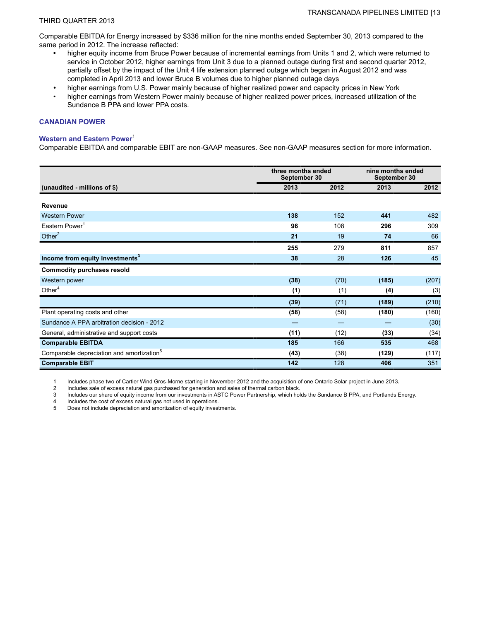Comparable EBITDA for Energy increased by \$336 million for the nine months ended September 30, 2013 compared to the same period in 2012. The increase reflected:

- higher equity income from Bruce Power because of incremental earnings from Units 1 and 2, which were returned to service in October 2012, higher earnings from Unit 3 due to a planned outage during first and second quarter 2012, partially offset by the impact of the Unit 4 life extension planned outage which began in August 2012 and was completed in April 2013 and lower Bruce B volumes due to higher planned outage days
- higher earnings from U.S. Power mainly because of higher realized power and capacity prices in New York
- higher earnings from Western Power mainly because of higher realized power prices, increased utilization of the Sundance B PPA and lower PPA costs.

### **CANADIAN POWER**

### **Western and Eastern Power**<sup>1</sup>

Comparable EBITDA and comparable EBIT are non-GAAP measures. See non-GAAP measures section for more information.

|                                                       | three months ended<br>September 30 |      | nine months ended<br>September 30 |       |
|-------------------------------------------------------|------------------------------------|------|-----------------------------------|-------|
| (unaudited - millions of \$)                          | 2013                               | 2012 | 2013                              | 2012  |
| Revenue                                               |                                    |      |                                   |       |
| <b>Western Power</b>                                  | 138                                | 152  | 441                               | 482   |
| Eastern Power <sup>1</sup>                            | 96                                 | 108  | 296                               | 309   |
| Other $2$                                             | 21                                 | 19   | 74                                | 66    |
|                                                       | 255                                | 279  | 811                               | 857   |
| Income from equity investments <sup>3</sup>           | 38                                 | 28   | 126                               | 45    |
| <b>Commodity purchases resold</b>                     |                                    |      |                                   |       |
| Western power                                         | (38)                               | (70) | (185)                             | (207) |
| Other $4$                                             | (1)                                | (1)  | (4)                               | (3)   |
|                                                       | (39)                               | (71) | (189)                             | (210) |
| Plant operating costs and other                       | (58)                               | (58) | (180)                             | (160) |
| Sundance A PPA arbitration decision - 2012            |                                    |      |                                   | (30)  |
| General, administrative and support costs             | (11)                               | (12) | (33)                              | (34)  |
| <b>Comparable EBITDA</b>                              | 185                                | 166  | 535                               | 468   |
| Comparable depreciation and amortization <sup>5</sup> | (43)                               | (38) | (129)                             | (117) |
| <b>Comparable EBIT</b>                                | 142                                | 128  | 406                               | 351   |

1 Includes phase two of Cartier Wind Gros-Morne starting in November 2012 and the acquisition of one Ontario Solar project in June 2013.<br>2 Includes sale of excess natural gas purchased for generation and sales of thermal c

2 Includes sale of excess natural gas purchased for generation and sales of thermal carbon black.

3 Includes our share of equity income from our investments in ASTC Power Partnership, which holds the Sundance B PPA, and Portlands Energy.

4 Includes the cost of excess natural gas not used in operations.

5 Does not include depreciation and amortization of equity investments.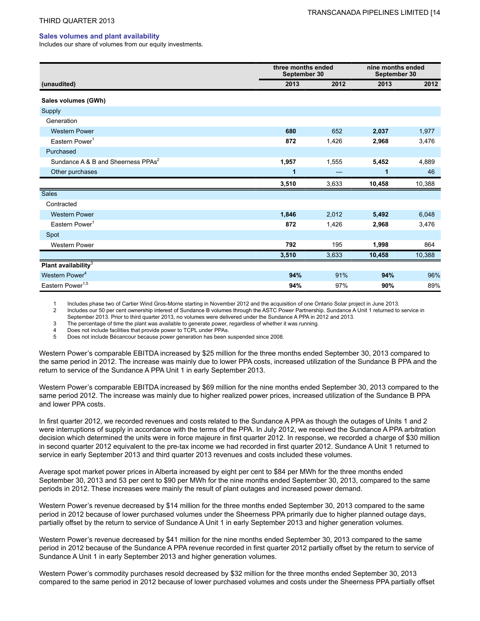#### **Sales volumes and plant availability**

Includes our share of volumes from our equity investments.

|                                                |       | nine months ended<br>three months ended<br>September 30<br>September 30 |        |        |
|------------------------------------------------|-------|-------------------------------------------------------------------------|--------|--------|
| (unaudited)                                    | 2013  | 2012                                                                    | 2013   | 2012   |
| Sales volumes (GWh)                            |       |                                                                         |        |        |
| Supply                                         |       |                                                                         |        |        |
| Generation                                     |       |                                                                         |        |        |
| <b>Western Power</b>                           | 680   | 652                                                                     | 2,037  | 1,977  |
| Eastern Power <sup>1</sup>                     | 872   | 1,426                                                                   | 2,968  | 3,476  |
| Purchased                                      |       |                                                                         |        |        |
| Sundance A & B and Sheerness PPAs <sup>2</sup> | 1,957 | 1,555                                                                   | 5,452  | 4,889  |
| Other purchases                                | 1     |                                                                         | 1      | 46     |
|                                                | 3,510 | 3,633                                                                   | 10,458 | 10,388 |
| $\frac{1}{\text{Sales}}$                       |       |                                                                         |        |        |
| Contracted                                     |       |                                                                         |        |        |
| <b>Western Power</b>                           | 1,846 | 2,012                                                                   | 5,492  | 6,048  |
| Eastern Power <sup>1</sup>                     | 872   | 1,426                                                                   | 2,968  | 3,476  |
| Spot                                           |       |                                                                         |        |        |
| <b>Western Power</b>                           | 792   | 195                                                                     | 1,998  | 864    |
|                                                | 3,510 | 3,633                                                                   | 10,458 | 10,388 |
| Plant availability <sup>3</sup>                |       |                                                                         |        |        |
| Western Power <sup>4</sup>                     | 94%   | 91%                                                                     | 94%    | 96%    |
| Eastern Power <sup>1,5</sup>                   | 94%   | 97%                                                                     | 90%    | 89%    |

1 Includes phase two of Cartier Wind Gros-Morne starting in November 2012 and the acquisition of one Ontario Solar project in June 2013.

2 Includes our 50 per cent ownership interest of Sundance B volumes through the ASTC Power Partnership. Sundance A Unit 1 returned to service in September 2013. Prior to third quarter 2013, no volumes were delivered under the Sundance A PPA in 2012 and 2013.

3 The percentage of time the plant was available to generate power, regardless of whether it was running.

4 Does not include facilities that provide power to TCPL under PPAs.

5 Does not include Bécancour because power generation has been suspended since 2008.

Western Power's comparable EBITDA increased by \$25 million for the three months ended September 30, 2013 compared to the same period in 2012. The increase was mainly due to lower PPA costs, increased utilization of the Sundance B PPA and the return to service of the Sundance A PPA Unit 1 in early September 2013.

Western Power's comparable EBITDA increased by \$69 million for the nine months ended September 30, 2013 compared to the same period 2012. The increase was mainly due to higher realized power prices, increased utilization of the Sundance B PPA and lower PPA costs.

In first quarter 2012, we recorded revenues and costs related to the Sundance A PPA as though the outages of Units 1 and 2 were interruptions of supply in accordance with the terms of the PPA. In July 2012, we received the Sundance A PPA arbitration decision which determined the units were in force majeure in first quarter 2012. In response, we recorded a charge of \$30 million in second quarter 2012 equivalent to the pre-tax income we had recorded in first quarter 2012. Sundance A Unit 1 returned to service in early September 2013 and third quarter 2013 revenues and costs included these volumes.

Average spot market power prices in Alberta increased by eight per cent to \$84 per MWh for the three months ended September 30, 2013 and 53 per cent to \$90 per MWh for the nine months ended September 30, 2013, compared to the same periods in 2012. These increases were mainly the result of plant outages and increased power demand.

Western Power's revenue decreased by \$14 million for the three months ended September 30, 2013 compared to the same period in 2012 because of lower purchased volumes under the Sheerness PPA primarily due to higher planned outage days, partially offset by the return to service of Sundance A Unit 1 in early September 2013 and higher generation volumes.

Western Power's revenue decreased by \$41 million for the nine months ended September 30, 2013 compared to the same period in 2012 because of the Sundance A PPA revenue recorded in first quarter 2012 partially offset by the return to service of Sundance A Unit 1 in early September 2013 and higher generation volumes.

Western Power's commodity purchases resold decreased by \$32 million for the three months ended September 30, 2013 compared to the same period in 2012 because of lower purchased volumes and costs under the Sheerness PPA partially offset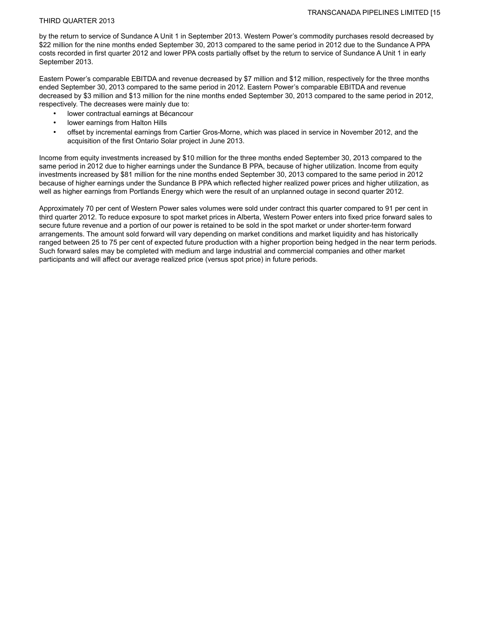by the return to service of Sundance A Unit 1 in September 2013. Western Power's commodity purchases resold decreased by \$22 million for the nine months ended September 30, 2013 compared to the same period in 2012 due to the Sundance A PPA costs recorded in first quarter 2012 and lower PPA costs partially offset by the return to service of Sundance A Unit 1 in early September 2013.

Eastern Power's comparable EBITDA and revenue decreased by \$7 million and \$12 million, respectively for the three months ended September 30, 2013 compared to the same period in 2012. Eastern Power's comparable EBITDA and revenue decreased by \$3 million and \$13 million for the nine months ended September 30, 2013 compared to the same period in 2012, respectively. The decreases were mainly due to:

- lower contractual earnings at Bécancour
- lower earnings from Halton Hills
- offset by incremental earnings from Cartier Gros-Morne, which was placed in service in November 2012, and the acquisition of the first Ontario Solar project in June 2013.

Income from equity investments increased by \$10 million for the three months ended September 30, 2013 compared to the same period in 2012 due to higher earnings under the Sundance B PPA, because of higher utilization. Income from equity investments increased by \$81 million for the nine months ended September 30, 2013 compared to the same period in 2012 because of higher earnings under the Sundance B PPA which reflected higher realized power prices and higher utilization, as well as higher earnings from Portlands Energy which were the result of an unplanned outage in second quarter 2012.

Approximately 70 per cent of Western Power sales volumes were sold under contract this quarter compared to 91 per cent in third quarter 2012. To reduce exposure to spot market prices in Alberta, Western Power enters into fixed price forward sales to secure future revenue and a portion of our power is retained to be sold in the spot market or under shorter-term forward arrangements. The amount sold forward will vary depending on market conditions and market liquidity and has historically ranged between 25 to 75 per cent of expected future production with a higher proportion being hedged in the near term periods. Such forward sales may be completed with medium and large industrial and commercial companies and other market participants and will affect our average realized price (versus spot price) in future periods.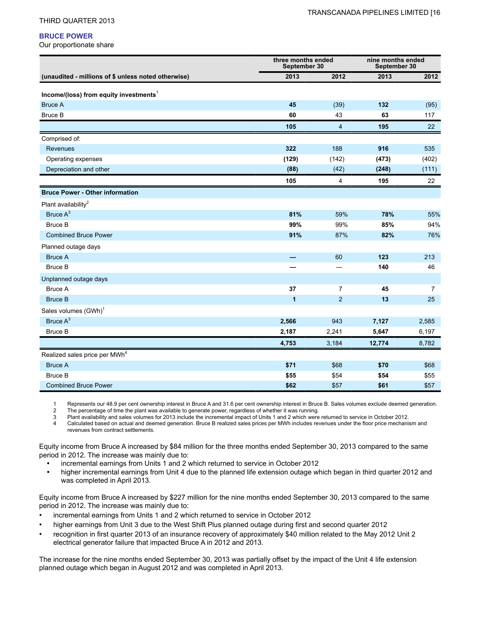#### **BRUCE POWER**

Our proportionate share

|                                                     | three months ended<br>September 30 |                | nine months ended<br>September 30 |                |
|-----------------------------------------------------|------------------------------------|----------------|-----------------------------------|----------------|
| (unaudited - millions of \$ unless noted otherwise) | 2013                               | 2012           | 2013                              | 2012           |
| Income/(loss) from equity investments <sup>1</sup>  |                                    |                |                                   |                |
| <b>Bruce A</b>                                      | 45                                 | (39)           | 132                               | (95)           |
| <b>Bruce B</b>                                      | 60                                 | 43             | 63                                | 117            |
|                                                     | 105                                | $\overline{4}$ | 195                               | 22             |
| Comprised of:                                       |                                    |                |                                   |                |
| Revenues                                            | 322                                | 188            | 916                               | 535            |
| Operating expenses                                  | (129)                              | (142)          | (473)                             | (402)          |
| Depreciation and other                              | (88)                               | (42)           | (248)                             | (111)          |
|                                                     | 105                                | 4              | 195                               | 22             |
| <b>Bruce Power - Other information</b>              |                                    |                |                                   |                |
| Plant availability <sup>2</sup>                     |                                    |                |                                   |                |
| Bruce A <sup>3</sup>                                | 81%                                | 59%            | 78%                               | 55%            |
| <b>Bruce B</b>                                      | 99%                                | 99%            | 85%                               | 94%            |
| <b>Combined Bruce Power</b>                         | 91%                                | 87%            | 82%                               | 76%            |
| Planned outage days                                 |                                    |                |                                   |                |
| <b>Bruce A</b>                                      |                                    | 60             | 123                               | 213            |
| <b>Bruce B</b>                                      |                                    |                | 140                               | 46             |
| Unplanned outage days                               |                                    |                |                                   |                |
| <b>Bruce A</b>                                      | 37                                 | 7              | 45                                | $\overline{7}$ |
| <b>Bruce B</b>                                      | $\mathbf{1}$                       | $\overline{2}$ | 13                                | 25             |
| Sales volumes (GWh) <sup>1</sup>                    |                                    |                |                                   |                |
| Bruce $A^3$                                         | 2,566                              | 943            | 7,127                             | 2,585          |
| <b>Bruce B</b>                                      | 2,187                              | 2,241          | 5,647                             | 6,197          |
|                                                     | 4,753                              | 3,184          | 12,774                            | 8,782          |
| Realized sales price per MWh <sup>4</sup>           |                                    |                |                                   |                |
| <b>Bruce A</b>                                      | \$71                               | \$68           | \$70                              | \$68           |
| <b>Bruce B</b>                                      | \$55                               | \$54           | \$54                              | \$55           |
| <b>Combined Bruce Power</b>                         | \$62                               | \$57           | \$61                              | \$57           |

1 Represents our 48.9 per cent ownership interest in Bruce A and 31.6 per cent ownership interest in Bruce B. Sales volumes exclude deemed generation.

2 The percentage of time the plant was available to generate power, regardless of whether it was running.<br>2 Plant availability and sales volumes for 2013 include the incremental impact of Units 1 and 2 which were

3 Plant availability and sales volumes for 2013 include the incremental impact of Units 1 and 2 which were returned to service in October 2012.

4 Calculated based on actual and deemed generation. Bruce B realized sales prices per MWh includes revenues under the floor price mechanism and revenues from contract settlements.

Equity income from Bruce A increased by \$84 million for the three months ended September 30, 2013 compared to the same period in 2012. The increase was mainly due to:

- incremental earnings from Units 1 and 2 which returned to service in October 2012
- higher incremental earnings from Unit 4 due to the planned life extension outage which began in third quarter 2012 and was completed in April 2013.

Equity income from Bruce A increased by \$227 million for the nine months ended September 30, 2013 compared to the same period in 2012. The increase was mainly due to:

- incremental earnings from Units 1 and 2 which returned to service in October 2012
- higher earnings from Unit 3 due to the West Shift Plus planned outage during first and second quarter 2012
- recognition in first quarter 2013 of an insurance recovery of approximately \$40 million related to the May 2012 Unit 2 electrical generator failure that impacted Bruce A in 2012 and 2013.

The increase for the nine months ended September 30, 2013 was partially offset by the impact of the Unit 4 life extension planned outage which began in August 2012 and was completed in April 2013.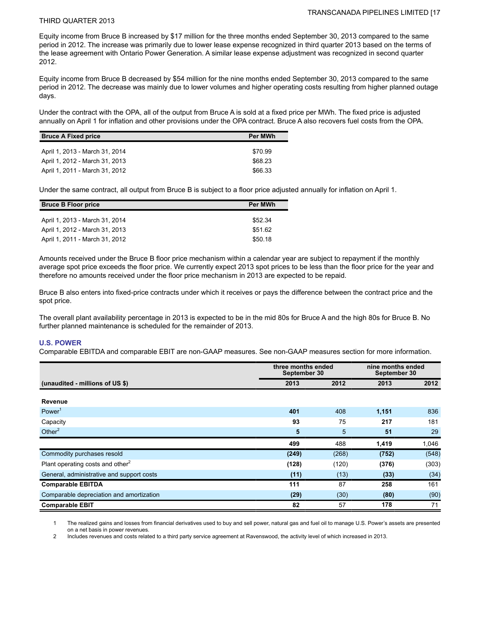Equity income from Bruce B increased by \$17 million for the three months ended September 30, 2013 compared to the same period in 2012. The increase was primarily due to lower lease expense recognized in third quarter 2013 based on the terms of the lease agreement with Ontario Power Generation. A similar lease expense adjustment was recognized in second quarter 2012.

Equity income from Bruce B decreased by \$54 million for the nine months ended September 30, 2013 compared to the same period in 2012. The decrease was mainly due to lower volumes and higher operating costs resulting from higher planned outage days.

Under the contract with the OPA, all of the output from Bruce A is sold at a fixed price per MWh. The fixed price is adjusted annually on April 1 for inflation and other provisions under the OPA contract. Bruce A also recovers fuel costs from the OPA.

| April 1, 2013 - March 31, 2014<br>\$70.99<br>April 1, 2012 - March 31, 2013<br>\$68.23 |  |
|----------------------------------------------------------------------------------------|--|
| April 1, 2011 - March 31, 2012<br>\$66.33                                              |  |

Under the same contract, all output from Bruce B is subject to a floor price adjusted annually for inflation on April 1.

| <b>Bruce B Floor price</b>     | Per MWh |
|--------------------------------|---------|
| April 1, 2013 - March 31, 2014 | \$52.34 |
| April 1, 2012 - March 31, 2013 | \$51.62 |
| April 1, 2011 - March 31, 2012 | \$50.18 |

Amounts received under the Bruce B floor price mechanism within a calendar year are subject to repayment if the monthly average spot price exceeds the floor price. We currently expect 2013 spot prices to be less than the floor price for the year and therefore no amounts received under the floor price mechanism in 2013 are expected to be repaid.

Bruce B also enters into fixed-price contracts under which it receives or pays the difference between the contract price and the spot price.

The overall plant availability percentage in 2013 is expected to be in the mid 80s for Bruce A and the high 80s for Bruce B. No further planned maintenance is scheduled for the remainder of 2013.

#### **U.S. POWER**

Comparable EBITDA and comparable EBIT are non-GAAP measures. See non-GAAP measures section for more information.

|                                              | three months ended<br>September 30 |                | nine months ended<br>September 30 |       |
|----------------------------------------------|------------------------------------|----------------|-----------------------------------|-------|
| (unaudited - millions of US \$)              | 2013                               | 2012           | 2013                              | 2012  |
| Revenue                                      |                                    |                |                                   |       |
| Power <sup>1</sup>                           | 401                                | 408            | 1,151                             | 836   |
| Capacity                                     | 93                                 | 75             | 217                               | 181   |
| Other $2$                                    | 5                                  | $\overline{5}$ | 51                                | 29    |
|                                              | 499                                | 488            | 1,419                             | 1,046 |
| Commodity purchases resold                   | (249)                              | (268)          | (752)                             | (548) |
| Plant operating costs and other <sup>2</sup> | (128)                              | (120)          | (376)                             | (303) |
| General, administrative and support costs    | (11)                               | (13)           | (33)                              | (34)  |
| <b>Comparable EBITDA</b>                     | 111                                | 87             | 258                               | 161   |
| Comparable depreciation and amortization     | (29)                               | (30)           | (80)                              | (90)  |
| <b>Comparable EBIT</b>                       | 82                                 | 57             | 178                               | 71    |

1 The realized gains and losses from financial derivatives used to buy and sell power, natural gas and fuel oil to manage U.S. Power's assets are presented on a net basis in power revenues.

2 Includes revenues and costs related to a third party service agreement at Ravenswood, the activity level of which increased in 2013.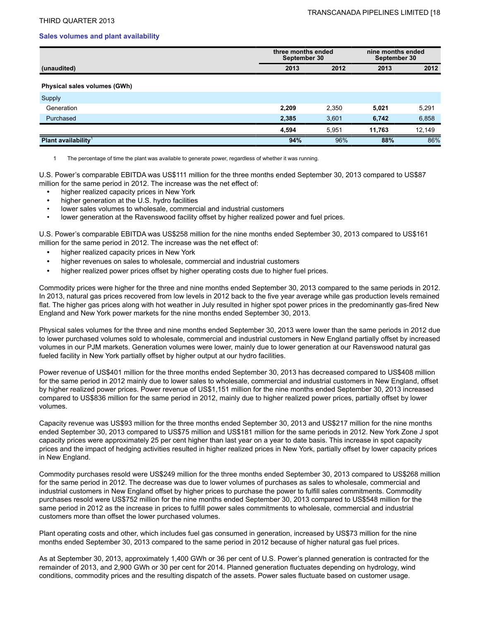### **Sales volumes and plant availability**

|                              | three months ended<br>September 30 |       | nine months ended<br>September 30 |        |  |
|------------------------------|------------------------------------|-------|-----------------------------------|--------|--|
| (unaudited)                  | 2013                               | 2012  | 2013                              | 2012   |  |
| Physical sales volumes (GWh) |                                    |       |                                   |        |  |
| Supply                       |                                    |       |                                   |        |  |
| Generation                   | 2,209                              | 2,350 | 5,021                             | 5,291  |  |
| Purchased                    | 2.385                              | 3,601 | 6,742                             | 6,858  |  |
|                              | 4,594                              | 5,951 | 11,763                            | 12,149 |  |
| Plant availability $1$       | 94%                                | 96%   | 88%                               | 86%    |  |

1 The percentage of time the plant was available to generate power, regardless of whether it was running.

U.S. Power's comparable EBITDA was US\$111 million for the three months ended September 30, 2013 compared to US\$87 million for the same period in 2012. The increase was the net effect of:

- higher realized capacity prices in New York
- higher generation at the U.S. hydro facilities
- lower sales volumes to wholesale, commercial and industrial customers
- lower generation at the Ravenswood facility offset by higher realized power and fuel prices.

U.S. Power's comparable EBITDA was US\$258 million for the nine months ended September 30, 2013 compared to US\$161 million for the same period in 2012. The increase was the net effect of:

- **•** higher realized capacity prices in New York
- **•** higher revenues on sales to wholesale, commercial and industrial customers
- **•** higher realized power prices offset by higher operating costs due to higher fuel prices.

Commodity prices were higher for the three and nine months ended September 30, 2013 compared to the same periods in 2012. In 2013, natural gas prices recovered from low levels in 2012 back to the five year average while gas production levels remained flat. The higher gas prices along with hot weather in July resulted in higher spot power prices in the predominantly gas-fired New England and New York power markets for the nine months ended September 30, 2013.

Physical sales volumes for the three and nine months ended September 30, 2013 were lower than the same periods in 2012 due to lower purchased volumes sold to wholesale, commercial and industrial customers in New England partially offset by increased volumes in our PJM markets. Generation volumes were lower, mainly due to lower generation at our Ravenswood natural gas fueled facility in New York partially offset by higher output at our hydro facilities.

Power revenue of US\$401 million for the three months ended September 30, 2013 has decreased compared to US\$408 million for the same period in 2012 mainly due to lower sales to wholesale, commercial and industrial customers in New England, offset by higher realized power prices. Power revenue of US\$1,151 million for the nine months ended September 30, 2013 increased compared to US\$836 million for the same period in 2012, mainly due to higher realized power prices, partially offset by lower volumes.

Capacity revenue was US\$93 million for the three months ended September 30, 2013 and US\$217 million for the nine months ended September 30, 2013 compared to US\$75 million and US\$181 million for the same periods in 2012. New York Zone J spot capacity prices were approximately 25 per cent higher than last year on a year to date basis. This increase in spot capacity prices and the impact of hedging activities resulted in higher realized prices in New York, partially offset by lower capacity prices in New England.

Commodity purchases resold were US\$249 million for the three months ended September 30, 2013 compared to US\$268 million for the same period in 2012. The decrease was due to lower volumes of purchases as sales to wholesale, commercial and industrial customers in New England offset by higher prices to purchase the power to fulfill sales commitments. Commodity purchases resold were US\$752 million for the nine months ended September 30, 2013 compared to US\$548 million for the same period in 2012 as the increase in prices to fulfill power sales commitments to wholesale, commercial and industrial customers more than offset the lower purchased volumes.

Plant operating costs and other, which includes fuel gas consumed in generation, increased by US\$73 million for the nine months ended September 30, 2013 compared to the same period in 2012 because of higher natural gas fuel prices.

As at September 30, 2013, approximately 1,400 GWh or 36 per cent of U.S. Power's planned generation is contracted for the remainder of 2013, and 2,900 GWh or 30 per cent for 2014. Planned generation fluctuates depending on hydrology, wind conditions, commodity prices and the resulting dispatch of the assets. Power sales fluctuate based on customer usage.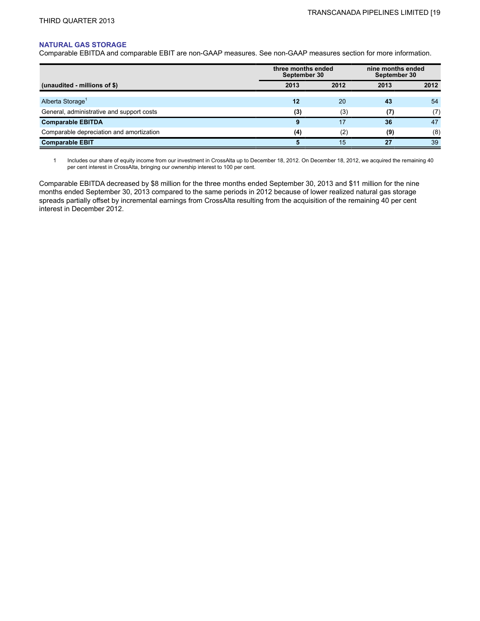# **NATURAL GAS STORAGE**

Comparable EBITDA and comparable EBIT are non-GAAP measures. See non-GAAP measures section for more information.

|                                           | three months ended<br>September 30 |      | nine months ended<br>September 30 |      |
|-------------------------------------------|------------------------------------|------|-----------------------------------|------|
| (unaudited - millions of \$)              | 2013                               | 2012 | 2013                              | 2012 |
| Alberta Storage <sup>1</sup>              | 12                                 | 20   | 43                                | 54   |
| General, administrative and support costs | (3)                                | (3)  |                                   | (7)  |
| <b>Comparable EBITDA</b>                  | 9                                  | 17   | 36                                | 47   |
| Comparable depreciation and amortization  | (4)                                | (2)  | (9)                               | (8)  |
| <b>Comparable EBIT</b>                    |                                    | 15   | 27                                | 39   |

1 Includes our share of equity income from our investment in CrossAlta up to December 18, 2012. On December 18, 2012, we acquired the remaining 40 per cent interest in CrossAlta, bringing our ownership interest to 100 per cent.

Comparable EBITDA decreased by \$8 million for the three months ended September 30, 2013 and \$11 million for the nine months ended September 30, 2013 compared to the same periods in 2012 because of lower realized natural gas storage spreads partially offset by incremental earnings from CrossAlta resulting from the acquisition of the remaining 40 per cent interest in December 2012.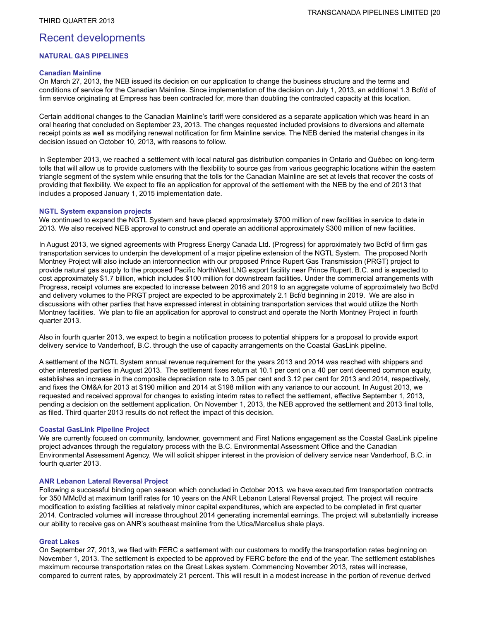# Recent developments

# **NATURAL GAS PIPELINES**

# **Canadian Mainline**

On March 27, 2013, the NEB issued its decision on our application to change the business structure and the terms and conditions of service for the Canadian Mainline. Since implementation of the decision on July 1, 2013, an additional 1.3 Bcf/d of firm service originating at Empress has been contracted for, more than doubling the contracted capacity at this location.

Certain additional changes to the Canadian Mainline's tariff were considered as a separate application which was heard in an oral hearing that concluded on September 23, 2013. The changes requested included provisions to diversions and alternate receipt points as well as modifying renewal notification for firm Mainline service. The NEB denied the material changes in its decision issued on October 10, 2013, with reasons to follow.

In September 2013, we reached a settlement with local natural gas distribution companies in Ontario and Québec on long-term tolls that will allow us to provide customers with the flexibility to source gas from various geographic locations within the eastern triangle segment of the system while ensuring that the tolls for the Canadian Mainline are set at levels that recover the costs of providing that flexibility. We expect to file an application for approval of the settlement with the NEB by the end of 2013 that includes a proposed January 1, 2015 implementation date.

# **NGTL System expansion projects**

We continued to expand the NGTL System and have placed approximately \$700 million of new facilities in service to date in 2013. We also received NEB approval to construct and operate an additional approximately \$300 million of new facilities.

In August 2013, we signed agreements with Progress Energy Canada Ltd. (Progress) for approximately two Bcf/d of firm gas transportation services to underpin the development of a major pipeline extension of the NGTL System. The proposed North Montney Project will also include an interconnection with our proposed Prince Rupert Gas Transmission (PRGT) project to provide natural gas supply to the proposed Pacific NorthWest LNG export facility near Prince Rupert, B.C. and is expected to cost approximately \$1.7 billion, which includes \$100 million for downstream facilities. Under the commercial arrangements with Progress, receipt volumes are expected to increase between 2016 and 2019 to an aggregate volume of approximately two Bcf/d and delivery volumes to the PRGT project are expected to be approximately 2.1 Bcf/d beginning in 2019. We are also in discussions with other parties that have expressed interest in obtaining transportation services that would utilize the North Montney facilities. We plan to file an application for approval to construct and operate the North Montney Project in fourth quarter 2013.

Also in fourth quarter 2013, we expect to begin a notification process to potential shippers for a proposal to provide export delivery service to Vanderhoof, B.C. through the use of capacity arrangements on the Coastal GasLink pipeline.

A settlement of the NGTL System annual revenue requirement for the years 2013 and 2014 was reached with shippers and other interested parties in August 2013. The settlement fixes return at 10.1 per cent on a 40 per cent deemed common equity, establishes an increase in the composite depreciation rate to 3.05 per cent and 3.12 per cent for 2013 and 2014, respectively, and fixes the OM&A for 2013 at \$190 million and 2014 at \$198 million with any variance to our account. In August 2013, we requested and received approval for changes to existing interim rates to reflect the settlement, effective September 1, 2013, pending a decision on the settlement application. On November 1, 2013, the NEB approved the settlement and 2013 final tolls, as filed. Third quarter 2013 results do not reflect the impact of this decision.

### **Coastal GasLink Pipeline Project**

We are currently focused on community, landowner, government and First Nations engagement as the Coastal GasLink pipeline project advances through the regulatory process with the B.C. Environmental Assessment Office and the Canadian Environmental Assessment Agency. We will solicit shipper interest in the provision of delivery service near Vanderhoof, B.C. in fourth quarter 2013.

### **ANR Lebanon Lateral Reversal Project**

Following a successful binding open season which concluded in October 2013, we have executed firm transportation contracts for 350 MMcf/d at maximum tariff rates for 10 years on the ANR Lebanon Lateral Reversal project. The project will require modification to existing facilities at relatively minor capital expenditures, which are expected to be completed in first quarter 2014. Contracted volumes will increase throughout 2014 generating incremental earnings. The project will substantially increase our ability to receive gas on ANR's southeast mainline from the Utica/Marcellus shale plays.

### **Great Lakes**

On September 27, 2013, we filed with FERC a settlement with our customers to modify the transportation rates beginning on November 1, 2013. The settlement is expected to be approved by FERC before the end of the year. The settlement establishes maximum recourse transportation rates on the Great Lakes system. Commencing November 2013, rates will increase, compared to current rates, by approximately 21 percent. This will result in a modest increase in the portion of revenue derived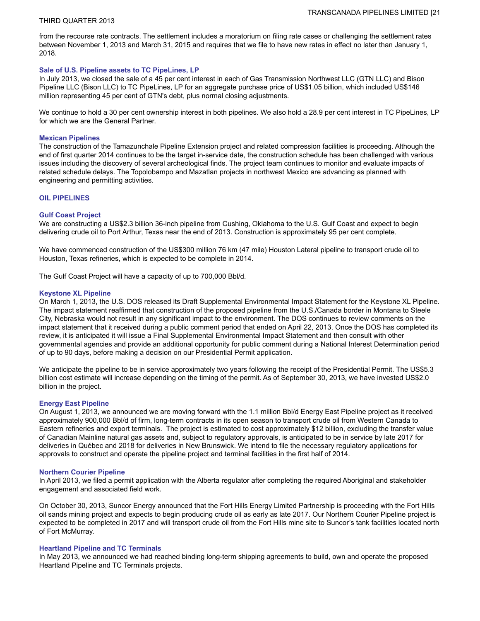from the recourse rate contracts. The settlement includes a moratorium on filing rate cases or challenging the settlement rates between November 1, 2013 and March 31, 2015 and requires that we file to have new rates in effect no later than January 1, 2018.

#### **Sale of U.S. Pipeline assets to TC PipeLines, LP**

In July 2013, we closed the sale of a 45 per cent interest in each of Gas Transmission Northwest LLC (GTN LLC) and Bison Pipeline LLC (Bison LLC) to TC PipeLines, LP for an aggregate purchase price of US\$1.05 billion, which included US\$146 million representing 45 per cent of GTN's debt, plus normal closing adjustments.

We continue to hold a 30 per cent ownership interest in both pipelines. We also hold a 28.9 per cent interest in TC PipeLines, LP for which we are the General Partner.

### **Mexican Pipelines**

The construction of the Tamazunchale Pipeline Extension project and related compression facilities is proceeding. Although the end of first quarter 2014 continues to be the target in-service date, the construction schedule has been challenged with various issues including the discovery of several archeological finds. The project team continues to monitor and evaluate impacts of related schedule delays. The Topolobampo and Mazatlan projects in northwest Mexico are advancing as planned with engineering and permitting activities.

### **OIL PIPELINES**

#### **Gulf Coast Project**

We are constructing a US\$2.3 billion 36-inch pipeline from Cushing, Oklahoma to the U.S. Gulf Coast and expect to begin delivering crude oil to Port Arthur, Texas near the end of 2013. Construction is approximately 95 per cent complete.

We have commenced construction of the US\$300 million 76 km (47 mile) Houston Lateral pipeline to transport crude oil to Houston, Texas refineries, which is expected to be complete in 2014.

The Gulf Coast Project will have a capacity of up to 700,000 Bbl/d.

#### **Keystone XL Pipeline**

On March 1, 2013, the U.S. DOS released its Draft Supplemental Environmental Impact Statement for the Keystone XL Pipeline. The impact statement reaffirmed that construction of the proposed pipeline from the U.S./Canada border in Montana to Steele City, Nebraska would not result in any significant impact to the environment. The DOS continues to review comments on the impact statement that it received during a public comment period that ended on April 22, 2013. Once the DOS has completed its review, it is anticipated it will issue a Final Supplemental Environmental Impact Statement and then consult with other governmental agencies and provide an additional opportunity for public comment during a National Interest Determination period of up to 90 days, before making a decision on our Presidential Permit application.

We anticipate the pipeline to be in service approximately two years following the receipt of the Presidential Permit. The US\$5.3 billion cost estimate will increase depending on the timing of the permit. As of September 30, 2013, we have invested US\$2.0 billion in the project.

### **Energy East Pipeline**

On August 1, 2013, we announced we are moving forward with the 1.1 million Bbl/d Energy East Pipeline project as it received approximately 900,000 Bbl/d of firm, long-term contracts in its open season to transport crude oil from Western Canada to Eastern refineries and export terminals. The project is estimated to cost approximately \$12 billion, excluding the transfer value of Canadian Mainline natural gas assets and, subject to regulatory approvals, is anticipated to be in service by late 2017 for deliveries in Québec and 2018 for deliveries in New Brunswick. We intend to file the necessary regulatory applications for approvals to construct and operate the pipeline project and terminal facilities in the first half of 2014.

#### **Northern Courier Pipeline**

In April 2013, we filed a permit application with the Alberta regulator after completing the required Aboriginal and stakeholder engagement and associated field work.

On October 30, 2013, Suncor Energy announced that the Fort Hills Energy Limited Partnership is proceeding with the Fort Hills oil sands mining project and expects to begin producing crude oil as early as late 2017. Our Northern Courier Pipeline project is expected to be completed in 2017 and will transport crude oil from the Fort Hills mine site to Suncor's tank facilities located north of Fort McMurray.

#### **Heartland Pipeline and TC Terminals**

In May 2013, we announced we had reached binding long-term shipping agreements to build, own and operate the proposed Heartland Pipeline and TC Terminals projects.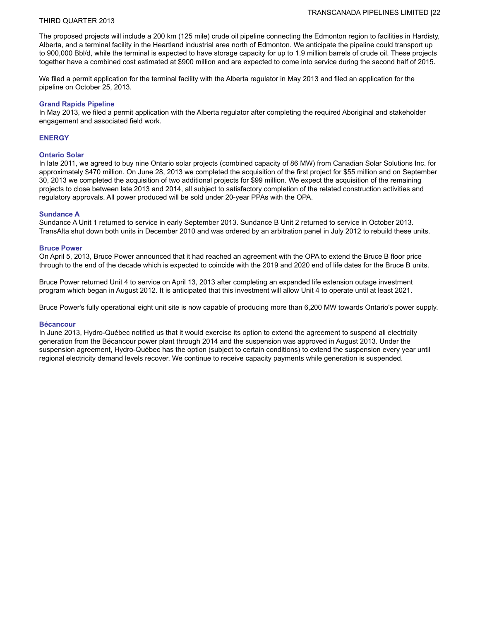The proposed projects will include a 200 km (125 mile) crude oil pipeline connecting the Edmonton region to facilities in Hardisty, Alberta, and a terminal facility in the Heartland industrial area north of Edmonton. We anticipate the pipeline could transport up to 900,000 Bbl/d, while the terminal is expected to have storage capacity for up to 1.9 million barrels of crude oil. These projects together have a combined cost estimated at \$900 million and are expected to come into service during the second half of 2015.

We filed a permit application for the terminal facility with the Alberta regulator in May 2013 and filed an application for the pipeline on October 25, 2013.

#### **Grand Rapids Pipeline**

In May 2013, we filed a permit application with the Alberta regulator after completing the required Aboriginal and stakeholder engagement and associated field work.

#### **ENERGY**

#### **Ontario Solar**

In late 2011, we agreed to buy nine Ontario solar projects (combined capacity of 86 MW) from Canadian Solar Solutions Inc. for approximately \$470 million. On June 28, 2013 we completed the acquisition of the first project for \$55 million and on September 30, 2013 we completed the acquisition of two additional projects for \$99 million. We expect the acquisition of the remaining projects to close between late 2013 and 2014, all subject to satisfactory completion of the related construction activities and regulatory approvals. All power produced will be sold under 20-year PPAs with the OPA.

#### **Sundance A**

Sundance A Unit 1 returned to service in early September 2013. Sundance B Unit 2 returned to service in October 2013. TransAlta shut down both units in December 2010 and was ordered by an arbitration panel in July 2012 to rebuild these units.

#### **Bruce Power**

On April 5, 2013, Bruce Power announced that it had reached an agreement with the OPA to extend the Bruce B floor price through to the end of the decade which is expected to coincide with the 2019 and 2020 end of life dates for the Bruce B units.

Bruce Power returned Unit 4 to service on April 13, 2013 after completing an expanded life extension outage investment program which began in August 2012. It is anticipated that this investment will allow Unit 4 to operate until at least 2021.

Bruce Power's fully operational eight unit site is now capable of producing more than 6,200 MW towards Ontario's power supply.

#### **Bécancour**

In June 2013, Hydro-Québec notified us that it would exercise its option to extend the agreement to suspend all electricity generation from the Bécancour power plant through 2014 and the suspension was approved in August 2013. Under the suspension agreement, Hydro-Québec has the option (subject to certain conditions) to extend the suspension every year until regional electricity demand levels recover. We continue to receive capacity payments while generation is suspended.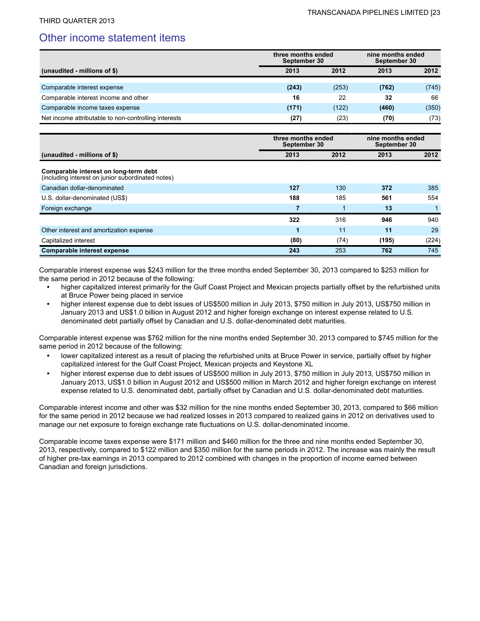# Other income statement items

|                                                      | three months ended<br>September 30 |       | nine months ended<br>September 30 |       |
|------------------------------------------------------|------------------------------------|-------|-----------------------------------|-------|
| (unaudited - millions of \$)                         | 2013                               | 2012  | 2013                              | 2012  |
| Comparable interest expense                          | (243)                              | (253) | (762)                             | (745) |
| Comparable interest income and other                 | 16                                 | 22    | 32                                | 66    |
| Comparable income taxes expense                      | (171)                              | (122) | (460)                             | (350) |
| Net income attributable to non-controlling interests | (27)                               | (23)  | (70)                              | (73)  |

|                              | three months ended<br>September 30 |      | nine months ended<br>September 30 |      |
|------------------------------|------------------------------------|------|-----------------------------------|------|
| (unaudited - millions of \$) | 2013                               | 2012 | 2013                              | 2012 |

# **Comparable interest on long-term debt**

| <b>Comparable interest expense</b>                | 243  | 253  | 762   | 745   |
|---------------------------------------------------|------|------|-------|-------|
| Capitalized interest                              | (80) | (74) | (195) | (224) |
| Other interest and amortization expense           |      | 11   | 11    | 29    |
|                                                   | 322  | 316  | 946   | 940   |
| Foreign exchange                                  |      |      | 13    |       |
| U.S. dollar-denominated (US\$)                    | 188  | 185  | 561   | 554   |
| Canadian dollar-denominated                       | 127  | 130  | 372   | 385   |
| (including interest on junior subordinated notes) |      |      |       |       |

Comparable interest expense was \$243 million for the three months ended September 30, 2013 compared to \$253 million for the same period in 2012 because of the following:

- higher capitalized interest primarily for the Gulf Coast Project and Mexican projects partially offset by the refurbished units at Bruce Power being placed in service
- higher interest expense due to debt issues of US\$500 million in July 2013, \$750 million in July 2013, US\$750 million in January 2013 and US\$1.0 billion in August 2012 and higher foreign exchange on interest expense related to U.S. denominated debt partially offset by Canadian and U.S. dollar-denominated debt maturities.

Comparable interest expense was \$762 million for the nine months ended September 30, 2013 compared to \$745 million for the same period in 2012 because of the following:

- **•** lower capitalized interest as a result of placing the refurbished units at Bruce Power in service, partially offset by higher capitalized interest for the Gulf Coast Project, Mexican projects and Keystone XL
- **•** higher interest expense due to debt issues of US\$500 million in July 2013, \$750 million in July 2013, US\$750 million in January 2013, US\$1.0 billion in August 2012 and US\$500 million in March 2012 and higher foreign exchange on interest expense related to U.S. denominated debt, partially offset by Canadian and U.S. dollar-denominated debt maturities.

Comparable interest income and other was \$32 million for the nine months ended September 30, 2013, compared to \$66 million for the same period in 2012 because we had realized losses in 2013 compared to realized gains in 2012 on derivatives used to manage our net exposure to foreign exchange rate fluctuations on U.S. dollar-denominated income.

Comparable income taxes expense were \$171 million and \$460 million for the three and nine months ended September 30, 2013, respectively, compared to \$122 million and \$350 million for the same periods in 2012. The increase was mainly the result of higher pre-tax earnings in 2013 compared to 2012 combined with changes in the proportion of income earned between Canadian and foreign jurisdictions.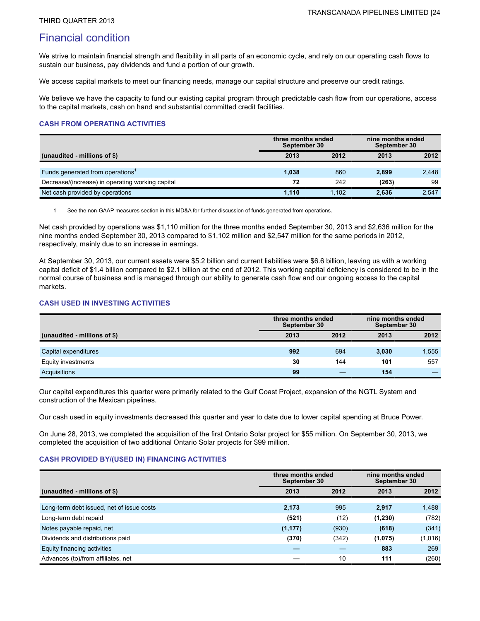# Financial condition

We strive to maintain financial strength and flexibility in all parts of an economic cycle, and rely on our operating cash flows to sustain our business, pay dividends and fund a portion of our growth.

We access capital markets to meet our financing needs, manage our capital structure and preserve our credit ratings.

We believe we have the capacity to fund our existing capital program through predictable cash flow from our operations, access to the capital markets, cash on hand and substantial committed credit facilities.

# **CASH FROM OPERATING ACTIVITIES**

|                                                  | three months ended<br>September 30 |      | nine months ended<br>September 30 |       |
|--------------------------------------------------|------------------------------------|------|-----------------------------------|-------|
| (unaudited - millions of \$)                     | 2012<br>2013                       |      | 2013                              | 2012  |
| Funds generated from operations <sup>1</sup>     | 1,038                              | 860  | 2.899                             | 2,448 |
| Decrease/(increase) in operating working capital | 72                                 | 242  | (263)                             | 99    |
| Net cash provided by operations                  | 1.110                              | .102 | 2.636                             | 2,547 |

1 See the non-GAAP measures section in this MD&A for further discussion of funds generated from operations.

Net cash provided by operations was \$1,110 million for the three months ended September 30, 2013 and \$2,636 million for the nine months ended September 30, 2013 compared to \$1,102 million and \$2,547 million for the same periods in 2012, respectively, mainly due to an increase in earnings.

At September 30, 2013, our current assets were \$5.2 billion and current liabilities were \$6.6 billion, leaving us with a working capital deficit of \$1.4 billion compared to \$2.1 billion at the end of 2012. This working capital deficiency is considered to be in the normal course of business and is managed through our ability to generate cash flow and our ongoing access to the capital markets.

# **CASH USED IN INVESTING ACTIVITIES**

|                              | three months ended<br>September 30 |     | nine months ended<br>September 30 |       |
|------------------------------|------------------------------------|-----|-----------------------------------|-------|
| (unaudited - millions of \$) | 2013<br>2012                       |     | 2012<br>2013                      |       |
|                              |                                    |     |                                   |       |
| Capital expenditures         | 992                                | 694 | 3,030                             | 1,555 |
| Equity investments           | 30                                 | 144 | 101                               | 557   |
| Acquisitions                 | 99                                 |     | 154                               |       |

Our capital expenditures this quarter were primarily related to the Gulf Coast Project, expansion of the NGTL System and construction of the Mexican pipelines.

Our cash used in equity investments decreased this quarter and year to date due to lower capital spending at Bruce Power.

On June 28, 2013, we completed the acquisition of the first Ontario Solar project for \$55 million. On September 30, 2013, we completed the acquisition of two additional Ontario Solar projects for \$99 million.

# **CASH PROVIDED BY/(USED IN) FINANCING ACTIVITIES**

|                                           | three months ended<br>September 30 |       | nine months ended<br>September 30 |         |
|-------------------------------------------|------------------------------------|-------|-----------------------------------|---------|
| (unaudited - millions of \$)              | 2013                               | 2012  | 2013                              | 2012    |
| Long-term debt issued, net of issue costs | 2,173                              | 995   | 2.917                             | 1,488   |
| Long-term debt repaid                     | (521)                              | (12)  | (1, 230)                          | (782)   |
| Notes payable repaid, net                 | (1, 177)                           | (930) | (618)                             | (341)   |
| Dividends and distributions paid          | (370)                              | (342) | (1,075)                           | (1,016) |
| Equity financing activities               |                                    |       | 883                               | 269     |
| Advances (to)/from affiliates, net        |                                    | 10    | 111                               | (260)   |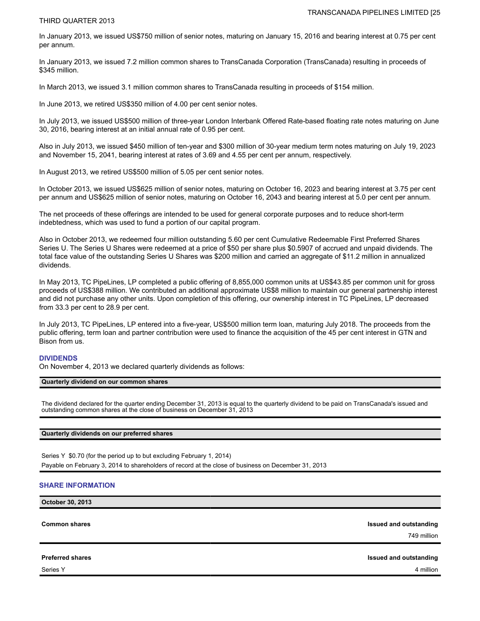In January 2013, we issued US\$750 million of senior notes, maturing on January 15, 2016 and bearing interest at 0.75 per cent per annum.

In January 2013, we issued 7.2 million common shares to TransCanada Corporation (TransCanada) resulting in proceeds of \$345 million.

In March 2013, we issued 3.1 million common shares to TransCanada resulting in proceeds of \$154 million.

In June 2013, we retired US\$350 million of 4.00 per cent senior notes.

In July 2013, we issued US\$500 million of three-year London Interbank Offered Rate-based floating rate notes maturing on June 30, 2016, bearing interest at an initial annual rate of 0.95 per cent.

Also in July 2013, we issued \$450 million of ten-year and \$300 million of 30-year medium term notes maturing on July 19, 2023 and November 15, 2041, bearing interest at rates of 3.69 and 4.55 per cent per annum, respectively.

In August 2013, we retired US\$500 million of 5.05 per cent senior notes.

In October 2013, we issued US\$625 million of senior notes, maturing on October 16, 2023 and bearing interest at 3.75 per cent per annum and US\$625 million of senior notes, maturing on October 16, 2043 and bearing interest at 5.0 per cent per annum.

The net proceeds of these offerings are intended to be used for general corporate purposes and to reduce short-term indebtedness, which was used to fund a portion of our capital program.

Also in October 2013, we redeemed four million outstanding 5.60 per cent Cumulative Redeemable First Preferred Shares Series U. The Series U Shares were redeemed at a price of \$50 per share plus \$0.5907 of accrued and unpaid dividends. The total face value of the outstanding Series U Shares was \$200 million and carried an aggregate of \$11.2 million in annualized dividends.

In May 2013, TC PipeLines, LP completed a public offering of 8,855,000 common units at US\$43.85 per common unit for gross proceeds of US\$388 million. We contributed an additional approximate US\$8 million to maintain our general partnership interest and did not purchase any other units. Upon completion of this offering, our ownership interest in TC PipeLines, LP decreased from 33.3 per cent to 28.9 per cent.

In July 2013, TC PipeLines, LP entered into a five-year, US\$500 million term loan, maturing July 2018. The proceeds from the public offering, term loan and partner contribution were used to finance the acquisition of the 45 per cent interest in GTN and Bison from us.

#### **DIVIDENDS**

On November 4, 2013 we declared quarterly dividends as follows:

#### **Quarterly dividend on our common shares**

The dividend declared for the quarter ending December 31, 2013 is equal to the quarterly dividend to be paid on TransCanada's issued and outstanding common shares at the close of business on December 31, 2013

#### **Quarterly dividends on our preferred shares**

Series Y \$0.70 (for the period up to but excluding February 1, 2014) Payable on February 3, 2014 to shareholders of record at the close of business on December 31, 2013

#### **SHARE INFORMATION**

**October 30, 2013**

**Common shares Issued and outstanding**

749 million

#### **Preferred shares Issued and outstanding**

Series Y 4 million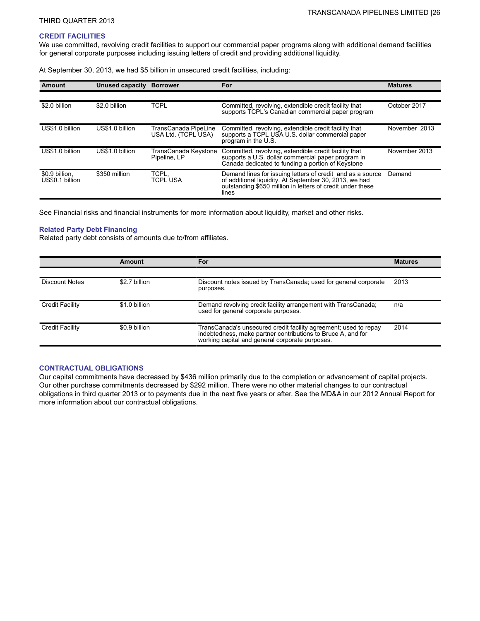#### **CREDIT FACILITIES**

We use committed, revolving credit facilities to support our commercial paper programs along with additional demand facilities for general corporate purposes including issuing letters of credit and providing additional liquidity.

| At September 30, 2013, we had \$5 billion in unsecured credit facilities, including: |  |  |  |  |  |
|--------------------------------------------------------------------------------------|--|--|--|--|--|
|--------------------------------------------------------------------------------------|--|--|--|--|--|

| Amount                            | Unused capacity | <b>Borrower</b>                             | For                                                                                                                                                                                         | <b>Matures</b> |
|-----------------------------------|-----------------|---------------------------------------------|---------------------------------------------------------------------------------------------------------------------------------------------------------------------------------------------|----------------|
|                                   |                 |                                             |                                                                                                                                                                                             |                |
| \$2.0 billion                     | \$2.0 billion   | <b>TCPL</b>                                 | Committed, revolving, extendible credit facility that<br>supports TCPL's Canadian commercial paper program                                                                                  | October 2017   |
| US\$1.0 billion                   | US\$1.0 billion | TransCanada PipeLine<br>USA Ltd. (TCPL USA) | Committed, revolving, extendible credit facility that<br>supports a TCPL USA U.S. dollar commercial paper<br>program in the U.S.                                                            | November 2013  |
| US\$1.0 billion                   | US\$1.0 billion | TransCanada Keystone<br>Pipeline, LP        | Committed, revolving, extendible credit facility that<br>supports a U.S. dollar commercial paper program in<br>Canada dedicated to funding a portion of Keystone                            | November 2013  |
| \$0.9 billion.<br>US\$0.1 billion | \$350 million   | TCPL,<br><b>TCPL USA</b>                    | Demand lines for issuing letters of credit and as a source<br>of additional liquidity. At September 30, 2013, we had<br>outstanding \$650 million in letters of credit under these<br>lines | Demand         |

See Financial risks and financial instruments for more information about liquidity, market and other risks.

#### **Related Party Debt Financing**

Related party debt consists of amounts due to/from affiliates.

|                 | Amount        | For                                                                                                                                                                              | <b>Matures</b> |
|-----------------|---------------|----------------------------------------------------------------------------------------------------------------------------------------------------------------------------------|----------------|
|                 |               |                                                                                                                                                                                  |                |
| Discount Notes  | \$2.7 billion | Discount notes issued by TransCanada; used for general corporate<br>purposes.                                                                                                    | 2013           |
| Credit Facility | \$1.0 billion | Demand revolving credit facility arrangement with TransCanada;<br>used for general corporate purposes.                                                                           | n/a            |
| Credit Facility | \$0.9 billion | TransCanada's unsecured credit facility agreement; used to repay indebtedness, make partner contributions to Bruce A, and for<br>working capital and general corporate purposes. | 2014           |

### **CONTRACTUAL OBLIGATIONS**

Our capital commitments have decreased by \$436 million primarily due to the completion or advancement of capital projects. Our other purchase commitments decreased by \$292 million. There were no other material changes to our contractual obligations in third quarter 2013 or to payments due in the next five years or after. See the MD&A in our 2012 Annual Report for more information about our contractual obligations.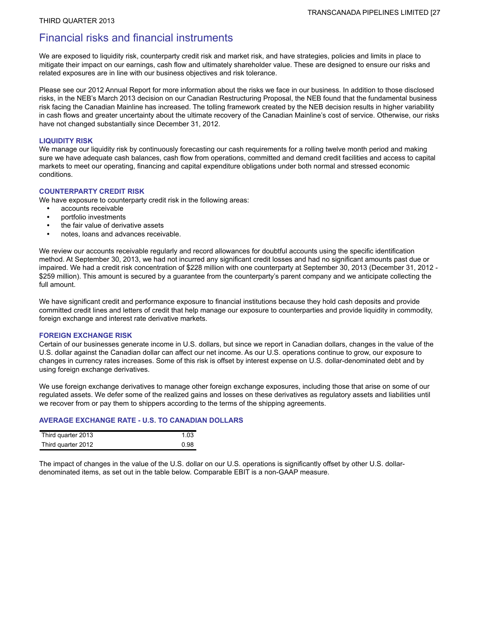# Financial risks and financial instruments

We are exposed to liquidity risk, counterparty credit risk and market risk, and have strategies, policies and limits in place to mitigate their impact on our earnings, cash flow and ultimately shareholder value. These are designed to ensure our risks and related exposures are in line with our business objectives and risk tolerance.

Please see our 2012 Annual Report for more information about the risks we face in our business. In addition to those disclosed risks, in the NEB's March 2013 decision on our Canadian Restructuring Proposal, the NEB found that the fundamental business risk facing the Canadian Mainline has increased. The tolling framework created by the NEB decision results in higher variability in cash flows and greater uncertainty about the ultimate recovery of the Canadian Mainline's cost of service. Otherwise, our risks have not changed substantially since December 31, 2012.

### **LIQUIDITY RISK**

We manage our liquidity risk by continuously forecasting our cash requirements for a rolling twelve month period and making sure we have adequate cash balances, cash flow from operations, committed and demand credit facilities and access to capital markets to meet our operating, financing and capital expenditure obligations under both normal and stressed economic conditions.

# **COUNTERPARTY CREDIT RISK**

We have exposure to counterparty credit risk in the following areas:

- accounts receivable
- portfolio investments
- the fair value of derivative assets
- notes, loans and advances receivable.

We review our accounts receivable regularly and record allowances for doubtful accounts using the specific identification method. At September 30, 2013, we had not incurred any significant credit losses and had no significant amounts past due or impaired. We had a credit risk concentration of \$228 million with one counterparty at September 30, 2013 (December 31, 2012 - \$259 million). This amount is secured by a guarantee from the counterparty's parent company and we anticipate collecting the full amount.

We have significant credit and performance exposure to financial institutions because they hold cash deposits and provide committed credit lines and letters of credit that help manage our exposure to counterparties and provide liquidity in commodity, foreign exchange and interest rate derivative markets.

# **FOREIGN EXCHANGE RISK**

Certain of our businesses generate income in U.S. dollars, but since we report in Canadian dollars, changes in the value of the U.S. dollar against the Canadian dollar can affect our net income. As our U.S. operations continue to grow, our exposure to changes in currency rates increases. Some of this risk is offset by interest expense on U.S. dollar-denominated debt and by using foreign exchange derivatives.

We use foreign exchange derivatives to manage other foreign exchange exposures, including those that arise on some of our regulated assets. We defer some of the realized gains and losses on these derivatives as regulatory assets and liabilities until we recover from or pay them to shippers according to the terms of the shipping agreements.

### **AVERAGE EXCHANGE RATE - U.S. TO CANADIAN DOLLARS**

| Third quarter 2013 | 1.03 |
|--------------------|------|
| Third quarter 2012 | 0.98 |

The impact of changes in the value of the U.S. dollar on our U.S. operations is significantly offset by other U.S. dollardenominated items, as set out in the table below. Comparable EBIT is a non-GAAP measure.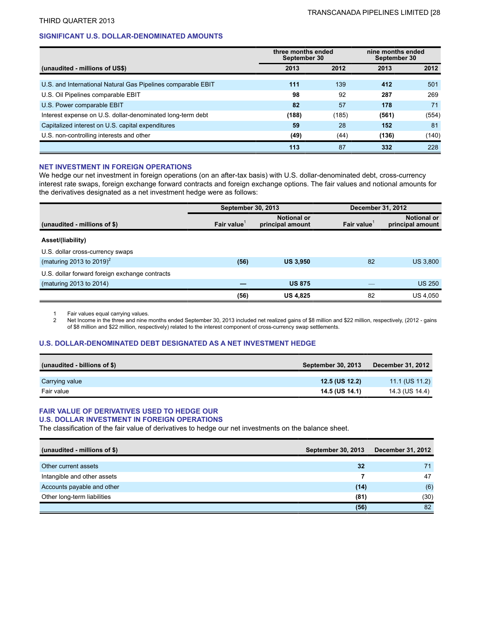# **SIGNIFICANT U.S. DOLLAR-DENOMINATED AMOUNTS**

| three months ended<br>September 30                           |       |       | nine months ended<br>September 30 |       |
|--------------------------------------------------------------|-------|-------|-----------------------------------|-------|
| (unaudited - millions of US\$)                               | 2013  | 2012  | 2013                              | 2012  |
| U.S. and International Natural Gas Pipelines comparable EBIT | 111   | 139   | 412                               | 501   |
| U.S. Oil Pipelines comparable EBIT                           | 98    | 92    | 287                               | 269   |
| U.S. Power comparable EBIT                                   | 82    | 57    | 178                               | 71    |
| Interest expense on U.S. dollar-denominated long-term debt   | (188) | (185) | (561)                             | (554) |
| Capitalized interest on U.S. capital expenditures            | 59    | 28    | 152                               | 81    |
| U.S. non-controlling interests and other                     | (49)  | (44)  | (136)                             | (140) |
|                                                              | 113   | 87    | 332                               | 228   |

### **NET INVESTMENT IN FOREIGN OPERATIONS**

We hedge our net investment in foreign operations (on an after-tax basis) with U.S. dollar-denominated debt, cross-currency interest rate swaps, foreign exchange forward contracts and foreign exchange options. The fair values and notional amounts for the derivatives designated as a net investment hedge were as follows:

|                                                | <b>September 30, 2013</b> |                                        |            | December 31, 2012                      |
|------------------------------------------------|---------------------------|----------------------------------------|------------|----------------------------------------|
| (unaudited - millions of \$)                   | Fair value <sup>1</sup>   | <b>Notional or</b><br>principal amount | Fair value | <b>Notional or</b><br>principal amount |
| Asset/(liability)                              |                           |                                        |            |                                        |
| U.S. dollar cross-currency swaps               |                           |                                        |            |                                        |
| (maturing 2013 to 2019) <sup>2</sup>           | (56)                      | <b>US 3,950</b>                        | 82         | <b>US 3,800</b>                        |
| U.S. dollar forward foreign exchange contracts |                           |                                        |            |                                        |
| (maturing 2013 to 2014)                        |                           | <b>US 875</b>                          |            | <b>US 250</b>                          |
|                                                | (56)                      | <b>US 4,825</b>                        | 82         | <b>US 4,050</b>                        |

1 Fair values equal carrying values.

2 Net Income in the three and nine months ended September 30, 2013 included net realized gains of \$8 million and \$22 million, respectively, (2012 - gains of \$8 million and \$22 million, respectively) related to the interest component of cross-currency swap settlements.

### **U.S. DOLLAR-DENOMINATED DEBT DESIGNATED AS A NET INVESTMENT HEDGE**

| (unaudited - billions of \$) | <b>September 30, 2013</b> | December 31, 2012 |
|------------------------------|---------------------------|-------------------|
| Carrying value               | 12.5 (US 12.2)            | 11.1 (US 11.2)    |
| Fair value                   | 14.5 (US 14.1)            | 14.3 (US 14.4)    |

#### **FAIR VALUE OF DERIVATIVES USED TO HEDGE OUR U.S. DOLLAR INVESTMENT IN FOREIGN OPERATIONS**

The classification of the fair value of derivatives to hedge our net investments on the balance sheet.

| (unaudited - millions of \$) | <b>September 30, 2013</b> | December 31, 2012 |
|------------------------------|---------------------------|-------------------|
|                              |                           |                   |
| Other current assets         | 32                        | 71                |
| Intangible and other assets  |                           | 47                |
| Accounts payable and other   | (14)                      | (6)               |
| Other long-term liabilities  | (81)                      | (30)              |
|                              | (56)                      | 82                |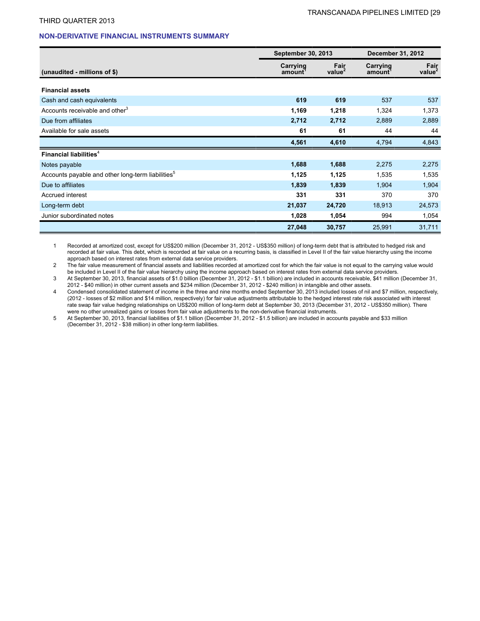### **NON-DERIVATIVE FINANCIAL INSTRUMENTS SUMMARY**

|                                                               | <b>September 30, 2013</b> |               |                                 | December 31, 2012          |  |  |
|---------------------------------------------------------------|---------------------------|---------------|---------------------------------|----------------------------|--|--|
| (unaudited - millions of \$)                                  | Carrying<br>amount'       | Fair<br>value | Carrying<br>amount <sup>'</sup> | Fair<br>value <sup>2</sup> |  |  |
| <b>Financial assets</b>                                       |                           |               |                                 |                            |  |  |
| Cash and cash equivalents                                     | 619                       | 619           | 537                             | 537                        |  |  |
| Accounts receivable and other <sup>3</sup>                    | 1,169                     | 1,218         | 1,324                           | 1,373                      |  |  |
| Due from affiliates                                           | 2,712                     | 2,712         | 2,889                           | 2,889                      |  |  |
| Available for sale assets                                     | 61                        | 61            | 44                              | 44                         |  |  |
|                                                               | 4,561                     | 4,610         | 4,794                           | 4,843                      |  |  |
| Financial liabilities <sup>4</sup>                            |                           |               |                                 |                            |  |  |
| Notes payable                                                 | 1,688                     | 1,688         | 2,275                           | 2,275                      |  |  |
| Accounts payable and other long-term liabilities <sup>5</sup> | 1,125                     | 1,125         | 1,535                           | 1,535                      |  |  |
| Due to affiliates                                             | 1,839                     | 1,839         | 1,904                           | 1,904                      |  |  |
| Accrued interest                                              | 331                       | 331           | 370                             | 370                        |  |  |
| Long-term debt                                                | 21,037                    | 24,720        | 18,913                          | 24,573                     |  |  |
| Junior subordinated notes                                     | 1,028                     | 1,054         | 994                             | 1,054                      |  |  |
|                                                               | 27,048                    | 30,757        | 25,991                          | 31,711                     |  |  |

1 Recorded at amortized cost, except for US\$200 million (December 31, 2012 - US\$350 million) of long-term debt that is attributed to hedged risk and recorded at fair value. This debt, which is recorded at fair value on a recurring basis, is classified in Level II of the fair value hierarchy using the income approach based on interest rates from external data service providers.

2 The fair value measurement of financial assets and liabilities recorded at amortized cost for which the fair value is not equal to the carrying value would be included in Level II of the fair value hierarchy using the income approach based on interest rates from external data service providers.

3 At September 30, 2013, financial assets of \$1.0 billion (December 31, 2012 - \$1.1 billion) are included in accounts receivable, \$41 million (December 31, 2012 - \$40 million) in other current assets and \$234 million (December 31, 2012 - \$240 million) in intangible and other assets.

4 Condensed consolidated statement of income in the three and nine months ended September 30, 2013 included losses of nil and \$7 million, respectively, (2012 - losses of \$2 million and \$14 million, respectively) for fair value adjustments attributable to the hedged interest rate risk associated with interest rate swap fair value hedging relationships on US\$200 million of long-term debt at September 30, 2013 (December 31, 2012 - US\$350 million). There were no other unrealized gains or losses from fair value adjustments to the non-derivative financial instruments.

5 At September 30, 2013, financial liabilities of \$1.1 billion (December 31, 2012 - \$1.5 billion) are included in accounts payable and \$33 million (December 31, 2012 - \$38 million) in other long-term liabilities.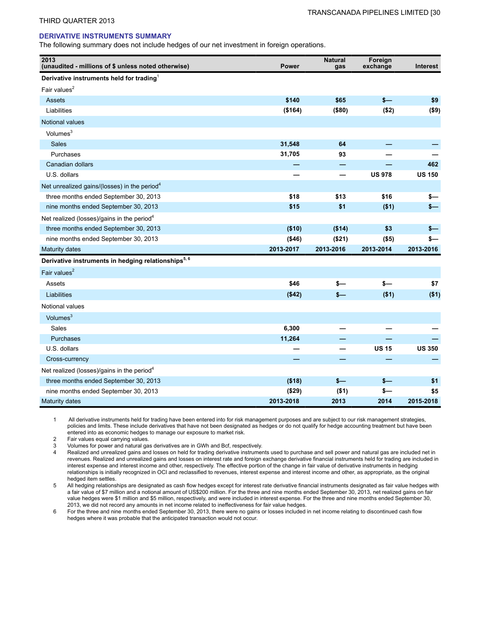#### **DERIVATIVE INSTRUMENTS SUMMARY**

The following summary does not include hedges of our net investment in foreign operations.

| 2013<br>(unaudited - millions of \$ unless noted otherwise)     | Power     | <b>Natural</b><br>gas | Foreign<br>exchange | <b>Interest</b> |
|-----------------------------------------------------------------|-----------|-----------------------|---------------------|-----------------|
| Derivative instruments held for trading <sup>1</sup>            |           |                       |                     |                 |
| Fair values <sup>2</sup>                                        |           |                       |                     |                 |
| Assets                                                          | \$140     | \$65                  | $s-$                | \$9             |
| Liabilities                                                     | (\$164)   | (\$80)                | (\$2)               | ( \$9)          |
| Notional values                                                 |           |                       |                     |                 |
| Volumes <sup>3</sup>                                            |           |                       |                     |                 |
| <b>Sales</b>                                                    | 31,548    | 64                    |                     |                 |
| Purchases                                                       | 31,705    | 93                    |                     |                 |
| Canadian dollars                                                | -         | -                     |                     | 462             |
| U.S. dollars                                                    |           |                       | <b>US 978</b>       | <b>US 150</b>   |
| Net unrealized gains/(losses) in the period <sup>4</sup>        |           |                       |                     |                 |
| three months ended September 30, 2013                           | \$18      | \$13                  | \$16                | \$—             |
| nine months ended September 30, 2013                            | \$15      | \$1                   | ( \$1)              | $s-$            |
| Net realized (losses)/gains in the period <sup>4</sup>          |           |                       |                     |                 |
| three months ended September 30, 2013                           | (\$10)    | (\$14)                | \$3                 | \$—             |
| nine months ended September 30, 2013                            | (\$46)    | (\$21)                | (\$5)               | s—              |
| Maturity dates                                                  | 2013-2017 | 2013-2016             | 2013-2014           | 2013-2016       |
| Derivative instruments in hedging relationships <sup>5, 6</sup> |           |                       |                     |                 |
| Fair values $2$                                                 |           |                       |                     |                 |
| Assets                                                          | \$46      | \$—                   | \$—                 | \$7             |
| Liabilities                                                     | (\$42)    | $s-$                  | ( \$1)              | ( \$1)          |
| Notional values                                                 |           |                       |                     |                 |
| Volumes <sup>3</sup>                                            |           |                       |                     |                 |
| Sales                                                           | 6,300     |                       |                     |                 |
| Purchases                                                       | 11,264    |                       |                     |                 |
| U.S. dollars                                                    |           |                       | <b>US 15</b>        | <b>US 350</b>   |
| Cross-currency                                                  |           |                       |                     |                 |
| Net realized (losses)/gains in the period <sup>4</sup>          |           |                       |                     |                 |
| three months ended September 30, 2013                           | (\$18)    | $s-$                  | \$—                 | \$1             |
| nine months ended September 30, 2013                            | (\$29)    | ( \$1)                | $s-$                | \$5             |
| <b>Maturity dates</b>                                           | 2013-2018 | 2013                  | 2014                | 2015-2018       |

1 All derivative instruments held for trading have been entered into for risk management purposes and are subject to our risk management strategies, policies and limits. These include derivatives that have not been designated as hedges or do not qualify for hedge accounting treatment but have been entered into as economic hedges to manage our exposure to market risk.

2 Fair values equal carrying values.

3 Volumes for power and natural gas derivatives are in GWh and Bcf, respectively.

4 Realized and unrealized gains and losses on held for trading derivative instruments used to purchase and sell power and natural gas are included net in revenues. Realized and unrealized gains and losses on interest rate and foreign exchange derivative financial instruments held for trading are included in interest expense and interest income and other, respectively. The effective portion of the change in fair value of derivative instruments in hedging relationships is initially recognized in OCI and reclassified to revenues, interest expense and interest income and other, as appropriate, as the original hedged item settles.

5 All hedging relationships are designated as cash flow hedges except for interest rate derivative financial instruments designated as fair value hedges with a fair value of \$7 million and a notional amount of US\$200 million. For the three and nine months ended September 30, 2013, net realized gains on fair value hedges were \$1 million and \$5 million, respectively, and were included in interest expense. For the three and nine months ended September 30, 2013, we did not record any amounts in net income related to ineffectiveness for fair value hedges.

6 For the three and nine months ended September 30, 2013, there were no gains or losses included in net income relating to discontinued cash flow hedges where it was probable that the anticipated transaction would not occur.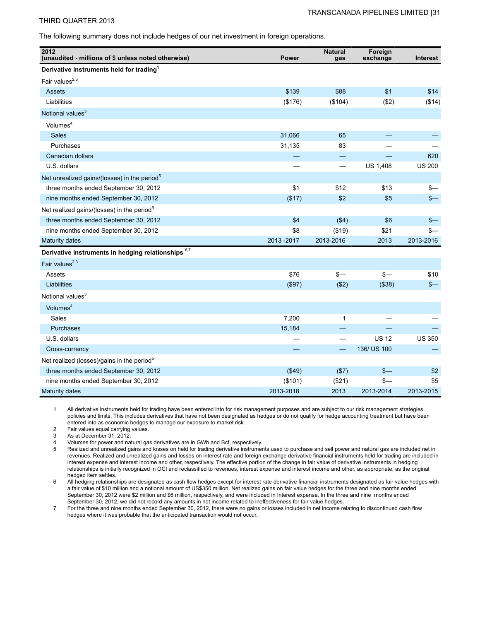The following summary does not include hedges of our net investment in foreign operations.

| 2012<br>(unaudited - millions of \$ unless noted otherwise) | Power     | <b>Natural</b><br>gas | Foreign<br>exchange | <b>Interest</b> |
|-------------------------------------------------------------|-----------|-----------------------|---------------------|-----------------|
| Derivative instruments held for trading <sup>1</sup>        |           |                       |                     |                 |
| Fair values <sup>2,3</sup>                                  |           |                       |                     |                 |
| <b>Assets</b>                                               | \$139     | \$88                  | \$1                 | \$14            |
| Liabilities                                                 | (\$176)   | (\$104)               | (\$2)               | (\$14)          |
| Notional values <sup>3</sup>                                |           |                       |                     |                 |
| Volumes <sup>4</sup>                                        |           |                       |                     |                 |
| <b>Sales</b>                                                | 31,066    | 65                    |                     |                 |
| Purchases                                                   | 31,135    | 83                    |                     |                 |
| Canadian dollars                                            |           |                       |                     | 620             |
| U.S. dollars                                                |           |                       | <b>US 1,408</b>     | <b>US 200</b>   |
| Net unrealized gains/(losses) in the period <sup>5</sup>    |           |                       |                     |                 |
| three months ended September 30, 2012                       | \$1       | \$12                  | \$13                | $s-$            |
| nine months ended September 30, 2012                        | (\$17)    | \$2                   | \$5                 | $s-$            |
| Net realized gains/(losses) in the period <sup>5</sup>      |           |                       |                     |                 |
| three months ended September 30, 2012                       | \$4       | (\$4)                 | \$6                 | $s-$            |
| nine months ended September 30, 2012                        | \$8       | (\$19)                | \$21                | $s-$            |
| Maturity dates                                              | 2013-2017 | 2013-2016             | 2013                | 2013-2016       |
| Derivative instruments in hedging relationships 6,7         |           |                       |                     |                 |
| Fair values $^{2,3}$                                        |           |                       |                     |                 |
| Assets                                                      | \$76      | $s-$                  | $s-$                | \$10            |
| Liabilities                                                 | (\$97)    | (\$2)                 | (\$38)              | $s-$            |
| Notional values <sup>3</sup>                                |           |                       |                     |                 |
| Volumes <sup>4</sup>                                        |           |                       |                     |                 |
| Sales                                                       | 7,200     | 1                     |                     |                 |
| <b>Purchases</b>                                            | 15,184    |                       |                     |                 |
| U.S. dollars                                                |           |                       | <b>US 12</b>        | <b>US 350</b>   |
| Cross-currency                                              |           |                       | 136/ US 100         |                 |
| Net realized (losses)/gains in the period <sup>5</sup>      |           |                       |                     |                 |
| three months ended September 30, 2012                       | (\$49)    | (\$7)                 | \$—                 | \$2             |
| nine months ended September 30, 2012                        | (\$101)   | (\$21)                | \$—                 | \$5             |
| <b>Maturity dates</b>                                       | 2013-2018 | 2013                  | 2013-2014           | 2013-2015       |

1 All derivative instruments held for trading have been entered into for risk management purposes and are subject to our risk management strategies, policies and limits. This includes derivatives that have not been designated as hedges or do not qualify for hedge accounting treatment but have been entered into as economic hedges to manage our exposure to market risk.

2 Fair values equal carrying values.

3 As at December 31, 2012.

4 Volumes for power and natural gas derivatives are in GWh and Bcf, respectively.

5 Realized and unrealized gains and losses on held for trading derivative instruments used to purchase and sell power and natural gas are included net in revenues. Realized and unrealized gains and losses on interest rate and foreign exchange derivative financial instruments held for trading are included in interest expense and interest income and other, respectively. The effective portion of the change in fair value of derivative instruments in hedging relationships is initially recognized in OCI and reclassified to revenues, interest expense and interest income and other, as appropriate, as the original hedged item settles.

6 All hedging relationships are designated as cash flow hedges except for interest rate derivative financial instruments designated as fair value hedges with a fair value of \$10 million and a notional amount of US\$350 million. Net realized gains on fair value hedges for the three and nine months ended September 30, 2012 were \$2 million and \$6 million, respectively, and were included in Interest expense. In the three and nine months ended September 30, 2012, we did not record any amounts in net income related to ineffectiveness for fair value hedges.

7 For the three and nine months ended September 30, 2012, there were no gains or losses included in net income relating to discontinued cash flow hedges where it was probable that the anticipated transaction would not occur.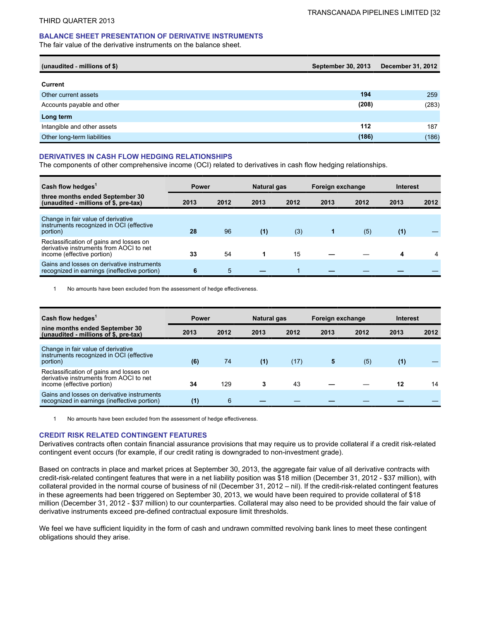### **BALANCE SHEET PRESENTATION OF DERIVATIVE INSTRUMENTS**

The fair value of the derivative instruments on the balance sheet.

| (unaudited - millions of \$) | <b>September 30, 2013</b> | December 31, 2012 |
|------------------------------|---------------------------|-------------------|
| Current                      |                           |                   |
| Other current assets         | 194                       | 259               |
| Accounts payable and other   | (208)                     | (283)             |
| Long term                    |                           |                   |
| Intangible and other assets  | 112                       | 187               |
| Other long-term liabilities  | (186)                     | (186)             |

### **DERIVATIVES IN CASH FLOW HEDGING RELATIONSHIPS**

The components of other comprehensive income (OCI) related to derivatives in cash flow hedging relationships.

| Cash flow hedges <sup>1</sup>                                                                                    | <b>Power</b> |      | Natural gas |      | Foreign exchange |      | <b>Interest</b> |      |
|------------------------------------------------------------------------------------------------------------------|--------------|------|-------------|------|------------------|------|-----------------|------|
| three months ended September 30<br>(unaudited - millions of \$, pre-tax)                                         | 2013         | 2012 | 2013        | 2012 | 2013             | 2012 | 2013            | 2012 |
|                                                                                                                  |              |      |             |      |                  |      |                 |      |
| Change in fair value of derivative<br>instruments recognized in OCI (effective<br>portion)                       | 28           | 96   | (1)         | (3)  |                  | (5)  | (1)             |      |
| Reclassification of gains and losses on<br>derivative instruments from AOCI to net<br>income (effective portion) | 33           | 54   |             | 15   |                  |      | 4               | 4    |
| Gains and losses on derivative instruments<br>recognized in earnings (ineffective portion)                       | 6            | 5    |             |      |                  |      |                 |      |

1 No amounts have been excluded from the assessment of hedge effectiveness.

| Cash flow hedges <sup>1</sup>                                                                                    | <b>Power</b> |      |      | Natural gas |      | Foreign exchange |      | <b>Interest</b> |  |
|------------------------------------------------------------------------------------------------------------------|--------------|------|------|-------------|------|------------------|------|-----------------|--|
| nine months ended September 30<br>(unaudited - millions of \$, pre-tax)                                          | 2013         | 2012 | 2013 | 2012        | 2013 | 2012             | 2013 | 2012            |  |
|                                                                                                                  |              |      |      |             |      |                  |      |                 |  |
| Change in fair value of derivative<br>instruments recognized in OCI (effective<br>portion)                       | (6)          | 74   | (1)  | (17)        | 5    | (5)              | (1)  |                 |  |
| Reclassification of gains and losses on<br>derivative instruments from AOCI to net<br>income (effective portion) | 34           | 129  | 3    | 43          |      |                  | 12   | 14              |  |
| Gains and losses on derivative instruments<br>recognized in earnings (ineffective portion)                       | (1)          | 6    |      |             |      |                  |      |                 |  |

1 No amounts have been excluded from the assessment of hedge effectiveness.

### **CREDIT RISK RELATED CONTINGENT FEATURES**

Derivatives contracts often contain financial assurance provisions that may require us to provide collateral if a credit risk-related contingent event occurs (for example, if our credit rating is downgraded to non-investment grade).

Based on contracts in place and market prices at September 30, 2013, the aggregate fair value of all derivative contracts with credit-risk-related contingent features that were in a net liability position was \$18 million (December 31, 2012 - \$37 million), with collateral provided in the normal course of business of nil (December 31, 2012 – nil). If the credit-risk-related contingent features in these agreements had been triggered on September 30, 2013, we would have been required to provide collateral of \$18 million (December 31, 2012 - \$37 million) to our counterparties. Collateral may also need to be provided should the fair value of derivative instruments exceed pre-defined contractual exposure limit thresholds.

We feel we have sufficient liquidity in the form of cash and undrawn committed revolving bank lines to meet these contingent obligations should they arise.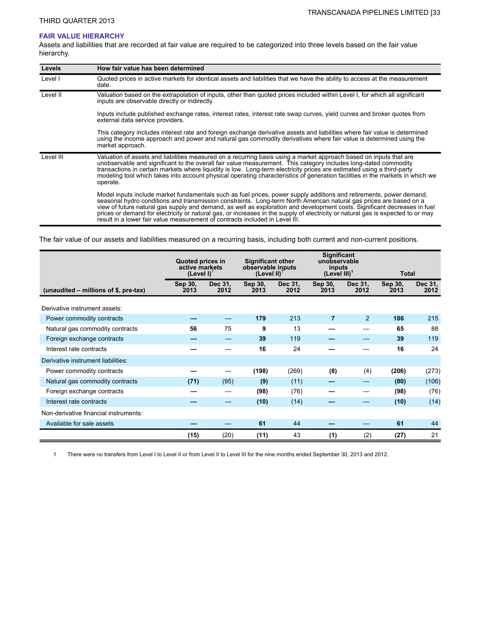# **FAIR VALUE HIERARCHY**

Assets and liabilities that are recorded at fair value are required to be categorized into three levels based on the fair value hierarchy.

| <b>Levels</b> | How fair value has been determined                                                                                                                                                                                                                                                                                                                                                                                                                                                                                                                                                        |
|---------------|-------------------------------------------------------------------------------------------------------------------------------------------------------------------------------------------------------------------------------------------------------------------------------------------------------------------------------------------------------------------------------------------------------------------------------------------------------------------------------------------------------------------------------------------------------------------------------------------|
| Level I       | Quoted prices in active markets for identical assets and liabilities that we have the ability to access at the measurement<br>date.                                                                                                                                                                                                                                                                                                                                                                                                                                                       |
| Level II      | Valuation based on the extrapolation of inputs, other than quoted prices included within Level I, for which all significant<br>inputs are observable directly or indirectly.                                                                                                                                                                                                                                                                                                                                                                                                              |
|               | Inputs include published exchange rates, interest rates, interest rate swap curves, yield curves and broker quotes from<br>external data service providers.                                                                                                                                                                                                                                                                                                                                                                                                                               |
|               | This category includes interest rate and foreign exchange derivative assets and liabilities where fair value is determined<br>using the income approach and power and natural gas commodity derivatives where fair value is determined using the<br>market approach.                                                                                                                                                                                                                                                                                                                      |
| Level III     | Valuation of assets and liabilities measured on a recurring basis using a market approach based on inputs that are<br>unobservable and significant to the overall fair value measurement. This category includes long-dated commodity<br>transactions in certain markets where liquidity is low. Long-term electricity prices are estimated using a third-party<br>modeling tool which takes into account physical operating characteristics of generation facilities in the markets in which we<br>operate.                                                                              |
|               | Model inputs include market fundamentals such as fuel prices, power supply additions and retirements, power demand,<br>seasonal hydro conditions and transmission constraints. Long-term North American natural gas prices are based on a<br>view of future natural gas supply and demand, as well as exploration and development costs. Significant decreases in fuel<br>prices or demand for electricity or natural gas, or increases in the supply of electricity or natural gas is expected to or may<br>result in a lower fair value measurement of contracts included in Level III. |

The fair value of our assets and liabilities measured on a recurring basis, including both current and non-current positions.

|                                       | Quoted prices in<br>active markets |                 | <b>Significant other</b><br>observable inputs |                 | <b>Significant</b><br>unobservable<br>inputs |                 |                 |                 |
|---------------------------------------|------------------------------------|-----------------|-----------------------------------------------|-----------------|----------------------------------------------|-----------------|-----------------|-----------------|
|                                       | $(Level I)^T$                      |                 | (Level II)                                    |                 | (Level III) <sup>1</sup>                     |                 | <b>Total</b>    |                 |
| (unaudited – millions of \$, pre-tax) | Sep 30,<br>2013                    | Dec 31,<br>2012 | Sep 30,<br>2013                               | Dec 31,<br>2012 | Sep 30,<br>2013                              | Dec 31,<br>2012 | Sep 30,<br>2013 | Dec 31,<br>2012 |
| Derivative instrument assets:         |                                    |                 |                                               |                 |                                              |                 |                 |                 |
| Power commodity contracts             |                                    |                 | 179                                           | 213             | $\overline{7}$                               | $\mathcal{P}$   | 186             | 215             |
| Natural gas commodity contracts       | 56                                 | 75              | 9                                             | 13              |                                              |                 | 65              | 88              |
| Foreign exchange contracts            |                                    |                 | 39                                            | 119             |                                              |                 | 39              | 119             |
| Interest rate contracts               |                                    |                 | 16                                            | 24              |                                              |                 | 16              | 24              |
| Derivative instrument liabilities:    |                                    |                 |                                               |                 |                                              |                 |                 |                 |
| Power commodity contracts             |                                    |                 | (198)                                         | (269)           | (8)                                          | (4)             | (206)           | (273)           |
| Natural gas commodity contracts       | (71)                               | (95)            | (9)                                           | (11)            |                                              |                 | (80)            | (106)           |
| Foreign exchange contracts            |                                    |                 | (98)                                          | (76)            |                                              |                 | (98)            | (76)            |
| Interest rate contracts               |                                    |                 | (10)                                          | (14)            |                                              |                 | (10)            | (14)            |
| Non-derivative financial instruments: |                                    |                 |                                               |                 |                                              |                 |                 |                 |
| Available for sale assets             |                                    |                 | 61                                            | 44              |                                              |                 | 61              | 44              |
|                                       | (15)                               | (20)            | (11)                                          | 43              | (1)                                          | (2)             | (27)            | 21              |

1 There were no transfers from Level I to Level II or from Level II to Level III for the nine months ended September 30, 2013 and 2012.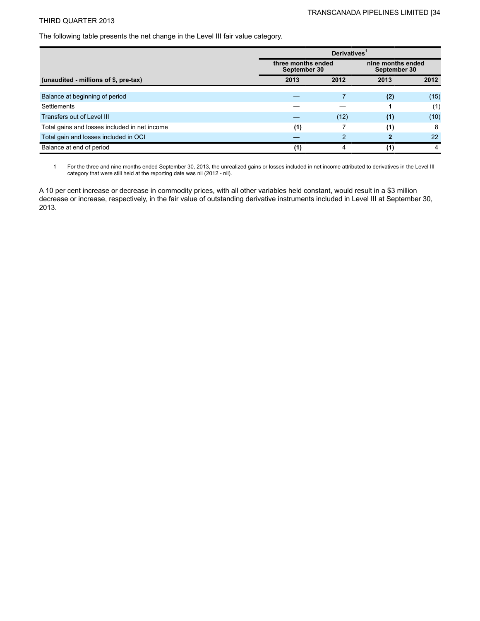The following table presents the net change in the Level III fair value category.

|                                               |      | Derivatives <sup>1</sup>           |      |      |  |  |  |  |
|-----------------------------------------------|------|------------------------------------|------|------|--|--|--|--|
|                                               |      | three months ended<br>September 30 |      |      |  |  |  |  |
| (unaudited - millions of \$, pre-tax)         | 2013 | 2012                               | 2013 | 2012 |  |  |  |  |
| Balance at beginning of period                |      |                                    | (2)  | (15) |  |  |  |  |
| Settlements                                   |      |                                    |      | (1)  |  |  |  |  |
| Transfers out of Level III                    |      | (12)                               | (1)  | (10) |  |  |  |  |
| Total gains and losses included in net income | (1)  |                                    | (1)  | 8    |  |  |  |  |
| Total gain and losses included in OCI         |      | 2                                  |      | 22   |  |  |  |  |
| Balance at end of period                      | (1)  | 4                                  |      | 4    |  |  |  |  |

1 For the three and nine months ended September 30, 2013, the unrealized gains or losses included in net income attributed to derivatives in the Level III category that were still held at the reporting date was nil (2012 - nil).

A 10 per cent increase or decrease in commodity prices, with all other variables held constant, would result in a \$3 million decrease or increase, respectively, in the fair value of outstanding derivative instruments included in Level III at September 30, 2013.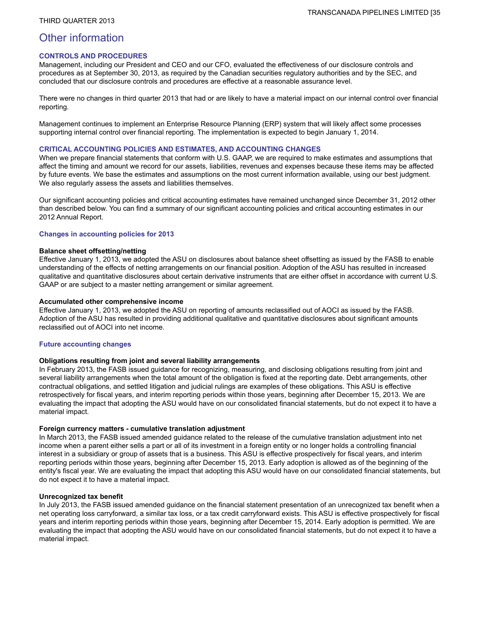# Other information

# **CONTROLS AND PROCEDURES**

Management, including our President and CEO and our CFO, evaluated the effectiveness of our disclosure controls and procedures as at September 30, 2013, as required by the Canadian securities regulatory authorities and by the SEC, and concluded that our disclosure controls and procedures are effective at a reasonable assurance level.

There were no changes in third quarter 2013 that had or are likely to have a material impact on our internal control over financial reporting.

Management continues to implement an Enterprise Resource Planning (ERP) system that will likely affect some processes supporting internal control over financial reporting. The implementation is expected to begin January 1, 2014.

### **CRITICAL ACCOUNTING POLICIES AND ESTIMATES, AND ACCOUNTING CHANGES**

When we prepare financial statements that conform with U.S. GAAP, we are required to make estimates and assumptions that affect the timing and amount we record for our assets, liabilities, revenues and expenses because these items may be affected by future events. We base the estimates and assumptions on the most current information available, using our best judgment. We also regularly assess the assets and liabilities themselves.

Our significant accounting policies and critical accounting estimates have remained unchanged since December 31, 2012 other than described below. You can find a summary of our significant accounting policies and critical accounting estimates in our 2012 Annual Report.

#### **Changes in accounting policies for 2013**

#### **Balance sheet offsetting/netting**

Effective January 1, 2013, we adopted the ASU on disclosures about balance sheet offsetting as issued by the FASB to enable understanding of the effects of netting arrangements on our financial position. Adoption of the ASU has resulted in increased qualitative and quantitative disclosures about certain derivative instruments that are either offset in accordance with current U.S. GAAP or are subject to a master netting arrangement or similar agreement.

#### **Accumulated other comprehensive income**

Effective January 1, 2013, we adopted the ASU on reporting of amounts reclassified out of AOCI as issued by the FASB. Adoption of the ASU has resulted in providing additional qualitative and quantitative disclosures about significant amounts reclassified out of AOCI into net income.

#### **Future accounting changes**

#### **Obligations resulting from joint and several liability arrangements**

In February 2013, the FASB issued guidance for recognizing, measuring, and disclosing obligations resulting from joint and several liability arrangements when the total amount of the obligation is fixed at the reporting date. Debt arrangements, other contractual obligations, and settled litigation and judicial rulings are examples of these obligations. This ASU is effective retrospectively for fiscal years, and interim reporting periods within those years, beginning after December 15, 2013. We are evaluating the impact that adopting the ASU would have on our consolidated financial statements, but do not expect it to have a material impact.

#### **Foreign currency matters - cumulative translation adjustment**

In March 2013, the FASB issued amended guidance related to the release of the cumulative translation adjustment into net income when a parent either sells a part or all of its investment in a foreign entity or no longer holds a controlling financial interest in a subsidiary or group of assets that is a business. This ASU is effective prospectively for fiscal years, and interim reporting periods within those years, beginning after December 15, 2013. Early adoption is allowed as of the beginning of the entity's fiscal year. We are evaluating the impact that adopting this ASU would have on our consolidated financial statements, but do not expect it to have a material impact.

#### **Unrecognized tax benefit**

In July 2013, the FASB issued amended guidance on the financial statement presentation of an unrecognized tax benefit when a net operating loss carryforward, a similar tax loss, or a tax credit carryforward exists. This ASU is effective prospectively for fiscal years and interim reporting periods within those years, beginning after December 15, 2014. Early adoption is permitted. We are evaluating the impact that adopting the ASU would have on our consolidated financial statements, but do not expect it to have a material impact.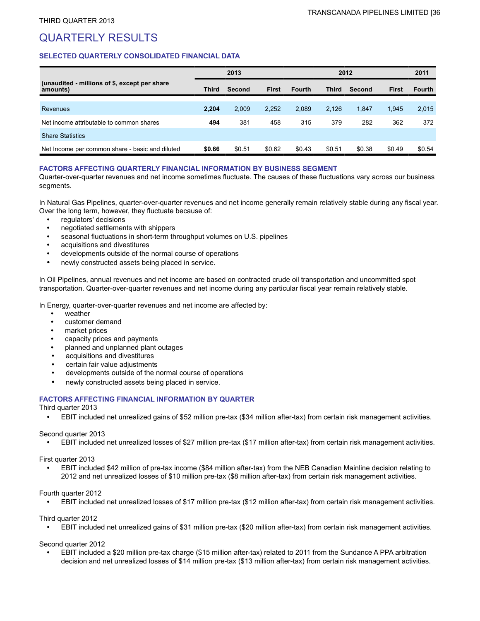# QUARTERLY RESULTS

# **SELECTED QUARTERLY CONSOLIDATED FINANCIAL DATA**

|                                                           | 2013         |        |              | 2012          |              |        |              | 2011          |
|-----------------------------------------------------------|--------------|--------|--------------|---------------|--------------|--------|--------------|---------------|
| (unaudited - millions of \$, except per share<br>amounts) | <b>Third</b> | Second | <b>First</b> | <b>Fourth</b> | <b>Third</b> | Second | <b>First</b> | <b>Fourth</b> |
|                                                           |              |        |              |               |              |        |              |               |
| Revenues                                                  | 2.204        | 2.009  | 2.252        | 2.089         | 2.126        | 1.847  | 1.945        | 2,015         |
| Net income attributable to common shares                  | 494          | 381    | 458          | 315           | 379          | 282    | 362          | 372           |
| <b>Share Statistics</b>                                   |              |        |              |               |              |        |              |               |
| Net Income per common share - basic and diluted           | \$0.66       | \$0.51 | \$0.62       | \$0.43        | \$0.51       | \$0.38 | \$0.49       | \$0.54        |

# **FACTORS AFFECTING QUARTERLY FINANCIAL INFORMATION BY BUSINESS SEGMENT**

Quarter-over-quarter revenues and net income sometimes fluctuate. The causes of these fluctuations vary across our business segments.

In Natural Gas Pipelines, quarter-over-quarter revenues and net income generally remain relatively stable during any fiscal year. Over the long term, however, they fluctuate because of:

- regulators' decisions
- negotiated settlements with shippers
- seasonal fluctuations in short-term throughput volumes on U.S. pipelines
- acquisitions and divestitures
- developments outside of the normal course of operations
- newly constructed assets being placed in service.

In Oil Pipelines, annual revenues and net income are based on contracted crude oil transportation and uncommitted spot transportation. Quarter-over-quarter revenues and net income during any particular fiscal year remain relatively stable.

In Energy, quarter-over-quarter revenues and net income are affected by:

- weather
- customer demand
- market prices
- capacity prices and payments
- planned and unplanned plant outages
- acquisitions and divestitures
- certain fair value adjustments
- developments outside of the normal course of operations
- newly constructed assets being placed in service.

# **FACTORS AFFECTING FINANCIAL INFORMATION BY QUARTER**

### Third quarter 2013

**•** EBIT included net unrealized gains of \$52 million pre-tax (\$34 million after-tax) from certain risk management activities.

# Second quarter 2013

**•** EBIT included net unrealized losses of \$27 million pre-tax (\$17 million after-tax) from certain risk management activities.

First quarter 2013

**•** EBIT included \$42 million of pre-tax income (\$84 million after-tax) from the NEB Canadian Mainline decision relating to 2012 and net unrealized losses of \$10 million pre-tax (\$8 million after-tax) from certain risk management activities.

Fourth quarter 2012

**•** EBIT included net unrealized losses of \$17 million pre-tax (\$12 million after-tax) from certain risk management activities.

Third quarter 2012

**•** EBIT included net unrealized gains of \$31 million pre-tax (\$20 million after-tax) from certain risk management activities.

Second quarter 2012

**•** EBIT included a \$20 million pre-tax charge (\$15 million after-tax) related to 2011 from the Sundance A PPA arbitration decision and net unrealized losses of \$14 million pre-tax (\$13 million after-tax) from certain risk management activities.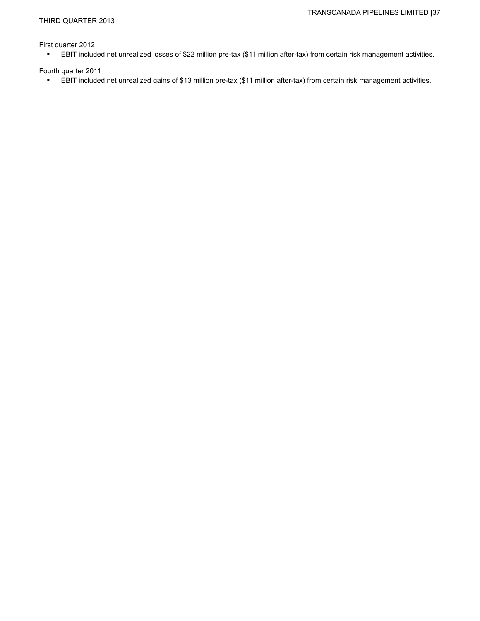First quarter 2012

**•** EBIT included net unrealized losses of \$22 million pre-tax (\$11 million after-tax) from certain risk management activities.

Fourth quarter 2011

**•** EBIT included net unrealized gains of \$13 million pre-tax (\$11 million after-tax) from certain risk management activities.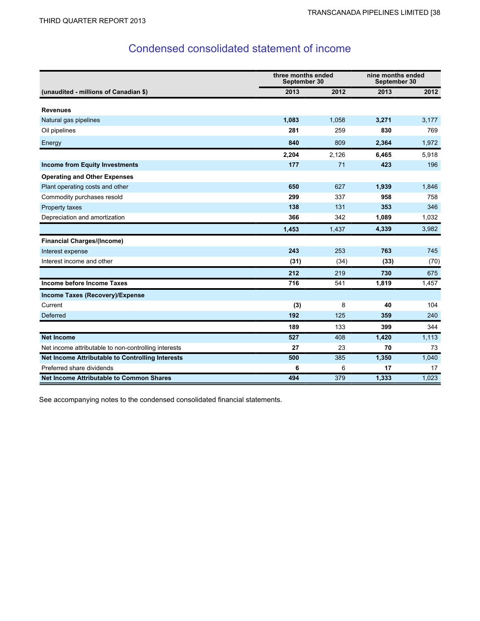# Condensed consolidated statement of income

|                                                      | three months ended<br>September 30 |       | nine months ended<br>September 30 |       |  |
|------------------------------------------------------|------------------------------------|-------|-----------------------------------|-------|--|
| (unaudited - millions of Canadian \$)                | 2013                               | 2012  | 2013                              | 2012  |  |
| <b>Revenues</b>                                      |                                    |       |                                   |       |  |
| Natural gas pipelines                                | 1,083                              | 1,058 | 3,271                             | 3,177 |  |
| Oil pipelines                                        | 281                                | 259   | 830                               | 769   |  |
| Energy                                               | 840                                | 809   | 2,364                             | 1,972 |  |
|                                                      | 2,204                              | 2.126 | 6.465                             | 5,918 |  |
| <b>Income from Equity Investments</b>                | 177                                | 71    | 423                               | 196   |  |
| <b>Operating and Other Expenses</b>                  |                                    |       |                                   |       |  |
| Plant operating costs and other                      | 650                                | 627   | 1,939                             | 1,846 |  |
| Commodity purchases resold                           | 299                                | 337   | 958                               | 758   |  |
| Property taxes                                       | 138                                | 131   | 353                               | 346   |  |
| Depreciation and amortization                        | 366                                | 342   | 1,089                             | 1,032 |  |
|                                                      | 1,453                              | 1,437 | 4,339                             | 3,982 |  |
| <b>Financial Charges/(Income)</b>                    |                                    |       |                                   |       |  |
| Interest expense                                     | 243                                | 253   | 763                               | 745   |  |
| Interest income and other                            | (31)                               | (34)  | (33)                              | (70)  |  |
|                                                      | 212                                | 219   | 730                               | 675   |  |
| Income before Income Taxes                           | 716                                | 541   | 1,819                             | 1,457 |  |
| Income Taxes (Recovery)/Expense                      |                                    |       |                                   |       |  |
| Current                                              | (3)                                | 8     | 40                                | 104   |  |
| <b>Deferred</b>                                      | 192                                | 125   | 359                               | 240   |  |
|                                                      | 189                                | 133   | 399                               | 344   |  |
| <b>Net Income</b>                                    | 527                                | 408   | 1,420                             | 1,113 |  |
| Net income attributable to non-controlling interests | 27                                 | 23    | 70                                | 73    |  |
| Net Income Attributable to Controlling Interests     | 500                                | 385   | 1,350                             | 1,040 |  |
| Preferred share dividends                            | 6                                  | 6     | 17                                | 17    |  |
| <b>Net Income Attributable to Common Shares</b>      | 494                                | 379   | 1,333                             | 1,023 |  |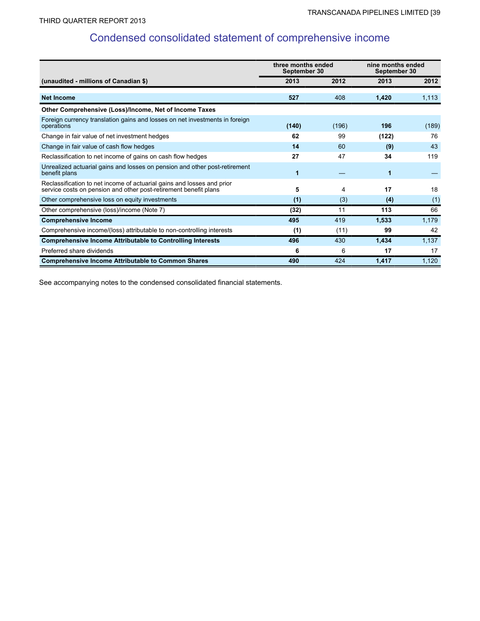# Condensed consolidated statement of comprehensive income

|                                                                                                                                            | three months ended<br>September 30 |       | nine months ended<br>September 30 |       |  |
|--------------------------------------------------------------------------------------------------------------------------------------------|------------------------------------|-------|-----------------------------------|-------|--|
| (unaudited - millions of Canadian \$)                                                                                                      | 2013                               | 2012  | 2013                              | 2012  |  |
| <b>Net Income</b>                                                                                                                          | 527                                | 408   | 1,420                             | 1,113 |  |
| Other Comprehensive (Loss)/Income, Net of Income Taxes                                                                                     |                                    |       |                                   |       |  |
| Foreign currency translation gains and losses on net investments in foreign<br>operations                                                  | (140)                              | (196) | 196                               | (189) |  |
| Change in fair value of net investment hedges                                                                                              | 62                                 | 99    | (122)                             | 76    |  |
| Change in fair value of cash flow hedges                                                                                                   | 14                                 | 60    | (9)                               | 43    |  |
| Reclassification to net income of gains on cash flow hedges                                                                                | 27                                 | 47    | 34                                | 119   |  |
| Unrealized actuarial gains and losses on pension and other post-retirement<br>benefit plans                                                | 1                                  |       | 1                                 |       |  |
| Reclassification to net income of actuarial gains and losses and prior<br>service costs on pension and other post-retirement benefit plans | 5                                  | 4     | 17                                | 18    |  |
| Other comprehensive loss on equity investments                                                                                             | (1)                                | (3)   | (4)                               | (1)   |  |
| Other comprehensive (loss)/income (Note 7)                                                                                                 | (32)                               | 11    | 113                               | 66    |  |
| <b>Comprehensive Income</b>                                                                                                                | 495                                | 419   | 1,533                             | 1,179 |  |
| Comprehensive income/(loss) attributable to non-controlling interests                                                                      | (1)                                | (11)  | 99                                | 42    |  |
| <b>Comprehensive Income Attributable to Controlling Interests</b>                                                                          | 496                                | 430   | 1,434                             | 1,137 |  |
| Preferred share dividends                                                                                                                  | 6                                  | 6     | 17                                | 17    |  |
| <b>Comprehensive Income Attributable to Common Shares</b>                                                                                  | 490                                | 424   | 1,417                             | 1,120 |  |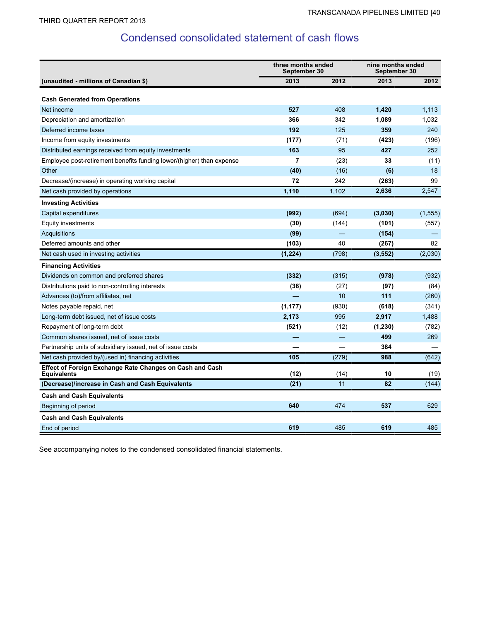# Condensed consolidated statement of cash flows

|                                                                                | three months ended<br>September 30 |                          | nine months ended<br>September 30 |          |
|--------------------------------------------------------------------------------|------------------------------------|--------------------------|-----------------------------------|----------|
| (unaudited - millions of Canadian \$)                                          | 2013                               | 2012                     | 2013                              | 2012     |
| <b>Cash Generated from Operations</b>                                          |                                    |                          |                                   |          |
| Net income                                                                     | 527                                | 408                      | 1,420                             | 1.113    |
| Depreciation and amortization                                                  | 366                                | 342                      | 1,089                             | 1,032    |
| Deferred income taxes                                                          | 192                                | 125                      | 359                               | 240      |
| Income from equity investments                                                 | (177)                              | (71)                     | (423)                             | (196)    |
| Distributed earnings received from equity investments                          | 163                                | 95                       | 427                               | 252      |
| Employee post-retirement benefits funding lower/(higher) than expense          | 7                                  | (23)                     | 33                                | (11)     |
| Other                                                                          | (40)                               | (16)                     | (6)                               | 18       |
| Decrease/(increase) in operating working capital                               | 72                                 | 242                      | (263)                             | 99       |
| Net cash provided by operations                                                | 1,110                              | 1,102                    | 2,636                             | 2.547    |
| <b>Investing Activities</b>                                                    |                                    |                          |                                   |          |
| Capital expenditures                                                           | (992)                              | (694)                    | (3,030)                           | (1, 555) |
| Equity investments                                                             | (30)                               | (144)                    | (101)                             | (557)    |
| Acquisitions                                                                   | (99)                               |                          | (154)                             |          |
| Deferred amounts and other                                                     | (103)                              | 40                       | (267)                             | 82       |
| Net cash used in investing activities                                          | (1, 224)                           | (798)                    | (3, 552)                          | (2,030)  |
| <b>Financing Activities</b>                                                    |                                    |                          |                                   |          |
| Dividends on common and preferred shares                                       | (332)                              | (315)                    | (978)                             | (932)    |
| Distributions paid to non-controlling interests                                | (38)                               | (27)                     | (97)                              | (84)     |
| Advances (to)/from affiliates, net                                             |                                    | 10                       | 111                               | (260)    |
| Notes payable repaid, net                                                      | (1, 177)                           | (930)                    | (618)                             | (341)    |
| Long-term debt issued, net of issue costs                                      | 2,173                              | 995                      | 2,917                             | 1,488    |
| Repayment of long-term debt                                                    | (521)                              | (12)                     | (1,230)                           | (782)    |
| Common shares issued, net of issue costs                                       |                                    | $\overline{\phantom{0}}$ | 499                               | 269      |
| Partnership units of subsidiary issued, net of issue costs                     |                                    | $\overline{\phantom{0}}$ | 384                               |          |
| Net cash provided by/(used in) financing activities                            | 105                                | (279)                    | 988                               | (642)    |
| Effect of Foreign Exchange Rate Changes on Cash and Cash<br><b>Equivalents</b> | (12)                               | (14)                     | 10                                | (19)     |
| (Decrease)/increase in Cash and Cash Equivalents                               | (21)                               | 11                       | 82                                | (144)    |
| <b>Cash and Cash Equivalents</b>                                               |                                    |                          |                                   |          |
| Beginning of period                                                            | 640                                | 474                      | 537                               | 629      |
| <b>Cash and Cash Equivalents</b>                                               |                                    |                          |                                   |          |
| End of period                                                                  | 619                                | 485                      | 619                               | 485      |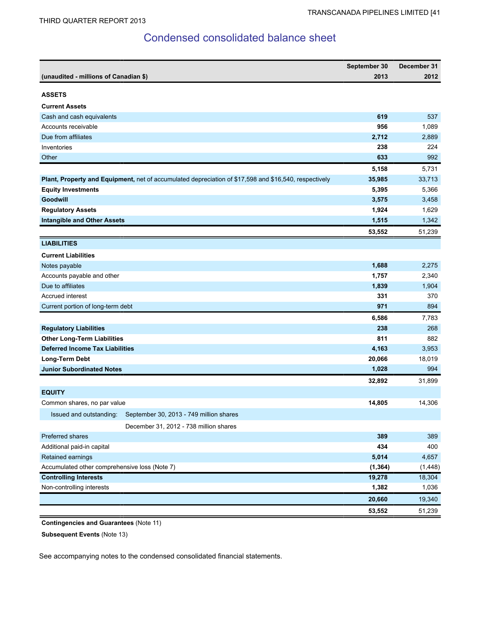# Condensed consolidated balance sheet

|                                                                                                              | September 30 | December 31 |
|--------------------------------------------------------------------------------------------------------------|--------------|-------------|
| (unaudited - millions of Canadian \$)                                                                        | 2013         | 2012        |
|                                                                                                              |              |             |
| <b>ASSETS</b>                                                                                                |              |             |
| <b>Current Assets</b>                                                                                        |              |             |
| Cash and cash equivalents                                                                                    | 619          | 537         |
| Accounts receivable                                                                                          | 956          | 1,089       |
| Due from affiliates                                                                                          | 2,712        | 2,889       |
| Inventories                                                                                                  | 238          | 224         |
| Other                                                                                                        | 633          | 992         |
|                                                                                                              | 5,158        | 5,731       |
| <b>Plant, Property and Equipment,</b> net of accumulated depreciation of \$17,598 and \$16,540, respectively | 35,985       | 33,713      |
| <b>Equity Investments</b>                                                                                    | 5,395        | 5,366       |
| <b>Goodwill</b>                                                                                              | 3,575        | 3,458       |
| <b>Regulatory Assets</b>                                                                                     | 1,924        | 1,629       |
| <b>Intangible and Other Assets</b>                                                                           | 1,515        | 1,342       |
|                                                                                                              | 53,552       | 51,239      |
| <b>LIABILITIES</b>                                                                                           |              |             |
| <b>Current Liabilities</b>                                                                                   |              |             |
| Notes payable                                                                                                | 1,688        | 2,275       |
| Accounts payable and other                                                                                   | 1,757        | 2,340       |
| Due to affiliates                                                                                            | 1,839        | 1,904       |
| Accrued interest                                                                                             | 331          | 370         |
| Current portion of long-term debt                                                                            | 971          | 894         |
|                                                                                                              | 6,586        | 7,783       |
| <b>Regulatory Liabilities</b>                                                                                | 238          | 268         |
| <b>Other Long-Term Liabilities</b>                                                                           | 811          | 882         |
| <b>Deferred Income Tax Liabilities</b>                                                                       | 4,163        | 3,953       |
| Long-Term Debt                                                                                               | 20,066       | 18,019      |
| <b>Junior Subordinated Notes</b>                                                                             | 1,028        | 994         |
|                                                                                                              | 32,892       | 31,899      |
| <b>EQUITY</b>                                                                                                |              |             |
| Common shares, no par value                                                                                  | 14,805       | 14,306      |
| September 30, 2013 - 749 million shares<br>Issued and outstanding:                                           |              |             |
| December 31, 2012 - 738 million shares                                                                       |              |             |
| Preferred shares                                                                                             | 389          | 389         |
| Additional paid-in capital                                                                                   | 434          | 400         |
| Retained earnings                                                                                            | 5,014        | 4,657       |
| Accumulated other comprehensive loss (Note 7)                                                                | (1, 364)     | (1, 448)    |
| <b>Controlling Interests</b>                                                                                 | 19,278       | 18,304      |
| Non-controlling interests                                                                                    | 1,382        | 1,036       |
|                                                                                                              | 20,660       | 19,340      |
|                                                                                                              | 53,552       | 51,239      |
|                                                                                                              |              |             |

**Contingencies and Guarantees** (Note 11)

**Subsequent Events** (Note 13)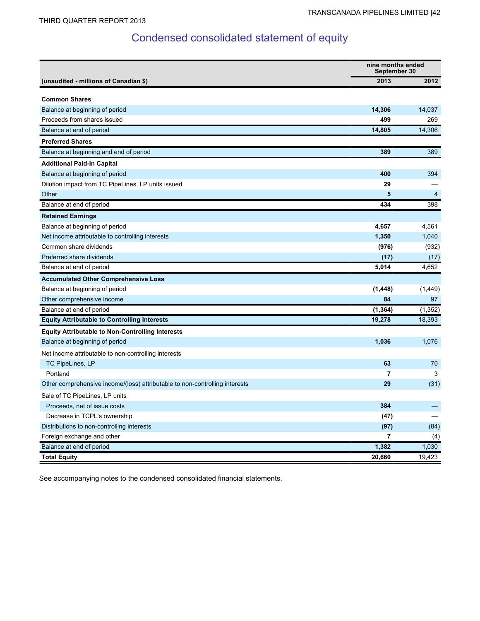# Condensed consolidated statement of equity

|                                                                             | nine months ended<br>September 30 |                |
|-----------------------------------------------------------------------------|-----------------------------------|----------------|
| (unaudited - millions of Canadian \$)                                       | 2013                              | 2012           |
| <b>Common Shares</b>                                                        |                                   |                |
| Balance at beginning of period                                              | 14,306                            | 14,037         |
| Proceeds from shares issued                                                 | 499                               | 269            |
| Balance at end of period                                                    | 14,805                            | 14,306         |
| <b>Preferred Shares</b>                                                     |                                   |                |
| Balance at beginning and end of period                                      | 389                               | 389            |
| <b>Additional Paid-In Capital</b>                                           |                                   |                |
| Balance at beginning of period                                              | 400                               | 394            |
| Dilution impact from TC PipeLines, LP units issued                          | 29                                |                |
| Other                                                                       | 5                                 | $\overline{4}$ |
| Balance at end of period                                                    | 434                               | 398            |
| <b>Retained Earnings</b>                                                    |                                   |                |
| Balance at beginning of period                                              | 4,657                             | 4,561          |
| Net income attributable to controlling interests                            | 1,350                             | 1,040          |
| Common share dividends                                                      | (976)                             | (932)          |
| Preferred share dividends                                                   | (17)                              | (17)           |
| Balance at end of period                                                    | 5,014                             | 4,652          |
| <b>Accumulated Other Comprehensive Loss</b>                                 |                                   |                |
| Balance at beginning of period                                              | (1, 448)                          | (1, 449)       |
| Other comprehensive income                                                  | 84                                | 97             |
| Balance at end of period                                                    | (1, 364)                          | (1, 352)       |
| <b>Equity Attributable to Controlling Interests</b>                         | 19,278                            | 18,393         |
| <b>Equity Attributable to Non-Controlling Interests</b>                     |                                   |                |
| Balance at beginning of period                                              | 1,036                             | 1,076          |
| Net income attributable to non-controlling interests                        |                                   |                |
| <b>TC PipeLines, LP</b>                                                     | 63                                | 70             |
| Portland                                                                    | $\overline{7}$                    | 3              |
| Other comprehensive income/(loss) attributable to non-controlling interests | 29                                | (31)           |
| Sale of TC PipeLines, LP units                                              |                                   |                |
| Proceeds, net of issue costs                                                | 384                               |                |
| Decrease in TCPL's ownership                                                | (47)                              |                |
| Distributions to non-controlling interests                                  | (97)                              | (84)           |
| Foreign exchange and other                                                  | $\overline{7}$                    | (4)            |
| Balance at end of period                                                    | 1,382                             | 1,030          |
| <b>Total Equity</b>                                                         | 20,660                            | 19.423         |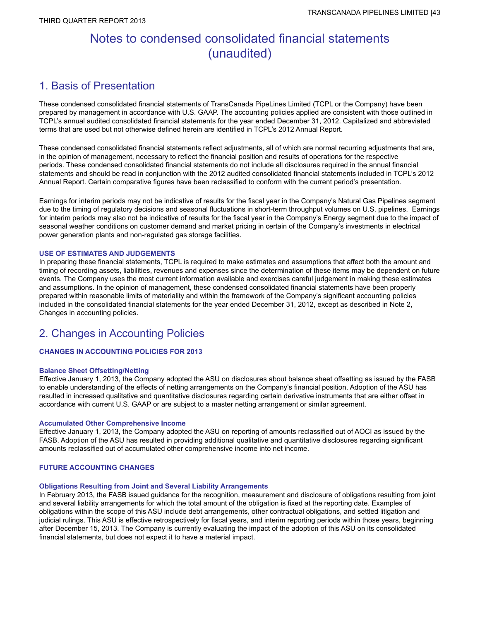# Notes to condensed consolidated financial statements (unaudited)

# 1. Basis of Presentation

These condensed consolidated financial statements of TransCanada PipeLines Limited (TCPL or the Company) have been prepared by management in accordance with U.S. GAAP. The accounting policies applied are consistent with those outlined in TCPL's annual audited consolidated financial statements for the year ended December 31, 2012. Capitalized and abbreviated terms that are used but not otherwise defined herein are identified in TCPL's 2012 Annual Report.

These condensed consolidated financial statements reflect adjustments, all of which are normal recurring adjustments that are, in the opinion of management, necessary to reflect the financial position and results of operations for the respective periods. These condensed consolidated financial statements do not include all disclosures required in the annual financial statements and should be read in conjunction with the 2012 audited consolidated financial statements included in TCPL's 2012 Annual Report. Certain comparative figures have been reclassified to conform with the current period's presentation.

Earnings for interim periods may not be indicative of results for the fiscal year in the Company's Natural Gas Pipelines segment due to the timing of regulatory decisions and seasonal fluctuations in short-term throughput volumes on U.S. pipelines. Earnings for interim periods may also not be indicative of results for the fiscal year in the Company's Energy segment due to the impact of seasonal weather conditions on customer demand and market pricing in certain of the Company's investments in electrical power generation plants and non-regulated gas storage facilities.

### **USE OF ESTIMATES AND JUDGEMENTS**

In preparing these financial statements, TCPL is required to make estimates and assumptions that affect both the amount and timing of recording assets, liabilities, revenues and expenses since the determination of these items may be dependent on future events. The Company uses the most current information available and exercises careful judgement in making these estimates and assumptions. In the opinion of management, these condensed consolidated financial statements have been properly prepared within reasonable limits of materiality and within the framework of the Company's significant accounting policies included in the consolidated financial statements for the year ended December 31, 2012, except as described in Note 2, Changes in accounting policies.

# 2. Changes in Accounting Policies

# **CHANGES IN ACCOUNTING POLICIES FOR 2013**

### **Balance Sheet Offsetting/Netting**

Effective January 1, 2013, the Company adopted the ASU on disclosures about balance sheet offsetting as issued by the FASB to enable understanding of the effects of netting arrangements on the Company's financial position. Adoption of the ASU has resulted in increased qualitative and quantitative disclosures regarding certain derivative instruments that are either offset in accordance with current U.S. GAAP or are subject to a master netting arrangement or similar agreement.

### **Accumulated Other Comprehensive Income**

Effective January 1, 2013, the Company adopted the ASU on reporting of amounts reclassified out of AOCI as issued by the FASB. Adoption of the ASU has resulted in providing additional qualitative and quantitative disclosures regarding significant amounts reclassified out of accumulated other comprehensive income into net income.

### **FUTURE ACCOUNTING CHANGES**

### **Obligations Resulting from Joint and Several Liability Arrangements**

In February 2013, the FASB issued guidance for the recognition, measurement and disclosure of obligations resulting from joint and several liability arrangements for which the total amount of the obligation is fixed at the reporting date. Examples of obligations within the scope of this ASU include debt arrangements, other contractual obligations, and settled litigation and judicial rulings. This ASU is effective retrospectively for fiscal years, and interim reporting periods within those years, beginning after December 15, 2013. The Company is currently evaluating the impact of the adoption of this ASU on its consolidated financial statements, but does not expect it to have a material impact.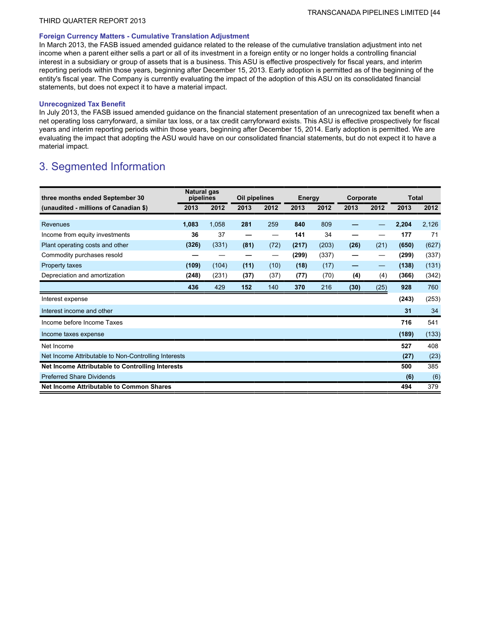#### THIRD QUARTER REPORT 2013

#### **Foreign Currency Matters - Cumulative Translation Adjustment**

In March 2013, the FASB issued amended guidance related to the release of the cumulative translation adjustment into net income when a parent either sells a part or all of its investment in a foreign entity or no longer holds a controlling financial interest in a subsidiary or group of assets that is a business. This ASU is effective prospectively for fiscal years, and interim reporting periods within those years, beginning after December 15, 2013. Early adoption is permitted as of the beginning of the entity's fiscal year. The Company is currently evaluating the impact of the adoption of this ASU on its consolidated financial statements, but does not expect it to have a material impact.

#### **Unrecognized Tax Benefit**

In July 2013, the FASB issued amended guidance on the financial statement presentation of an unrecognized tax benefit when a net operating loss carryforward, a similar tax loss, or a tax credit carryforward exists. This ASU is effective prospectively for fiscal years and interim reporting periods within those years, beginning after December 15, 2014. Early adoption is permitted. We are evaluating the impact that adopting the ASU would have on our consolidated financial statements, but do not expect it to have a material impact.

# 3. Segmented Information

| three months ended September 30                      | Natural gas<br>pipelines |       | Oil pipelines |      | Energy |       | Corporate |      | <b>Total</b> |       |
|------------------------------------------------------|--------------------------|-------|---------------|------|--------|-------|-----------|------|--------------|-------|
| (unaudited - millions of Canadian \$)                | 2013                     | 2012  | 2013          | 2012 | 2013   | 2012  | 2013      | 2012 | 2013         | 2012  |
| Revenues                                             | 1,083                    | 1,058 | 281           | 259  | 840    | 809   |           |      | 2,204        | 2,126 |
| Income from equity investments                       | 36                       | 37    |               |      | 141    | 34    |           |      | 177          | 71    |
| Plant operating costs and other                      | (326)                    | (331) | (81)          | (72) | (217)  | (203) | (26)      | (21) | (650)        | (627) |
| Commodity purchases resold                           |                          |       |               |      | (299)  | (337) | -         |      | (299)        | (337) |
| Property taxes                                       | (109)                    | (104) | (11)          | (10) | (18)   | (17)  | -         | —    | (138)        | (131) |
| Depreciation and amortization                        | (248)                    | (231) | (37)          | (37) | (77)   | (70)  | (4)       | (4)  | (366)        | (342) |
|                                                      | 436                      | 429   | 152           | 140  | 370    | 216   | (30)      | (25) | 928          | 760   |
| Interest expense                                     |                          |       |               |      |        |       |           |      | (243)        | (253) |
| Interest income and other                            |                          |       |               |      |        |       |           |      | 31           | 34    |
| Income before Income Taxes                           |                          |       |               |      |        |       |           |      | 716          | 541   |
| Income taxes expense                                 |                          |       |               |      |        |       |           |      | (189)        | (133) |
| Net Income                                           |                          |       |               |      |        |       |           |      | 527          | 408   |
| Net Income Attributable to Non-Controlling Interests |                          |       |               |      |        |       |           |      | (27)         | (23)  |
| Net Income Attributable to Controlling Interests     |                          |       |               |      |        |       |           |      | 500          | 385   |
| <b>Preferred Share Dividends</b>                     |                          |       |               |      |        |       |           |      | (6)          | (6)   |
| <b>Net Income Attributable to Common Shares</b>      |                          |       |               |      |        |       |           |      | 494          | 379   |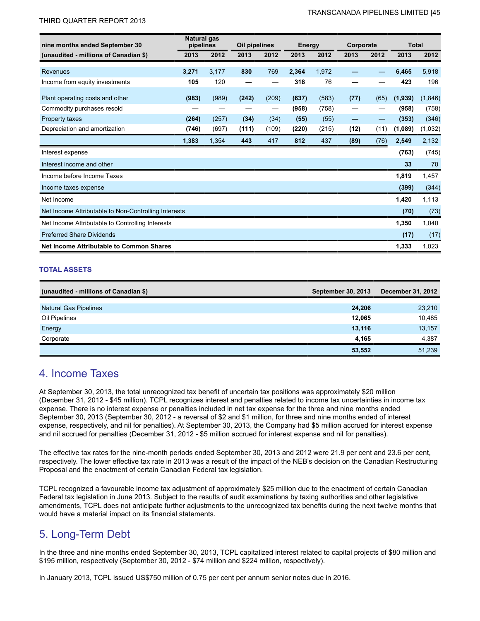### THIRD QUARTER REPORT 2013

| nine months ended September 30                       | <b>Natural gas</b><br>pipelines |       | Oil pipelines |       | Energy |       | Corporate |      | <b>Total</b> |         |
|------------------------------------------------------|---------------------------------|-------|---------------|-------|--------|-------|-----------|------|--------------|---------|
| (unaudited - millions of Canadian \$)                | 2013                            | 2012  | 2013          | 2012  | 2013   | 2012  | 2013      | 2012 | 2013         | 2012    |
| Revenues                                             | 3,271                           | 3,177 | 830           | 769   | 2,364  | 1,972 |           |      | 6,465        | 5,918   |
| Income from equity investments                       | 105                             | 120   |               |       | 318    | 76    |           |      | 423          | 196     |
| Plant operating costs and other                      | (983)                           | (989) | (242)         | (209) | (637)  | (583) | (77)      | (65) | (1,939)      | (1,846) |
| Commodity purchases resold                           |                                 |       |               | —     | (958)  | (758) | –         |      | (958)        | (758)   |
| Property taxes                                       | (264)                           | (257) | (34)          | (34)  | (55)   | (55)  | -         |      | (353)        | (346)   |
| Depreciation and amortization                        | (746)                           | (697) | (111)         | (109) | (220)  | (215) | (12)      | (11) | (1,089)      | (1,032) |
|                                                      | 1,383                           | 1,354 | 443           | 417   | 812    | 437   | (89)      | (76) | 2,549        | 2,132   |
| Interest expense                                     |                                 |       |               |       |        |       |           |      | (763)        | (745)   |
| Interest income and other                            |                                 |       |               |       |        |       |           |      | 33           | 70      |
| Income before Income Taxes                           |                                 |       |               |       |        |       |           |      | 1,819        | 1,457   |
| Income taxes expense                                 |                                 |       |               |       |        |       |           |      | (399)        | (344)   |
| Net Income                                           |                                 |       |               |       |        |       |           |      | 1,420        | 1,113   |
| Net Income Attributable to Non-Controlling Interests |                                 |       |               |       |        |       |           |      | (70)         | (73)    |
| Net Income Attributable to Controlling Interests     |                                 |       |               |       |        |       |           |      | 1,350        | 1,040   |
| <b>Preferred Share Dividends</b>                     |                                 |       |               |       |        |       |           |      | (17)         | (17)    |
| <b>Net Income Attributable to Common Shares</b>      |                                 |       |               |       |        |       |           |      | 1,333        | 1,023   |

# **TOTAL ASSETS**

| (unaudited - millions of Canadian \$) | <b>September 30, 2013</b> | December 31, 2012 |
|---------------------------------------|---------------------------|-------------------|
|                                       |                           |                   |
| <b>Natural Gas Pipelines</b>          | 24,206                    | 23,210            |
| Oil Pipelines                         | 12,065                    | 10,485            |
| Energy                                | 13,116                    | 13,157            |
| Corporate                             | 4,165                     | 4,387             |
|                                       | 53,552                    | 51,239            |

# 4. Income Taxes

At September 30, 2013, the total unrecognized tax benefit of uncertain tax positions was approximately \$20 million (December 31, 2012 - \$45 million). TCPL recognizes interest and penalties related to income tax uncertainties in income tax expense. There is no interest expense or penalties included in net tax expense for the three and nine months ended September 30, 2013 (September 30, 2012 - a reversal of \$2 and \$1 million, for three and nine months ended of interest expense, respectively, and nil for penalties). At September 30, 2013, the Company had \$5 million accrued for interest expense and nil accrued for penalties (December 31, 2012 - \$5 million accrued for interest expense and nil for penalties).

The effective tax rates for the nine-month periods ended September 30, 2013 and 2012 were 21.9 per cent and 23.6 per cent, respectively. The lower effective tax rate in 2013 was a result of the impact of the NEB's decision on the Canadian Restructuring Proposal and the enactment of certain Canadian Federal tax legislation.

TCPL recognized a favourable income tax adjustment of approximately \$25 million due to the enactment of certain Canadian Federal tax legislation in June 2013. Subject to the results of audit examinations by taxing authorities and other legislative amendments, TCPL does not anticipate further adjustments to the unrecognized tax benefits during the next twelve months that would have a material impact on its financial statements.

# 5. Long-Term Debt

In the three and nine months ended September 30, 2013, TCPL capitalized interest related to capital projects of \$80 million and \$195 million, respectively (September 30, 2012 - \$74 million and \$224 million, respectively).

In January 2013, TCPL issued US\$750 million of 0.75 per cent per annum senior notes due in 2016.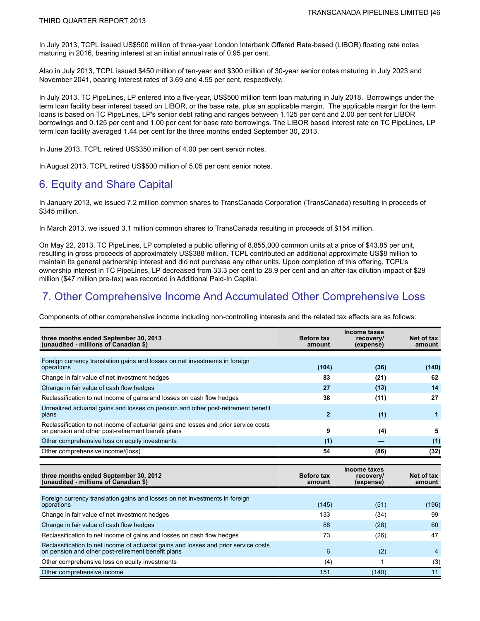In July 2013, TCPL issued US\$500 million of three-year London Interbank Offered Rate-based (LIBOR) floating rate notes maturing in 2016, bearing interest at an initial annual rate of 0.95 per cent.

Also in July 2013, TCPL issued \$450 million of ten-year and \$300 million of 30-year senior notes maturing in July 2023 and November 2041, bearing interest rates of 3.69 and 4.55 per cent, respectively.

In July 2013, TC PipeLines, LP entered into a five-year, US\$500 million term loan maturing in July 2018. Borrowings under the term loan facility bear interest based on LIBOR, or the base rate, plus an applicable margin. The applicable margin for the term loans is based on TC PipeLines, LP's senior debt rating and ranges between 1.125 per cent and 2.00 per cent for LIBOR borrowings and 0.125 per cent and 1.00 per cent for base rate borrowings. The LIBOR based interest rate on TC PipeLines, LP term loan facility averaged 1.44 per cent for the three months ended September 30, 2013.

In June 2013, TCPL retired US\$350 million of 4.00 per cent senior notes.

In August 2013, TCPL retired US\$500 million of 5.05 per cent senior notes.

# 6. Equity and Share Capital

In January 2013, we issued 7.2 million common shares to TransCanada Corporation (TransCanada) resulting in proceeds of \$345 million.

In March 2013, we issued 3.1 million common shares to TransCanada resulting in proceeds of \$154 million.

On May 22, 2013, TC PipeLines, LP completed a public offering of 8,855,000 common units at a price of \$43.85 per unit, resulting in gross proceeds of approximately US\$388 million. TCPL contributed an additional approximate US\$8 million to maintain its general partnership interest and did not purchase any other units. Upon completion of this offering, TCPL's ownership interest in TC PipeLines, LP decreased from 33.3 per cent to 28.9 per cent and an after-tax dilution impact of \$29 million (\$47 million pre-tax) was recorded in Additional Paid-In Capital.

# 7. Other Comprehensive Income And Accumulated Other Comprehensive Loss

Components of other comprehensive income including non-controlling interests and the related tax effects are as follows:

| three months ended September 30, 2013<br>(unaudited - millions of Canadian \$)                                                             | <b>Before tax</b><br>amount | Income taxes<br>recovery/<br>(expense) | Net of tax<br>amount |
|--------------------------------------------------------------------------------------------------------------------------------------------|-----------------------------|----------------------------------------|----------------------|
|                                                                                                                                            |                             |                                        |                      |
| Foreign currency translation gains and losses on net investments in foreign<br>operations                                                  | (104)                       | (36)                                   | (140)                |
| Change in fair value of net investment hedges                                                                                              | 83                          | (21)                                   | 62                   |
| Change in fair value of cash flow hedges                                                                                                   | 27                          | (13)                                   | 14                   |
| Reclassification to net income of gains and losses on cash flow hedges                                                                     | 38                          | (11)                                   | 27                   |
| Unrealized actuarial gains and losses on pension and other post-retirement benefit<br>plans                                                | $\mathbf{2}$                | (1)                                    | 1                    |
| Reclassification to net income of actuarial gains and losses and prior service costs<br>on pension and other post-retirement benefit plans | 9                           | (4)                                    | 5                    |
| Other comprehensive loss on equity investments                                                                                             | (1)                         |                                        | (1)                  |
| Other comprehensive income/(loss)                                                                                                          | 54                          | (86)                                   | (32)                 |
|                                                                                                                                            |                             |                                        |                      |
| three months ended September 30, 2012<br>(unaudited - millions of Canadian \$)                                                             | <b>Before tax</b><br>amount | Income taxes<br>recovery/<br>(expense) | Net of tax<br>amount |
|                                                                                                                                            |                             |                                        |                      |
| Foreign currency translation gains and losses on net investments in foreign                                                                |                             |                                        |                      |
| operations                                                                                                                                 | (145)                       | (51)                                   | (196)                |
| Change in fair value of net investment hedges                                                                                              | 133                         | (34)                                   | 99                   |
| Change in fair value of cash flow hedges                                                                                                   | 88                          | (28)                                   | 60                   |
| Reclassification to net income of gains and losses on cash flow hedges                                                                     | 73                          | (26)                                   | 47                   |
| Reclassification to net income of actuarial gains and losses and prior service costs<br>on pension and other post-retirement benefit plans | 6                           | (2)                                    | 4                    |
| Other comprehensive loss on equity investments                                                                                             | (4)                         | 1                                      | (3)                  |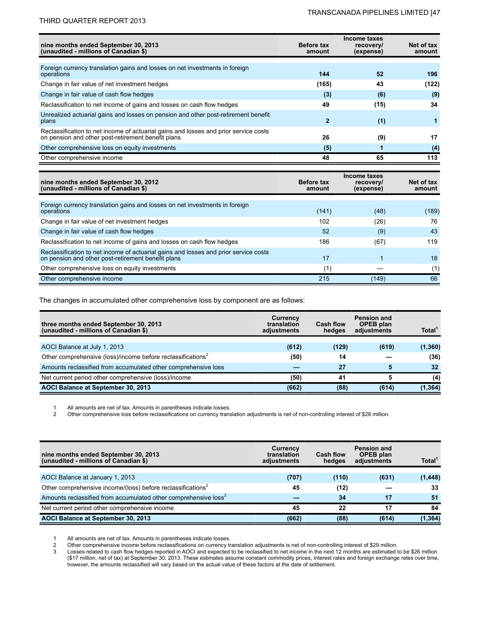| nine months ended September 30, 2013<br>(unaudited - millions of Canadian \$)                                                              | <b>Before tax</b><br>amount | Income taxes<br>recovery/<br>(expense) | Net of tax<br>amount |
|--------------------------------------------------------------------------------------------------------------------------------------------|-----------------------------|----------------------------------------|----------------------|
|                                                                                                                                            |                             |                                        |                      |
| Foreign currency translation gains and losses on net investments in foreign<br>operations                                                  | 144                         | 52                                     | 196                  |
| Change in fair value of net investment hedges                                                                                              | (165)                       | 43                                     | (122)                |
| Change in fair value of cash flow hedges                                                                                                   | (3)                         | (6)                                    | (9)                  |
| Reclassification to net income of gains and losses on cash flow hedges                                                                     | 49                          | (15)                                   | 34                   |
| Unrealized actuarial gains and losses on pension and other post-retirement benefit<br>plans                                                | $\mathbf{2}$                | (1)                                    |                      |
| Reclassification to net income of actuarial gains and losses and prior service costs<br>on pension and other post-retirement benefit plans | 26                          | (9)                                    | 17                   |
| Other comprehensive loss on equity investments                                                                                             | (5)                         |                                        | (4)                  |
| Other comprehensive income                                                                                                                 | 48                          | 65                                     | 113                  |
|                                                                                                                                            |                             |                                        |                      |

| nine months ended September 30, 2012<br>(unaudited - millions of Canadian \$)                                                              | <b>Before tax</b><br>amount | Income taxes<br>recovery/<br>(expense) | Net of tax<br>amount |
|--------------------------------------------------------------------------------------------------------------------------------------------|-----------------------------|----------------------------------------|----------------------|
|                                                                                                                                            |                             |                                        |                      |
| Foreign currency translation gains and losses on net investments in foreign<br>operations                                                  | (141)                       | (48)                                   | (189)                |
| Change in fair value of net investment hedges                                                                                              | 102                         | (26)                                   | 76                   |
| Change in fair value of cash flow hedges                                                                                                   | 52                          | (9)                                    | 43                   |
| Reclassification to net income of gains and losses on cash flow hedges                                                                     | 186                         | (67)                                   | 119                  |
| Reclassification to net income of actuarial gains and losses and prior service costs<br>on pension and other post-retirement benefit plans | 17                          |                                        | 18                   |
| Other comprehensive loss on equity investments                                                                                             | (1)                         |                                        | (1)                  |
| Other comprehensive income                                                                                                                 | 215                         | (149)                                  | 66                   |

The changes in accumulated other comprehensive loss by component are as follows:

| three months ended September 30, 2013<br>(unaudited - millions of Canadian \$) | Currency<br>translation<br>adjustments | <b>Cash flow</b><br>hedges | <b>Pension and</b><br>OPEB plan<br>adjustments | Total <sup>1</sup> |
|--------------------------------------------------------------------------------|----------------------------------------|----------------------------|------------------------------------------------|--------------------|
|                                                                                |                                        |                            |                                                |                    |
| AOCI Balance at July 1, 2013                                                   | (612)                                  | (129)                      | (619)                                          | (1, 360)           |
| Other comprehensive (loss)/income before reclassifications <sup>2</sup>        | (50)                                   | 14                         |                                                | (36)               |
| Amounts reclassified from accumulated other comprehensive loss                 |                                        | 27                         |                                                | 32 <sub>2</sub>    |
| Net current period other comprehensive (loss)/income                           | (50)                                   | 41                         |                                                | (4)                |
| AOCI Balance at September 30, 2013                                             | (662)                                  | (88)                       | (614)                                          | (1, 364)           |

1 All amounts are net of tax. Amounts in parentheses indicate losses.<br>2 Other comprehensive loss before reclassifications on currency trans

2 Other comprehensive loss before reclassifications on currency translation adjustments is net of non-controlling interest of \$28 million.

| nine months ended September 30, 2013<br>(unaudited - millions of Canadian \$) | Currency<br>translation<br>adjustments | <b>Cash flow</b><br>hedges | Pension and<br>OPEB plan<br>adjustments | Total <sup>1</sup> |
|-------------------------------------------------------------------------------|----------------------------------------|----------------------------|-----------------------------------------|--------------------|
| AOCI Balance at January 1, 2013                                               | (707)                                  | (110)                      | (631)                                   | (1, 448)           |
| Other comprehensive income/(loss) before reclassifications <sup>2</sup>       | 45                                     | (12)                       |                                         | 33                 |
| Amounts reclassified from accumulated other comprehensive loss <sup>3</sup>   |                                        | 34                         | 17                                      | 51                 |
| Net current period other comprehensive income                                 | 45                                     | 22                         | 17                                      | 84                 |
| AOCI Balance at September 30, 2013                                            | (662)                                  | (88)                       | (614)                                   | (1, 364)           |

1 All amounts are net of tax. Amounts in parentheses indicate losses.<br>2 Other comprehensive income before reclassifications on currency tr

2 Other comprehensive income before reclassifications on currency translation adjustments is net of non-controlling interest of \$29 million.

3 Losses related to cash flow hedges reported in AOCI and expected to be reclassified to net income in the next 12 months are estimated to be \$26 million (\$17 million, net of tax) at September 30, 2013. These estimates assume constant commodity prices, interest rates and foreign exchange rates over time, however, the amounts reclassified will vary based on the actual value of these factors at the date of settlement.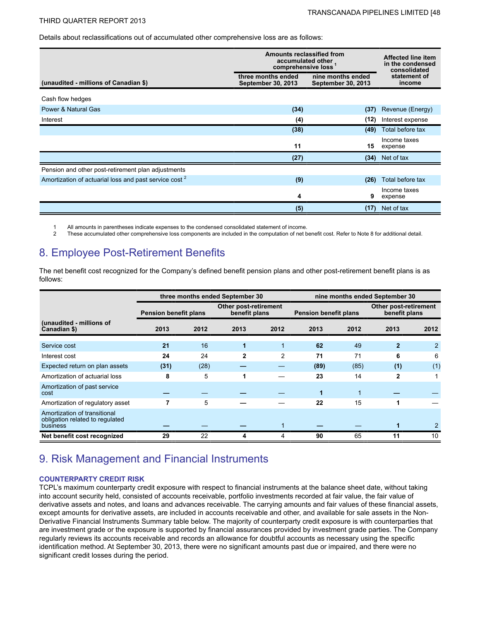### THIRD QUARTER REPORT 2013

Details about reclassifications out of accumulated other comprehensive loss are as follows:

|                                                                   | <b>Amounts reclassified from</b><br>accumulated other<br>comprehensive loss <sup>1</sup> | <b>Affected line item</b><br>in the condensed<br>consolidated |                         |
|-------------------------------------------------------------------|------------------------------------------------------------------------------------------|---------------------------------------------------------------|-------------------------|
| (unaudited - millions of Canadian \$)                             | three months ended<br>September 30, 2013                                                 | nine months ended<br><b>September 30, 2013</b>                | statement of<br>income  |
| Cash flow hedges                                                  |                                                                                          |                                                               |                         |
| Power & Natural Gas                                               | (34)                                                                                     | (37)                                                          | Revenue (Energy)        |
| Interest                                                          | (4)                                                                                      | (12)                                                          | Interest expense        |
|                                                                   | (38)                                                                                     | (49)                                                          | Total before tax        |
|                                                                   | 11                                                                                       | 15                                                            | Income taxes<br>expense |
|                                                                   | (27)                                                                                     | (34)                                                          | Net of tax              |
| Pension and other post-retirement plan adjustments                |                                                                                          |                                                               |                         |
| Amortization of actuarial loss and past service cost <sup>2</sup> | (9)                                                                                      | (26)                                                          | Total before tax        |
|                                                                   | 4                                                                                        | 9                                                             | Income taxes<br>expense |
|                                                                   | (5)                                                                                      | (17)                                                          | Net of tax              |

1 All amounts in parentheses indicate expenses to the condensed consolidated statement of income.<br>2 These accumulated other comprehensive loss components are included in the computation of net b

2 These accumulated other comprehensive loss components are included in the computation of net benefit cost. Refer to Note 8 for additional detail.

# 8. Employee Post-Retirement Benefits

The net benefit cost recognized for the Company's defined benefit pension plans and other post-retirement benefit plans is as follows:

|                                                                             | three months ended September 30 |      |                                        |                |                              | nine months ended September 30 |                                        |                |
|-----------------------------------------------------------------------------|---------------------------------|------|----------------------------------------|----------------|------------------------------|--------------------------------|----------------------------------------|----------------|
|                                                                             | <b>Pension benefit plans</b>    |      | Other post-retirement<br>benefit plans |                | <b>Pension benefit plans</b> |                                | Other post-retirement<br>benefit plans |                |
| (unaudited - millions of<br>Canadian \$)                                    | 2013                            | 2012 | 2013                                   | 2012           | 2013                         | 2012                           | 2013                                   | 2012           |
| Service cost                                                                | 21                              | 16   | и                                      |                | 62                           | 49                             | $\overline{2}$                         | $\overline{2}$ |
| Interest cost                                                               | 24                              | 24   | $\overline{2}$                         | $\overline{2}$ | 71                           | 71                             | 6                                      | 6              |
| Expected return on plan assets                                              | (31)                            | (28) |                                        |                | (89)                         | (85)                           | (1)                                    | (1)            |
| Amortization of actuarial loss                                              | 8                               | 5    | 1                                      |                | 23                           | 14                             | $\mathbf{2}$                           |                |
| Amortization of past service<br>cost                                        |                                 |      |                                        |                | 1                            | 1                              |                                        |                |
| Amortization of regulatory asset                                            |                                 | 5    |                                        |                | 22                           | 15                             |                                        |                |
| Amortization of transitional<br>obligation related to regulated<br>business |                                 |      |                                        |                |                              |                                |                                        |                |
| Net benefit cost recognized                                                 | 29                              | 22   | 4                                      | 4              | 90                           | 65                             | 11                                     | 10             |

# 9. Risk Management and Financial Instruments

# **COUNTERPARTY CREDIT RISK**

TCPL's maximum counterparty credit exposure with respect to financial instruments at the balance sheet date, without taking into account security held, consisted of accounts receivable, portfolio investments recorded at fair value, the fair value of derivative assets and notes, and loans and advances receivable. The carrying amounts and fair values of these financial assets, except amounts for derivative assets, are included in accounts receivable and other, and available for sale assets in the Non-Derivative Financial Instruments Summary table below. The majority of counterparty credit exposure is with counterparties that are investment grade or the exposure is supported by financial assurances provided by investment grade parties. The Company regularly reviews its accounts receivable and records an allowance for doubtful accounts as necessary using the specific identification method. At September 30, 2013, there were no significant amounts past due or impaired, and there were no significant credit losses during the period.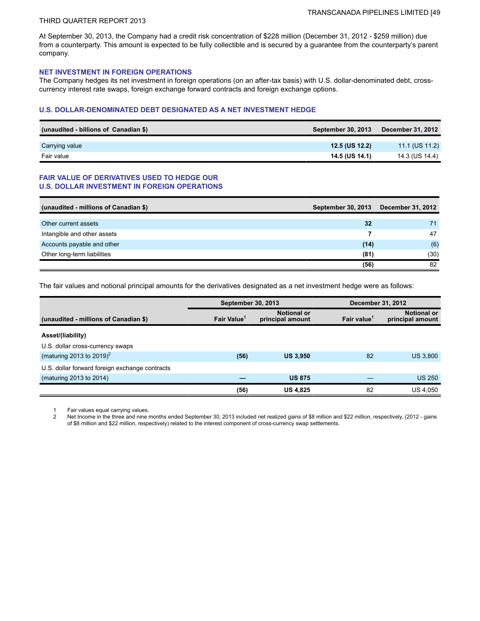### THIRD QUARTER REPORT 2013

At September 30, 2013, the Company had a credit risk concentration of \$228 million (December 31, 2012 - \$259 million) due from a counterparty. This amount is expected to be fully collectible and is secured by a guarantee from the counterparty's parent company.

#### **NET INVESTMENT IN FOREIGN OPERATIONS**

The Company hedges its net investment in foreign operations (on an after-tax basis) with U.S. dollar-denominated debt, crosscurrency interest rate swaps, foreign exchange forward contracts and foreign exchange options.

# **U.S. DOLLAR-DENOMINATED DEBT DESIGNATED AS A NET INVESTMENT HEDGE**

| (unaudited - billions of Canadian \$) | <b>September 30, 2013</b> | <b>December 31, 2012</b> |
|---------------------------------------|---------------------------|--------------------------|
| Carrying value                        | 12.5 (US 12.2)            | 11.1 (US 11.2)           |
| Fair value                            | 14.5 (US 14.1)            | 14.3 (US 14.4)           |

#### **FAIR VALUE OF DERIVATIVES USED TO HEDGE OUR U.S. DOLLAR INVESTMENT IN FOREIGN OPERATIONS**

| <b>December 31, 2012</b>                                |
|---------------------------------------------------------|
| 71                                                      |
| 47                                                      |
| (6)                                                     |
| (30)                                                    |
| 82                                                      |
| <b>September 30, 2013</b><br>32<br>(14)<br>(81)<br>(56) |

The fair values and notional principal amounts for the derivatives designated as a net investment hedge were as follows:

|                                                | <b>September 30, 2013</b> |                                        |                         | December 31, 2012                      |
|------------------------------------------------|---------------------------|----------------------------------------|-------------------------|----------------------------------------|
| (unaudited - millions of Canadian \$)          | Fair Value <sup>1</sup>   | <b>Notional or</b><br>principal amount | Fair value <sup>1</sup> | <b>Notional or</b><br>principal amount |
| Asset/(liability)                              |                           |                                        |                         |                                        |
| U.S. dollar cross-currency swaps               |                           |                                        |                         |                                        |
| (maturing 2013 to 2019) <sup>2</sup>           | (56)                      | <b>US 3,950</b>                        | 82                      | <b>US 3,800</b>                        |
| U.S. dollar forward foreign exchange contracts |                           |                                        |                         |                                        |
| (maturing 2013 to 2014)                        |                           | <b>US 875</b>                          |                         | <b>US 250</b>                          |
|                                                | (56)                      | <b>US 4,825</b>                        | 82                      | <b>US 4,050</b>                        |

1 Fair values equal carrying values.<br>2 Net Income in the three and nine r

Net Income in the three and nine months ended September 30, 2013 included net realized gains of \$8 million and \$22 million, respectively, (2012 - gains of \$8 million and \$22 million, respectively) related to the interest component of cross-currency swap settlements.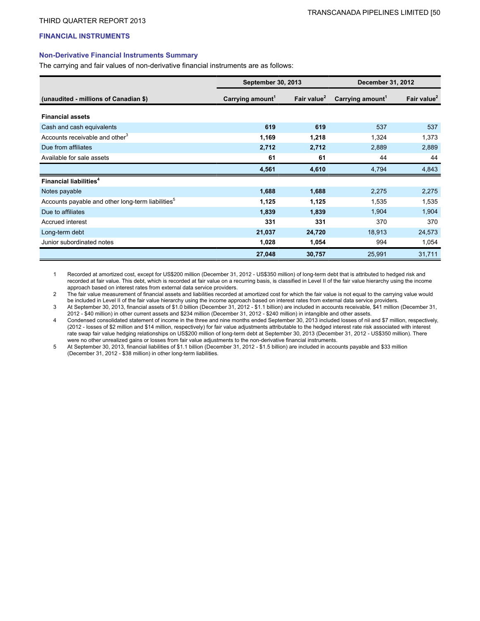### **FINANCIAL INSTRUMENTS**

#### **Non-Derivative Financial Instruments Summary**

The carrying and fair values of non-derivative financial instruments are as follows:

|                                                               | <b>September 30, 2013</b>    |                         | <b>December 31, 2012</b>     |                         |  |
|---------------------------------------------------------------|------------------------------|-------------------------|------------------------------|-------------------------|--|
| (unaudited - millions of Canadian \$)                         | Carrying amount <sup>1</sup> | Fair value <sup>2</sup> | Carrying amount <sup>1</sup> | Fair value <sup>2</sup> |  |
| <b>Financial assets</b>                                       |                              |                         |                              |                         |  |
| Cash and cash equivalents                                     | 619                          | 619                     | 537                          | 537                     |  |
| Accounts receivable and other <sup>3</sup>                    | 1,169                        | 1,218                   | 1,324                        | 1,373                   |  |
| Due from affiliates                                           | 2,712                        | 2,712                   | 2,889                        | 2,889                   |  |
| Available for sale assets                                     | 61                           | 61                      | 44                           | 44                      |  |
|                                                               | 4,561                        | 4,610                   | 4,794                        | 4,843                   |  |
| Financial liabilities <sup>4</sup>                            |                              |                         |                              |                         |  |
| Notes payable                                                 | 1,688                        | 1,688                   | 2,275                        | 2,275                   |  |
| Accounts payable and other long-term liabilities <sup>5</sup> | 1,125                        | 1,125                   | 1,535                        | 1,535                   |  |
| Due to affiliates                                             | 1,839                        | 1,839                   | 1,904                        | 1,904                   |  |
| Accrued interest                                              | 331                          | 331                     | 370                          | 370                     |  |
| Long-term debt                                                | 21,037                       | 24,720                  | 18,913                       | 24,573                  |  |
| Junior subordinated notes                                     | 1,028                        | 1,054                   | 994                          | 1,054                   |  |
|                                                               | 27,048                       | 30,757                  | 25,991                       | 31,711                  |  |

1 Recorded at amortized cost, except for US\$200 million (December 31, 2012 - US\$350 million) of long-term debt that is attributed to hedged risk and recorded at fair value. This debt, which is recorded at fair value on a recurring basis, is classified in Level II of the fair value hierarchy using the income approach based on interest rates from external data service providers.

2 The fair value measurement of financial assets and liabilities recorded at amortized cost for which the fair value is not equal to the carrying value would be included in Level II of the fair value hierarchy using the income approach based on interest rates from external data service providers.

3 At September 30, 2013, financial assets of \$1.0 billion (December 31, 2012 - \$1.1 billion) are included in accounts receivable, \$41 million (December 31, 2012 - \$40 million) in other current assets and \$234 million (December 31, 2012 - \$240 million) in intangible and other assets.

4 Condensed consolidated statement of income in the three and nine months ended September 30, 2013 included losses of nil and \$7 million, respectively, (2012 - losses of \$2 million and \$14 million, respectively) for fair value adjustments attributable to the hedged interest rate risk associated with interest rate swap fair value hedging relationships on US\$200 million of long-term debt at September 30, 2013 (December 31, 2012 - US\$350 million). There were no other unrealized gains or losses from fair value adjustments to the non-derivative financial instruments.

5 At September 30, 2013, financial liabilities of \$1.1 billion (December 31, 2012 - \$1.5 billion) are included in accounts payable and \$33 million (December 31, 2012 - \$38 million) in other long-term liabilities.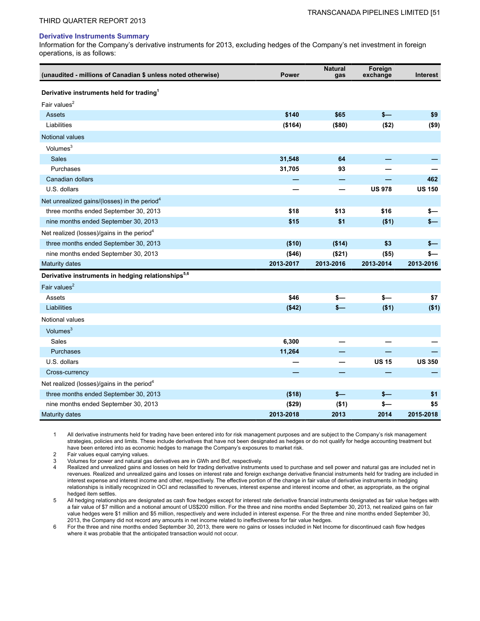#### **Derivative Instruments Summary**

Information for the Company's derivative instruments for 2013, excluding hedges of the Company's net investment in foreign operations, is as follows:

| (unaudited - millions of Canadian \$ unless noted otherwise)   | <b>Power</b> | <b>Natural</b><br>gas | Foreign<br>exchange | <b>Interest</b> |
|----------------------------------------------------------------|--------------|-----------------------|---------------------|-----------------|
| Derivative instruments held for trading <sup>1</sup>           |              |                       |                     |                 |
| Fair values <sup>2</sup>                                       |              |                       |                     |                 |
| Assets                                                         | \$140        | \$65                  | $s-$                | \$9             |
| Liabilities                                                    | (\$164)      | (\$80)                | (\$2)               | (\$9)           |
| <b>Notional values</b>                                         |              |                       |                     |                 |
| Volumes <sup>3</sup>                                           |              |                       |                     |                 |
| Sales                                                          | 31,548       | 64                    |                     |                 |
| Purchases                                                      | 31,705       | 93                    |                     |                 |
| Canadian dollars                                               | -            | –                     |                     | 462             |
| U.S. dollars                                                   |              |                       | <b>US 978</b>       | <b>US 150</b>   |
| Net unrealized gains/(losses) in the period <sup>4</sup>       |              |                       |                     |                 |
| three months ended September 30, 2013                          | \$18         | \$13                  | \$16                | \$—             |
| nine months ended September 30, 2013                           | \$15         | \$1                   | ( \$1)              | $s-$            |
| Net realized (losses)/gains in the period <sup>4</sup>         |              |                       |                     |                 |
| three months ended September 30, 2013                          | (\$10)       | (\$14)                | \$3                 | \$—             |
| nine months ended September 30, 2013                           | (\$46)       | (\$21)                | ( \$5)              | $s-$            |
| <b>Maturity dates</b>                                          | 2013-2017    | 2013-2016             | 2013-2014           | 2013-2016       |
| Derivative instruments in hedging relationships <sup>5,6</sup> |              |                       |                     |                 |
| Fair values <sup>2</sup>                                       |              |                       |                     |                 |
| Assets                                                         | \$46         | \$—                   | $s-$                | \$7             |
| Liabilities                                                    | (\$42)       | $s-$                  | ( \$1)              | ( \$1)          |
| Notional values                                                |              |                       |                     |                 |
| Volumes <sup>3</sup>                                           |              |                       |                     |                 |
| Sales                                                          | 6,300        |                       |                     |                 |
| Purchases                                                      | 11,264       |                       |                     |                 |
| U.S. dollars                                                   |              |                       | <b>US 15</b>        | <b>US 350</b>   |
| Cross-currency                                                 |              |                       |                     |                 |
| Net realized (losses)/gains in the period <sup>4</sup>         |              |                       |                     |                 |
| three months ended September 30, 2013                          | (\$18)       | $s-$                  | \$—                 | \$1             |
| nine months ended September 30, 2013                           | (\$29)       | ( \$1)                | \$—                 | \$5             |
| <b>Maturity dates</b>                                          | 2013-2018    | 2013                  | 2014                | 2015-2018       |

1 All derivative instruments held for trading have been entered into for risk management purposes and are subject to the Company's risk management strategies, policies and limits. These include derivatives that have not been designated as hedges or do not qualify for hedge accounting treatment but have been entered into as economic hedges to manage the Company's exposures to market risk.

2 Fair values equal carrying values.

3 Volumes for power and natural gas derivatives are in GWh and Bcf, respectively.

4 Realized and unrealized gains and losses on held for trading derivative instruments used to purchase and sell power and natural gas are included net in revenues. Realized and unrealized gains and losses on interest rate and foreign exchange derivative financial instruments held for trading are included in interest expense and interest income and other, respectively. The effective portion of the change in fair value of derivative instruments in hedging relationships is initially recognized in OCI and reclassified to revenues, interest expense and interest income and other, as appropriate, as the original hedged item settles.

5 All hedging relationships are designated as cash flow hedges except for interest rate derivative financial instruments designated as fair value hedges with a fair value of \$7 million and a notional amount of US\$200 million. For the three and nine months ended September 30, 2013, net realized gains on fair value hedges were \$1 million and \$5 million, respectively and were included in interest expense. For the three and nine months ended September 30, 2013, the Company did not record any amounts in net income related to ineffectiveness for fair value hedges.

6 For the three and nine months ended September 30, 2013, there were no gains or losses included in Net Income for discontinued cash flow hedges where it was probable that the anticipated transaction would not occur.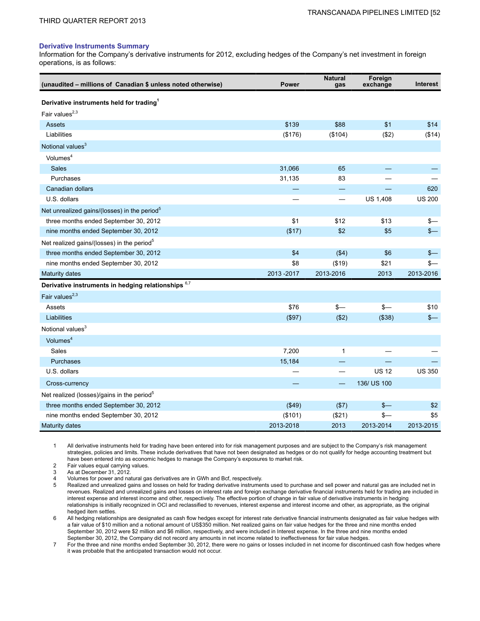#### **Derivative Instruments Summary**

Information for the Company's derivative instruments for 2012, excluding hedges of the Company's net investment in foreign operations, is as follows:

| (unaudited - millions of Canadian \$ unless noted otherwise) | <b>Power</b> | <b>Natural</b><br>gas    | Foreign<br>exchange | <b>Interest</b> |
|--------------------------------------------------------------|--------------|--------------------------|---------------------|-----------------|
| Derivative instruments held for trading <sup>1</sup>         |              |                          |                     |                 |
| Fair values <sup>2,3</sup>                                   |              |                          |                     |                 |
| Assets                                                       | \$139        | \$88                     | \$1                 | \$14            |
| Liabilities                                                  | (\$176)      | (\$104)                  | (\$2)               | (\$14)          |
| Notional values <sup>3</sup>                                 |              |                          |                     |                 |
| Volumes <sup>4</sup>                                         |              |                          |                     |                 |
| <b>Sales</b>                                                 | 31,066       | 65                       |                     |                 |
| Purchases                                                    | 31,135       | 83                       |                     |                 |
| Canadian dollars                                             |              | —                        |                     | 620             |
| U.S. dollars                                                 |              | $\overline{\phantom{0}}$ | <b>US 1,408</b>     | <b>US 200</b>   |
| Net unrealized gains/(losses) in the period <sup>5</sup>     |              |                          |                     |                 |
| three months ended September 30, 2012                        | \$1          | \$12                     | \$13                | \$—             |
| nine months ended September 30, 2012                         | (\$17)       | \$2                      | \$5                 | $s-$            |
| Net realized gains/(losses) in the period <sup>5</sup>       |              |                          |                     |                 |
| three months ended September 30, 2012                        | \$4          | (\$4)                    | \$6                 | $s-$            |
| nine months ended September 30, 2012                         | \$8          | (\$19)                   | \$21                | $s-$            |
| <b>Maturity dates</b>                                        | 2013-2017    | 2013-2016                | 2013                | 2013-2016       |
| Derivative instruments in hedging relationships 6,7          |              |                          |                     |                 |
| Fair values <sup>2,3</sup>                                   |              |                          |                     |                 |
| Assets                                                       | \$76         | $s-$                     | $s-$                | \$10            |
| Liabilities                                                  | (\$97)       | (\$2)                    | (\$38)              | $s-$            |
| Notional values <sup>3</sup>                                 |              |                          |                     |                 |
| Volumes <sup>4</sup>                                         |              |                          |                     |                 |
| Sales                                                        | 7,200        | $\mathbf{1}$             |                     |                 |
| Purchases                                                    | 15,184       |                          |                     |                 |
| U.S. dollars                                                 |              | —                        | <b>US12</b>         | <b>US 350</b>   |
| Cross-currency                                               |              |                          | 136/ US 100         |                 |
| Net realized (losses)/gains in the period <sup>5</sup>       |              |                          |                     |                 |
| three months ended September 30, 2012                        | (\$49)       | (\$7)                    | $s-$                | \$2             |
| nine months ended September 30, 2012                         | (\$101)      | (\$21)                   | $\frac{1}{2}$       | \$5             |
| <b>Maturity dates</b>                                        | 2013-2018    | 2013                     | 2013-2014           | 2013-2015       |

1 All derivative instruments held for trading have been entered into for risk management purposes and are subject to the Company's risk management strategies, policies and limits. These include derivatives that have not been designated as hedges or do not qualify for hedge accounting treatment but have been entered into as economic hedges to manage the Company's exposures to market risk.

2 Fair values equal carrying values.

3 As at December 31, 2012.

4 Volumes for power and natural gas derivatives are in GWh and Bcf, respectively.

5 Realized and unrealized gains and losses on held for trading derivative instruments used to purchase and sell power and natural gas are included net in revenues. Realized and unrealized gains and losses on interest rate and foreign exchange derivative financial instruments held for trading are included in interest expense and interest income and other, respectively. The effective portion of change in fair value of derivative instruments in hedging relationships is initially recognized in OCI and reclassified to revenues, interest expense and interest income and other, as appropriate, as the original hedged item settles.

6 All hedging relationships are designated as cash flow hedges except for interest rate derivative financial instruments designated as fair value hedges with a fair value of \$10 million and a notional amount of US\$350 million. Net realized gains on fair value hedges for the three and nine months ended September 30, 2012 were \$2 million and \$6 million, respectively, and were included in Interest expense. In the three and nine months ended September 30, 2012, the Company did not record any amounts in net income related to ineffectiveness for fair value hedges.

7 For the three and nine months ended September 30, 2012, there were no gains or losses included in net income for discontinued cash flow hedges where it was probable that the anticipated transaction would not occur.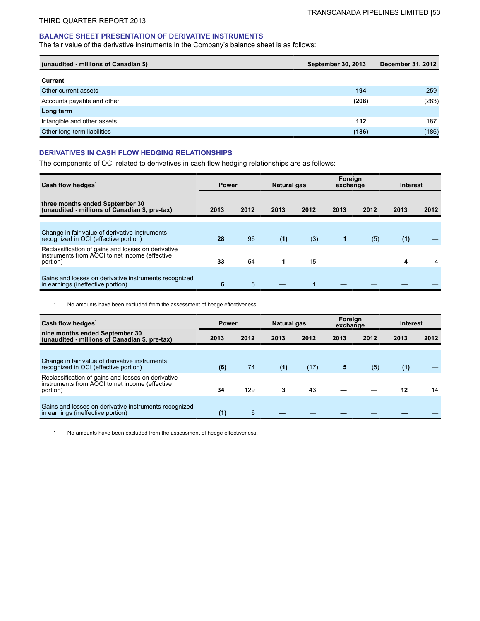### **BALANCE SHEET PRESENTATION OF DERIVATIVE INSTRUMENTS**

The fair value of the derivative instruments in the Company's balance sheet is as follows:

| (unaudited - millions of Canadian \$) | <b>September 30, 2013</b> | December 31, 2012 |
|---------------------------------------|---------------------------|-------------------|
| Current                               |                           |                   |
| Other current assets                  | 194                       | 259               |
| Accounts payable and other            | (208)                     | (283)             |
| Long term                             |                           |                   |
| Intangible and other assets           | 112                       | 187               |
| Other long-term liabilities           | (186)                     | (186)             |

# **DERIVATIVES IN CASH FLOW HEDGING RELATIONSHIPS**

The components of OCI related to derivatives in cash flow hedging relationships are as follows:

| Cash flow hedges <sup>1</sup>                                                                                    | <b>Power</b> |      | Natural gas |      | Foreign<br>exchange |      | Interest |      |
|------------------------------------------------------------------------------------------------------------------|--------------|------|-------------|------|---------------------|------|----------|------|
| three months ended September 30<br>(unaudited - millions of Canadian \$, pre-tax)                                | 2013         | 2012 | 2013        | 2012 | 2013                | 2012 | 2013     | 2012 |
|                                                                                                                  |              |      |             |      |                     |      |          |      |
| Change in fair value of derivative instruments<br>recognized in OCI (effective portion)                          | 28           | 96   | (1)         | (3)  |                     | (5)  | (1)      |      |
| Reclassification of gains and losses on derivative<br>instruments from AOCI to net income (effective<br>portion) | 33           | 54   |             | 15   |                     |      | 4        | 4    |
| Gains and losses on derivative instruments recognized<br>in earnings (ineffective portion)                       | 6            | 5    |             |      |                     |      |          |      |

1 No amounts have been excluded from the assessment of hedge effectiveness.

| Cash flow hedges <sup>1</sup>                                                                                    | <b>Power</b> |      | Natural gas |      | Foreign<br>exchange |      | <b>Interest</b> |      |
|------------------------------------------------------------------------------------------------------------------|--------------|------|-------------|------|---------------------|------|-----------------|------|
| nine months ended September 30<br>(unaudited - millions of Canadian \$, pre-tax)                                 | 2013         | 2012 | 2013        | 2012 | 2013                | 2012 | 2013            | 2012 |
|                                                                                                                  |              |      |             |      |                     |      |                 |      |
| Change in fair value of derivative instruments<br>recognized in OCI (effective portion)                          | (6)          | 74   | (1)         | (17) | 5                   | (5)  | (1)             |      |
| Reclassification of gains and losses on derivative<br>instruments from AOCI to net income (effective<br>portion) | 34           | 129  | 3           | 43   |                     |      | 12              | 14   |
| Gains and losses on derivative instruments recognized<br>in earnings (ineffective portion)                       | (1)          | 6    |             |      |                     |      |                 |      |

1 No amounts have been excluded from the assessment of hedge effectiveness.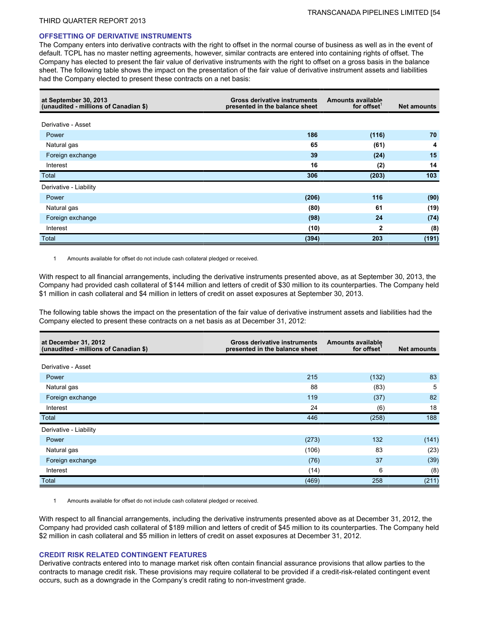### THIRD QUARTER REPORT 2013

#### **OFFSETTING OF DERIVATIVE INSTRUMENTS**

The Company enters into derivative contracts with the right to offset in the normal course of business as well as in the event of default. TCPL has no master netting agreements, however, similar contracts are entered into containing rights of offset. The Company has elected to present the fair value of derivative instruments with the right to offset on a gross basis in the balance sheet. The following table shows the impact on the presentation of the fair value of derivative instrument assets and liabilities had the Company elected to present these contracts on a net basis:

| at September 30, 2013<br>(unaudited - millions of Canadian \$) | Gross derivative instruments<br>presented in the balance sheet | Amounts available<br>for offset $1$ | <b>Net amounts</b> |
|----------------------------------------------------------------|----------------------------------------------------------------|-------------------------------------|--------------------|
|                                                                |                                                                |                                     |                    |
| Derivative - Asset                                             |                                                                |                                     |                    |
| Power                                                          | 186                                                            | (116)                               | 70                 |
| Natural gas                                                    | 65                                                             | (61)                                | 4                  |
| Foreign exchange                                               | 39                                                             | (24)                                | 15                 |
| Interest                                                       | 16                                                             | (2)                                 | 14                 |
| Total                                                          | 306                                                            | (203)                               | 103                |
| Derivative - Liability                                         |                                                                |                                     |                    |
| Power                                                          | (206)                                                          | 116                                 | (90)               |
| Natural gas                                                    | (80)                                                           | 61                                  | (19)               |
| Foreign exchange                                               | (98)                                                           | 24                                  | (74)               |
| Interest                                                       | (10)                                                           | $\mathbf{2}$                        | (8)                |
| Total                                                          | (394)                                                          | 203                                 | (191)              |

1 Amounts available for offset do not include cash collateral pledged or received.

With respect to all financial arrangements, including the derivative instruments presented above, as at September 30, 2013, the Company had provided cash collateral of \$144 million and letters of credit of \$30 million to its counterparties. The Company held \$1 million in cash collateral and \$4 million in letters of credit on asset exposures at September 30, 2013.

The following table shows the impact on the presentation of the fair value of derivative instrument assets and liabilities had the Company elected to present these contracts on a net basis as at December 31, 2012:

| at December 31, 2012<br>(unaudited - millions of Canadian \$) | <b>Gross derivative instruments</b><br>presented in the balance sheet | <b>Amounts available</b><br>for offset <sup>1</sup> | <b>Net amounts</b> |
|---------------------------------------------------------------|-----------------------------------------------------------------------|-----------------------------------------------------|--------------------|
| Derivative - Asset                                            |                                                                       |                                                     |                    |
| Power                                                         | 215                                                                   | (132)                                               | 83                 |
| Natural gas                                                   | 88                                                                    | (83)                                                | 5                  |
| Foreign exchange                                              | 119                                                                   | (37)                                                | 82                 |
| Interest                                                      | 24                                                                    | (6)                                                 | 18                 |
| Total                                                         | 446                                                                   | (258)                                               | 188                |
| Derivative - Liability                                        |                                                                       |                                                     |                    |
| Power                                                         | (273)                                                                 | 132                                                 | (141)              |
| Natural gas                                                   | (106)                                                                 | 83                                                  | (23)               |
| Foreign exchange                                              | (76)                                                                  | 37                                                  | (39)               |
| Interest                                                      | (14)                                                                  | 6                                                   | (8)                |
| Total                                                         | (469)                                                                 | 258                                                 | (211)              |

1 Amounts available for offset do not include cash collateral pledged or received.

With respect to all financial arrangements, including the derivative instruments presented above as at December 31, 2012, the Company had provided cash collateral of \$189 million and letters of credit of \$45 million to its counterparties. The Company held \$2 million in cash collateral and \$5 million in letters of credit on asset exposures at December 31, 2012.

#### **CREDIT RISK RELATED CONTINGENT FEATURES**

Derivative contracts entered into to manage market risk often contain financial assurance provisions that allow parties to the contracts to manage credit risk. These provisions may require collateral to be provided if a credit-risk-related contingent event occurs, such as a downgrade in the Company's credit rating to non-investment grade.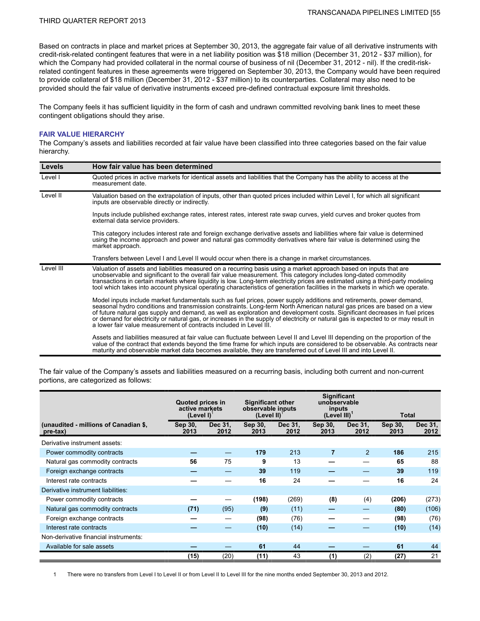Based on contracts in place and market prices at September 30, 2013, the aggregate fair value of all derivative instruments with credit-risk-related contingent features that were in a net liability position was \$18 million (December 31, 2012 - \$37 million), for which the Company had provided collateral in the normal course of business of nil (December 31, 2012 - nil). If the credit-riskrelated contingent features in these agreements were triggered on September 30, 2013, the Company would have been required to provide collateral of \$18 million (December 31, 2012 - \$37 million) to its counterparties. Collateral may also need to be provided should the fair value of derivative instruments exceed pre-defined contractual exposure limit thresholds.

The Company feels it has sufficient liquidity in the form of cash and undrawn committed revolving bank lines to meet these contingent obligations should they arise.

#### **FAIR VALUE HIERARCHY**

The Company's assets and liabilities recorded at fair value have been classified into three categories based on the fair value hierarchy.

| <b>Levels</b> | How fair value has been determined                                                                                                                                                                                                                                                                                                                                                                                                                                                                                                                                                        |
|---------------|-------------------------------------------------------------------------------------------------------------------------------------------------------------------------------------------------------------------------------------------------------------------------------------------------------------------------------------------------------------------------------------------------------------------------------------------------------------------------------------------------------------------------------------------------------------------------------------------|
| Level I       | Quoted prices in active markets for identical assets and liabilities that the Company has the ability to access at the<br>measurement date.                                                                                                                                                                                                                                                                                                                                                                                                                                               |
| Level II      | Valuation based on the extrapolation of inputs, other than quoted prices included within Level I, for which all significant<br>inputs are observable directly or indirectly.                                                                                                                                                                                                                                                                                                                                                                                                              |
|               | Inputs include published exchange rates, interest rates, interest rate swap curves, yield curves and broker quotes from<br>external data service providers.                                                                                                                                                                                                                                                                                                                                                                                                                               |
|               | This category includes interest rate and foreign exchange derivative assets and liabilities where fair value is determined<br>using the income approach and power and natural gas commodity derivatives where fair value is determined using the<br>market approach.                                                                                                                                                                                                                                                                                                                      |
|               | Transfers between Level I and Level II would occur when there is a change in market circumstances.                                                                                                                                                                                                                                                                                                                                                                                                                                                                                        |
| Level III     | Valuation of assets and liabilities measured on a recurring basis using a market approach based on inputs that are<br>unobservable and significant to the overall fair value measurement. This category includes long-dated commodity<br>transactions in certain markets where liquidity is low. Long-term electricity prices are estimated using a third-party modeling<br>tool which takes into account physical operating characteristics of generation facilities in the markets in which we operate.                                                                                 |
|               | Model inputs include market fundamentals such as fuel prices, power supply additions and retirements, power demand,<br>seasonal hydro conditions and transmission constraints. Long-term North American natural gas prices are based on a view<br>of future natural gas supply and demand, as well as exploration and development costs. Significant decreases in fuel prices<br>or demand for electricity or natural gas, or increases in the supply of electricity or natural gas is expected to or may result in<br>a lower fair value measurement of contracts included in Level III. |
|               | Assets and liabilities measured at fair value can fluctuate between Level II and Level III depending on the proportion of the<br>value of the contract that extends beyond the time frame for which inputs are considered to be observable. As contracts near<br>maturity and observable market data becomes available, they are transferred out of Level III and into Level II.                                                                                                                                                                                                          |

The fair value of the Company's assets and liabilities measured on a recurring basis, including both current and non-current portions, are categorized as follows:

|                                                   | Quoted prices in<br>active markets<br>$(Level I)^T$ |                 | <b>Significant other</b><br>observable inputs<br>$(Level II)^T$ |                 | <b>Significant</b><br>unobservable<br>inputs<br>(Level III) <sup>1</sup> |                 | Total           |                 |
|---------------------------------------------------|-----------------------------------------------------|-----------------|-----------------------------------------------------------------|-----------------|--------------------------------------------------------------------------|-----------------|-----------------|-----------------|
| (unaudited - millions of Canadian \$,<br>pre-tax) | Sep 30,<br>2013                                     | Dec 31,<br>2012 | Sep 30,<br>2013                                                 | Dec 31,<br>2012 | Sep 30,<br>2013                                                          | Dec 31,<br>2012 | Sep 30,<br>2013 | Dec 31,<br>2012 |
| Derivative instrument assets:                     |                                                     |                 |                                                                 |                 |                                                                          |                 |                 |                 |
| Power commodity contracts                         |                                                     |                 | 179                                                             | 213             | $\overline{7}$                                                           | $\mathcal{P}$   | 186             | 215             |
| Natural gas commodity contracts                   | 56                                                  | 75              | 9                                                               | 13              |                                                                          |                 | 65              | 88              |
| Foreign exchange contracts                        |                                                     |                 | 39                                                              | 119             |                                                                          |                 | 39              | 119             |
| Interest rate contracts                           |                                                     |                 | 16                                                              | 24              |                                                                          |                 | 16              | 24              |
| Derivative instrument liabilities:                |                                                     |                 |                                                                 |                 |                                                                          |                 |                 |                 |
| Power commodity contracts                         |                                                     |                 | (198)                                                           | (269)           | (8)                                                                      | (4)             | (206)           | (273)           |
| Natural gas commodity contracts                   | (71)                                                | (95)            | (9)                                                             | (11)            |                                                                          |                 | (80)            | (106)           |
| Foreign exchange contracts                        |                                                     |                 | (98)                                                            | (76)            |                                                                          |                 | (98)            | (76)            |
| Interest rate contracts                           |                                                     |                 | (10)                                                            | (14)            |                                                                          |                 | (10)            | (14)            |
| Non-derivative financial instruments:             |                                                     |                 |                                                                 |                 |                                                                          |                 |                 |                 |
| Available for sale assets                         |                                                     |                 | 61                                                              | 44              |                                                                          |                 | 61              | 44              |
|                                                   | (15)                                                | (20)            | (11)                                                            | 43              | (1)                                                                      | (2)             | (27)            | 21              |

1 There were no transfers from Level I to Level II or from Level II to Level III for the nine months ended September 30, 2013 and 2012.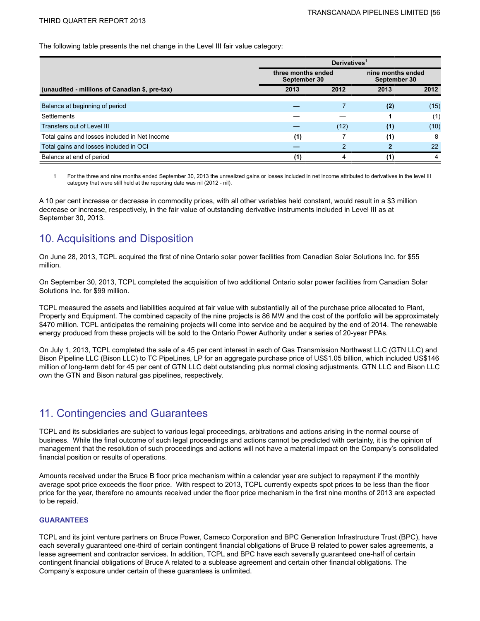The following table presents the net change in the Level III fair value category:

|                                                | <b>Derivatives</b>                 |               |                                   |      |  |
|------------------------------------------------|------------------------------------|---------------|-----------------------------------|------|--|
|                                                | three months ended<br>September 30 |               | nine months ended<br>September 30 |      |  |
| (unaudited - millions of Canadian \$, pre-tax) | 2013                               | 2012          | 2013                              | 2012 |  |
| Balance at beginning of period                 |                                    |               | (2)                               | (15) |  |
| Settlements                                    |                                    |               |                                   | (1)  |  |
| Transfers out of Level III                     |                                    | (12)          | (1)                               | (10) |  |
| Total gains and losses included in Net Income  | (1)                                |               | (1)                               | 8    |  |
| Total gains and losses included in OCI         |                                    | $\mathcal{P}$ |                                   | 22   |  |
| Balance at end of period                       | (1)                                | 4             |                                   |      |  |

1 For the three and nine months ended September 30, 2013 the unrealized gains or losses included in net income attributed to derivatives in the level III category that were still held at the reporting date was nil (2012 - nil).

A 10 per cent increase or decrease in commodity prices, with all other variables held constant, would result in a \$3 million decrease or increase, respectively, in the fair value of outstanding derivative instruments included in Level III as at September 30, 2013.

# 10. Acquisitions and Disposition

On June 28, 2013, TCPL acquired the first of nine Ontario solar power facilities from Canadian Solar Solutions Inc. for \$55 million.

On September 30, 2013, TCPL completed the acquisition of two additional Ontario solar power facilities from Canadian Solar Solutions Inc. for \$99 million.

TCPL measured the assets and liabilities acquired at fair value with substantially all of the purchase price allocated to Plant, Property and Equipment. The combined capacity of the nine projects is 86 MW and the cost of the portfolio will be approximately \$470 million. TCPL anticipates the remaining projects will come into service and be acquired by the end of 2014. The renewable energy produced from these projects will be sold to the Ontario Power Authority under a series of 20-year PPAs.

On July 1, 2013, TCPL completed the sale of a 45 per cent interest in each of Gas Transmission Northwest LLC (GTN LLC) and Bison Pipeline LLC (Bison LLC) to TC PipeLines, LP for an aggregate purchase price of US\$1.05 billion, which included US\$146 million of long-term debt for 45 per cent of GTN LLC debt outstanding plus normal closing adjustments. GTN LLC and Bison LLC own the GTN and Bison natural gas pipelines, respectively.

# 11. Contingencies and Guarantees

TCPL and its subsidiaries are subject to various legal proceedings, arbitrations and actions arising in the normal course of business. While the final outcome of such legal proceedings and actions cannot be predicted with certainty, it is the opinion of management that the resolution of such proceedings and actions will not have a material impact on the Company's consolidated financial position or results of operations.

Amounts received under the Bruce B floor price mechanism within a calendar year are subject to repayment if the monthly average spot price exceeds the floor price. With respect to 2013, TCPL currently expects spot prices to be less than the floor price for the year, therefore no amounts received under the floor price mechanism in the first nine months of 2013 are expected to be repaid.

# **GUARANTEES**

TCPL and its joint venture partners on Bruce Power, Cameco Corporation and BPC Generation Infrastructure Trust (BPC), have each severally guaranteed one-third of certain contingent financial obligations of Bruce B related to power sales agreements, a lease agreement and contractor services. In addition, TCPL and BPC have each severally guaranteed one-half of certain contingent financial obligations of Bruce A related to a sublease agreement and certain other financial obligations. The Company's exposure under certain of these guarantees is unlimited.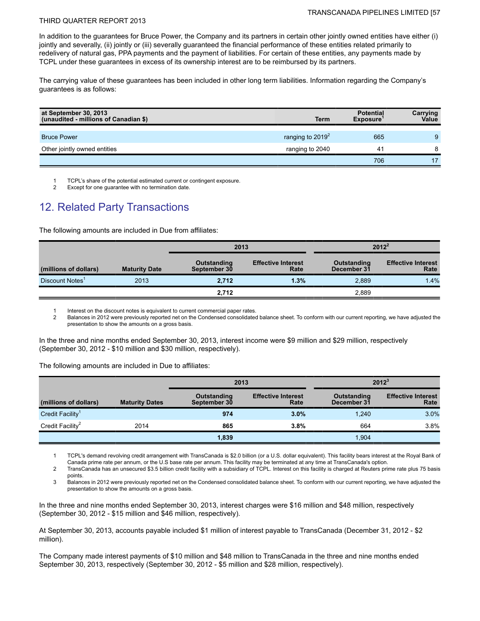#### THIRD QUARTER REPORT 2013

In addition to the guarantees for Bruce Power, the Company and its partners in certain other jointly owned entities have either (i) jointly and severally, (ii) jointly or (iii) severally guaranteed the financial performance of these entities related primarily to redelivery of natural gas, PPA payments and the payment of liabilities. For certain of these entities, any payments made by TCPL under these guarantees in excess of its ownership interest are to be reimbursed by its partners.

The carrying value of these guarantees has been included in other long term liabilities. Information regarding the Company's guarantees is as follows:

| at September 30, 2013<br>(unaudited - millions of Canadian \$) | Term                         | <b>Potential</b><br>Exposure <sup>'</sup> | Carrying<br>Value |
|----------------------------------------------------------------|------------------------------|-------------------------------------------|-------------------|
| <b>Bruce Power</b>                                             | ranging to 2019 <sup>2</sup> | 665                                       | 9                 |
| Other jointly owned entities                                   | ranging to 2040              | 41                                        | 8                 |
|                                                                |                              | 706                                       | 17                |

1 TCPL's share of the potential estimated current or contingent exposure.

2 Except for one guarantee with no termination date.

# 12. Related Party Transactions

The following amounts are included in Due from affiliates:

|                             |                      |                             | 2013                              |                            | $2012^2$                          |
|-----------------------------|----------------------|-----------------------------|-----------------------------------|----------------------------|-----------------------------------|
| (millions of dollars)       | <b>Maturity Date</b> | Outstanding<br>September 30 | <b>Effective Interest</b><br>Rate | Outstanding<br>December 31 | <b>Effective Interest</b><br>Rate |
| Discount Notes <sup>1</sup> | 2013                 | 2,712                       | 1.3%                              | 2.889                      | 1.4%                              |
|                             |                      | 2,712                       |                                   | 2,889                      |                                   |

1 Interest on the discount notes is equivalent to current commercial paper rates.

2 Balances in 2012 were previously reported net on the Condensed consolidated balance sheet. To conform with our current reporting, we have adjusted the presentation to show the amounts on a gross basis.

In the three and nine months ended September 30, 2013, interest income were \$9 million and \$29 million, respectively (September 30, 2012 - \$10 million and \$30 million, respectively).

The following amounts are included in Due to affiliates:

|                              |                       | 2013                               |                                   |                            | $2012^3$                          |
|------------------------------|-----------------------|------------------------------------|-----------------------------------|----------------------------|-----------------------------------|
| (millions of dollars)        | <b>Maturity Dates</b> | <b>Outstanding</b><br>September 30 | <b>Effective Interest</b><br>Rate | Outstanding<br>December 31 | <b>Effective Interest</b><br>Rate |
| Credit Facility <sup>1</sup> |                       | 974                                | 3.0%                              | 1,240                      | 3.0%                              |
| Credit Facility <sup>2</sup> | 2014                  | 865                                | 3.8%                              | 664                        | 3.8%                              |
|                              |                       | 1,839                              |                                   | 1,904                      |                                   |

1 TCPL's demand revolving credit arrangement with TransCanada is \$2.0 billion (or a U.S. dollar equivalent). This facility bears interest at the Royal Bank of Canada prime rate per annum, or the U.S base rate per annum. This facility may be terminated at any time at TransCanada's option.

2 TransCanada has an unsecured \$3.5 billion credit facility with a subsidiary of TCPL. Interest on this facility is charged at Reuters prime rate plus 75 basis points.

3 Balances in 2012 were previously reported net on the Condensed consolidated balance sheet. To conform with our current reporting, we have adjusted the presentation to show the amounts on a gross basis.

In the three and nine months ended September 30, 2013, interest charges were \$16 million and \$48 million, respectively (September 30, 2012 - \$15 million and \$46 million, respectively).

At September 30, 2013, accounts payable included \$1 million of interest payable to TransCanada (December 31, 2012 - \$2 million).

The Company made interest payments of \$10 million and \$48 million to TransCanada in the three and nine months ended September 30, 2013, respectively (September 30, 2012 - \$5 million and \$28 million, respectively).